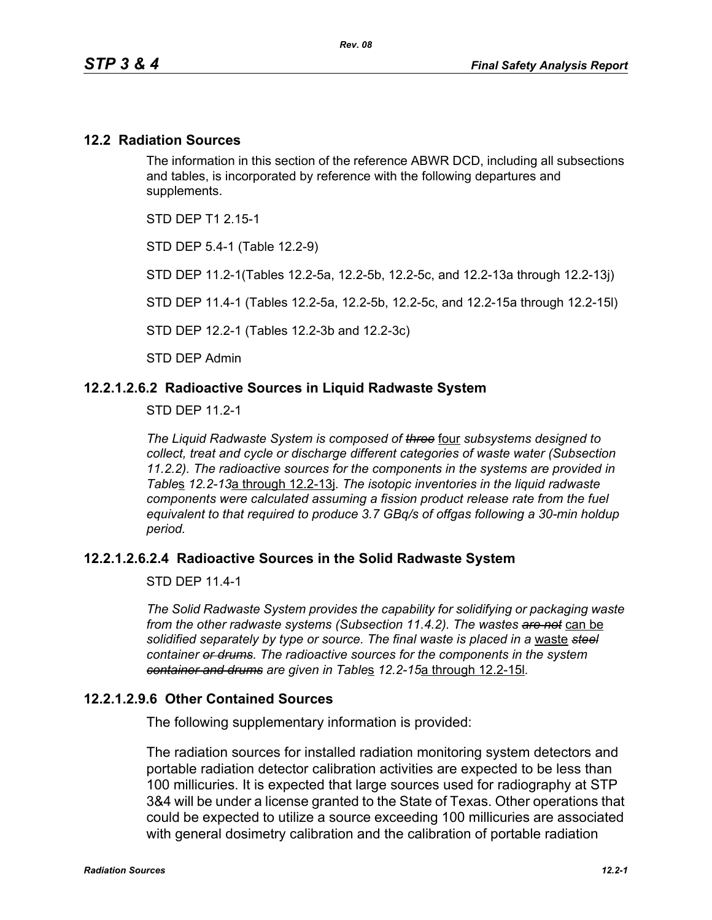### **12.2 Radiation Sources**

The information in this section of the reference ABWR DCD, including all subsections and tables, is incorporated by reference with the following departures and supplements.

STD DEP T1 2 15-1

STD DEP 5.4-1 (Table 12.2-9)

STD DEP 11.2-1(Tables 12.2-5a, 12.2-5b, 12.2-5c, and 12.2-13a through 12.2-13j)

STD DEP 11.4-1 (Tables 12.2-5a, 12.2-5b, 12.2-5c, and 12.2-15a through 12.2-15l)

STD DEP 12.2-1 (Tables 12.2-3b and 12.2-3c)

STD DEP Admin

### **12.2.1.2.6.2 Radioactive Sources in Liquid Radwaste System**

STD DEP 11.2-1

*The Liquid Radwaste System is composed of three* four *subsystems designed to collect, treat and cycle or discharge different categories of waste water (Subsection 11.2.2). The radioactive sources for the components in the systems are provided in Table*s *12.2-13*a through 12.2-13j*. The isotopic inventories in the liquid radwaste components were calculated assuming a fission product release rate from the fuel equivalent to that required to produce 3.7 GBq/s of offgas following a 30-min holdup period.* 

### **12.2.1.2.6.2.4 Radioactive Sources in the Solid Radwaste System**

STD DEP 11.4-1

*The Solid Radwaste System provides the capability for solidifying or packaging waste from the other radwaste systems (Subsection 11.4.2). The wastes are not* can be *solidified separately by type or source. The final waste is placed in a* waste *steel container or drums. The radioactive sources for the components in the system container and drums are given in Table*s *12.2-15*a through 12.2-15l*.*

### **12.2.1.2.9.6 Other Contained Sources**

The following supplementary information is provided:

The radiation sources for installed radiation monitoring system detectors and portable radiation detector calibration activities are expected to be less than 100 millicuries. It is expected that large sources used for radiography at STP 3&4 will be under a license granted to the State of Texas. Other operations that could be expected to utilize a source exceeding 100 millicuries are associated with general dosimetry calibration and the calibration of portable radiation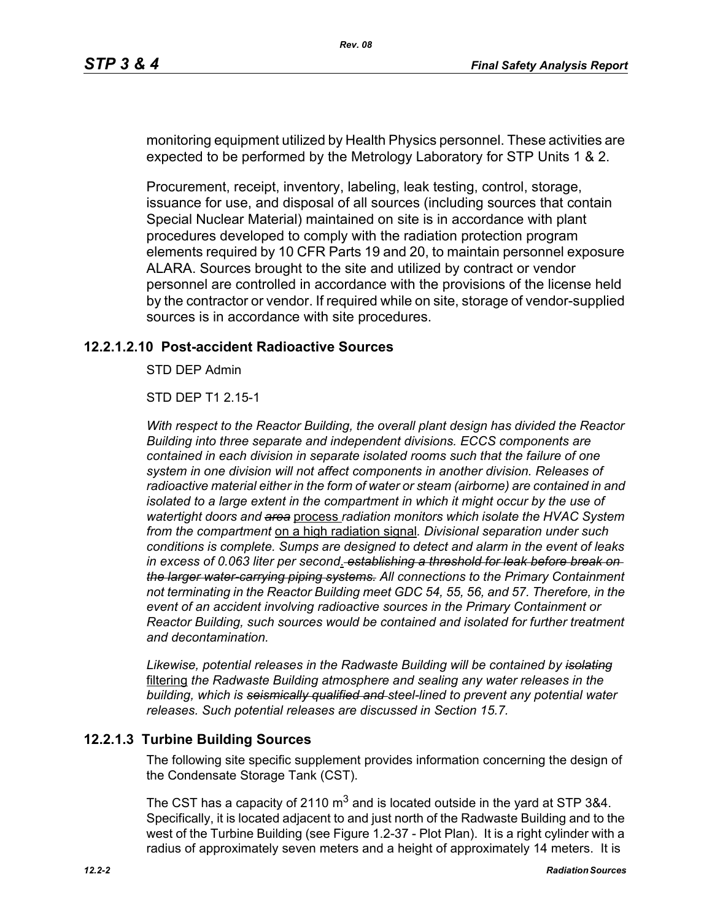monitoring equipment utilized by Health Physics personnel. These activities are expected to be performed by the Metrology Laboratory for STP Units 1 & 2.

Procurement, receipt, inventory, labeling, leak testing, control, storage, issuance for use, and disposal of all sources (including sources that contain Special Nuclear Material) maintained on site is in accordance with plant procedures developed to comply with the radiation protection program elements required by 10 CFR Parts 19 and 20, to maintain personnel exposure ALARA. Sources brought to the site and utilized by contract or vendor personnel are controlled in accordance with the provisions of the license held by the contractor or vendor. If required while on site, storage of vendor-supplied sources is in accordance with site procedures.

### **12.2.1.2.10 Post-accident Radioactive Sources**

STD DEP Admin

STD DEP T1 2.15-1

*With respect to the Reactor Building, the overall plant design has divided the Reactor Building into three separate and independent divisions. ECCS components are contained in each division in separate isolated rooms such that the failure of one system in one division will not affect components in another division. Releases of radioactive material either in the form of water or steam (airborne) are contained in and isolated to a large extent in the compartment in which it might occur by the use of watertight doors and area* process *radiation monitors which isolate the HVAC System from the compartment* on a high radiation signal*. Divisional separation under such conditions is complete. Sumps are designed to detect and alarm in the event of leaks in excess of 0.063 liter per second*. *establishing a threshold for leak before break on the larger water-carrying piping systems. All connections to the Primary Containment not terminating in the Reactor Building meet GDC 54, 55, 56, and 57. Therefore, in the event of an accident involving radioactive sources in the Primary Containment or Reactor Building, such sources would be contained and isolated for further treatment and decontamination.*

*Likewise, potential releases in the Radwaste Building will be contained by isolating* filtering *the Radwaste Building atmosphere and sealing any water releases in the building, which is seismically qualified and steel-lined to prevent any potential water releases. Such potential releases are discussed in Section 15.7.* 

### **12.2.1.3 Turbine Building Sources**

The following site specific supplement provides information concerning the design of the Condensate Storage Tank (CST).

The CST has a capacity of 2110  $m^3$  and is located outside in the yard at STP 3&4. Specifically, it is located adjacent to and just north of the Radwaste Building and to the west of the Turbine Building (see Figure 1.2-37 - Plot Plan). It is a right cylinder with a radius of approximately seven meters and a height of approximately 14 meters. It is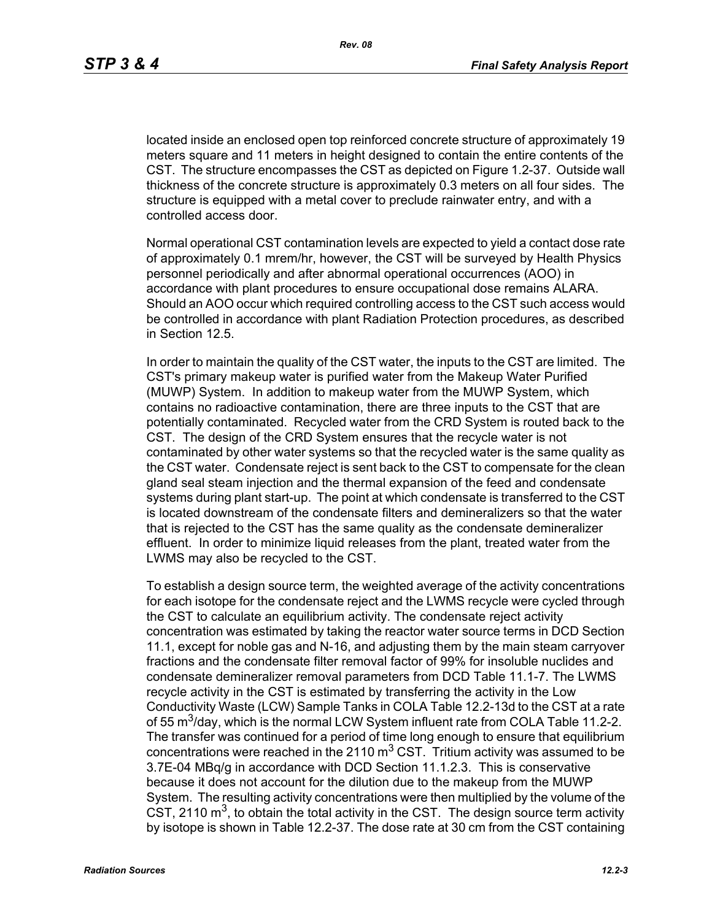located inside an enclosed open top reinforced concrete structure of approximately 19 meters square and 11 meters in height designed to contain the entire contents of the CST. The structure encompasses the CST as depicted on Figure 1.2-37. Outside wall thickness of the concrete structure is approximately 0.3 meters on all four sides. The structure is equipped with a metal cover to preclude rainwater entry, and with a controlled access door.

Normal operational CST contamination levels are expected to yield a contact dose rate of approximately 0.1 mrem/hr, however, the CST will be surveyed by Health Physics personnel periodically and after abnormal operational occurrences (AOO) in accordance with plant procedures to ensure occupational dose remains ALARA. Should an AOO occur which required controlling access to the CST such access would be controlled in accordance with plant Radiation Protection procedures, as described in Section 12.5.

In order to maintain the quality of the CST water, the inputs to the CST are limited. The CST's primary makeup water is purified water from the Makeup Water Purified (MUWP) System. In addition to makeup water from the MUWP System, which contains no radioactive contamination, there are three inputs to the CST that are potentially contaminated. Recycled water from the CRD System is routed back to the CST. The design of the CRD System ensures that the recycle water is not contaminated by other water systems so that the recycled water is the same quality as the CST water. Condensate reject is sent back to the CST to compensate for the clean gland seal steam injection and the thermal expansion of the feed and condensate systems during plant start-up. The point at which condensate is transferred to the CST is located downstream of the condensate filters and demineralizers so that the water that is rejected to the CST has the same quality as the condensate demineralizer effluent. In order to minimize liquid releases from the plant, treated water from the LWMS may also be recycled to the CST.

To establish a design source term, the weighted average of the activity concentrations for each isotope for the condensate reject and the LWMS recycle were cycled through the CST to calculate an equilibrium activity. The condensate reject activity concentration was estimated by taking the reactor water source terms in DCD Section 11.1, except for noble gas and N-16, and adjusting them by the main steam carryover fractions and the condensate filter removal factor of 99% for insoluble nuclides and condensate demineralizer removal parameters from DCD Table 11.1-7. The LWMS recycle activity in the CST is estimated by transferring the activity in the Low Conductivity Waste (LCW) Sample Tanks in COLA Table 12.2-13d to the CST at a rate of 55 m<sup>3</sup>/day, which is the normal LCW System influent rate from COLA Table 11.2-2. The transfer was continued for a period of time long enough to ensure that equilibrium concentrations were reached in the 2110  $\text{m}^3$  CST. Tritium activity was assumed to be 3.7E-04 MBq/g in accordance with DCD Section 11.1.2.3. This is conservative because it does not account for the dilution due to the makeup from the MUWP System. The resulting activity concentrations were then multiplied by the volume of the CST, 2110  $\mathrm{m}^3$ , to obtain the total activity in the CST. The design source term activity by isotope is shown in Table 12.2-37. The dose rate at 30 cm from the CST containing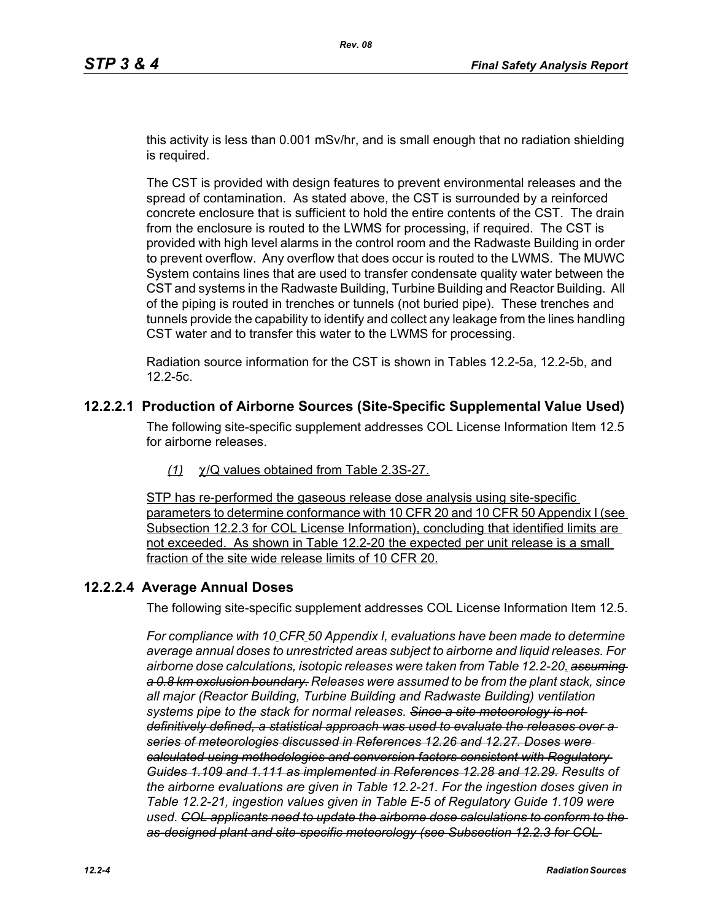this activity is less than 0.001 mSv/hr, and is small enough that no radiation shielding is required.

The CST is provided with design features to prevent environmental releases and the spread of contamination. As stated above, the CST is surrounded by a reinforced concrete enclosure that is sufficient to hold the entire contents of the CST. The drain from the enclosure is routed to the LWMS for processing, if required. The CST is provided with high level alarms in the control room and the Radwaste Building in order to prevent overflow. Any overflow that does occur is routed to the LWMS. The MUWC System contains lines that are used to transfer condensate quality water between the CST and systems in the Radwaste Building, Turbine Building and Reactor Building. All of the piping is routed in trenches or tunnels (not buried pipe). These trenches and tunnels provide the capability to identify and collect any leakage from the lines handling CST water and to transfer this water to the LWMS for processing.

Radiation source information for the CST is shown in Tables 12.2-5a, 12.2-5b, and 12.2-5c.

### **12.2.2.1 Production of Airborne Sources (Site-Specific Supplemental Value Used)**

The following site-specific supplement addresses COL License Information Item 12.5 for airborne releases.

*(1)* χ/Q values obtained from Table 2.3S-27.

STP has re-performed the gaseous release dose analysis using site-specific parameters to determine conformance with 10 CFR 20 and 10 CFR 50 Appendix I (see Subsection 12.2.3 for COL License Information), concluding that identified limits are not exceeded. As shown in Table 12.2-20 the expected per unit release is a small fraction of the site wide release limits of 10 CFR 20.

### **12.2.2.4 Average Annual Doses**

The following site-specific supplement addresses COL License Information Item 12.5.

*For compliance with 10 CFR 50 Appendix I, evaluations have been made to determine average annual doses to unrestricted areas subject to airborne and liquid releases. For airborne dose calculations, isotopic releases were taken from Table 12.2-20. assuming a 0.8 km exclusion boundary. Releases were assumed to be from the plant stack, since all major (Reactor Building, Turbine Building and Radwaste Building) ventilation systems pipe to the stack for normal releases. Since a site meteorology is not definitively defined, a statistical approach was used to evaluate the releases over a series of meteorologies discussed in References 12.26 and 12.27. Doses were calculated using methodologies and conversion factors consistent with Regulatory Guides 1.109 and 1.111 as implemented in References 12.28 and 12.29. Results of the airborne evaluations are given in Table 12.2-21. For the ingestion doses given in Table 12.2-21, ingestion values given in Table E-5 of Regulatory Guide 1.109 were used. COL applicants need to update the airborne dose calculations to conform to the as-designed plant and site-specific meteorology (see Subsection 12.2.3 for COL*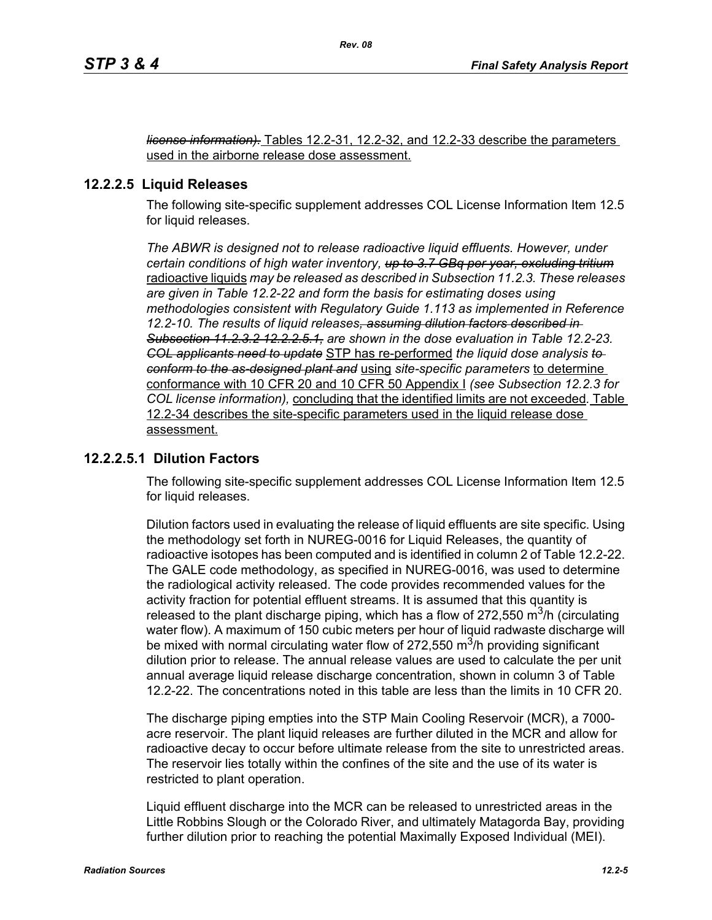*license information).* Tables 12.2-31, 12.2-32, and 12.2-33 describe the parameters used in the airborne release dose assessment.

### **12.2.2.5 Liquid Releases**

The following site-specific supplement addresses COL License Information Item 12.5 for liquid releases.

*The ABWR is designed not to release radioactive liquid effluents. However, under certain conditions of high water inventory, up to 3.7 GBq per year, excluding tritium* radioactive liquids *may be released as described in Subsection 11.2.3. These releases are given in Table 12.2-22 and form the basis for estimating doses using methodologies consistent with Regulatory Guide 1.113 as implemented in Reference 12.2-10. The results of liquid releases, assuming dilution factors described in Subsection 11.2.3.2 12.2.2.5.1, are shown in the dose evaluation in Table 12.2-23. COL applicants need to update* STP has re-performed *the liquid dose analysis to conform to the as-designed plant and* using *site-specific parameters* to determine conformance with 10 CFR 20 and 10 CFR 50 Appendix I *(see Subsection 12.2.3 for COL license information),* concluding that the identified limits are not exceeded*.* Table 12.2-34 describes the site-specific parameters used in the liquid release dose assessment.

### **12.2.2.5.1 Dilution Factors**

The following site-specific supplement addresses COL License Information Item 12.5 for liquid releases.

Dilution factors used in evaluating the release of liquid effluents are site specific. Using the methodology set forth in NUREG-0016 for Liquid Releases, the quantity of radioactive isotopes has been computed and is identified in column 2 of Table 12.2-22. The GALE code methodology, as specified in NUREG-0016, was used to determine the radiological activity released. The code provides recommended values for the activity fraction for potential effluent streams. It is assumed that this quantity is released to the plant discharge piping, which has a flow of 272,550  $\mathrm{m}^3$ /h (circulating water flow). A maximum of 150 cubic meters per hour of liquid radwaste discharge will be mixed with normal circulating water flow of 272,550  $\mathrm{m}^3$ /h providing significant dilution prior to release. The annual release values are used to calculate the per unit annual average liquid release discharge concentration, shown in column 3 of Table 12.2-22. The concentrations noted in this table are less than the limits in 10 CFR 20.

The discharge piping empties into the STP Main Cooling Reservoir (MCR), a 7000 acre reservoir. The plant liquid releases are further diluted in the MCR and allow for radioactive decay to occur before ultimate release from the site to unrestricted areas. The reservoir lies totally within the confines of the site and the use of its water is restricted to plant operation.

Liquid effluent discharge into the MCR can be released to unrestricted areas in the Little Robbins Slough or the Colorado River, and ultimately Matagorda Bay, providing further dilution prior to reaching the potential Maximally Exposed Individual (MEI).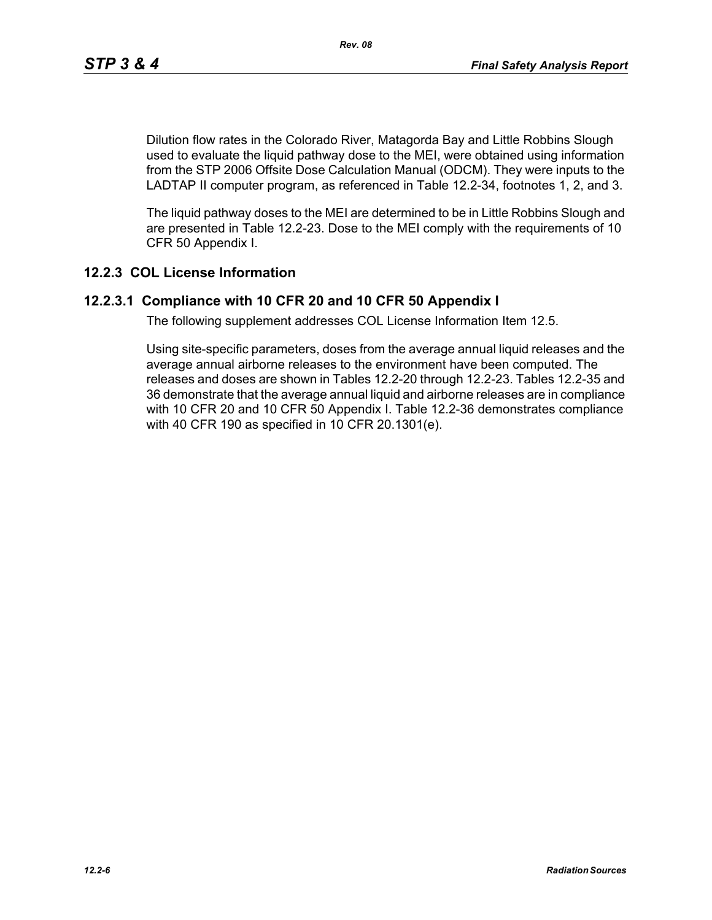Dilution flow rates in the Colorado River, Matagorda Bay and Little Robbins Slough used to evaluate the liquid pathway dose to the MEI, were obtained using information from the STP 2006 Offsite Dose Calculation Manual (ODCM). They were inputs to the LADTAP II computer program, as referenced in Table 12.2-34, footnotes 1, 2, and 3.

The liquid pathway doses to the MEI are determined to be in Little Robbins Slough and are presented in Table 12.2-23. Dose to the MEI comply with the requirements of 10 CFR 50 Appendix I.

### **12.2.3 COL License Information**

### **12.2.3.1 Compliance with 10 CFR 20 and 10 CFR 50 Appendix I**

The following supplement addresses COL License Information Item 12.5.

Using site-specific parameters, doses from the average annual liquid releases and the average annual airborne releases to the environment have been computed. The releases and doses are shown in Tables 12.2-20 through 12.2-23. Tables 12.2-35 and 36 demonstrate that the average annual liquid and airborne releases are in compliance with 10 CFR 20 and 10 CFR 50 Appendix I. Table 12.2-36 demonstrates compliance with 40 CFR 190 as specified in 10 CFR 20.1301(e).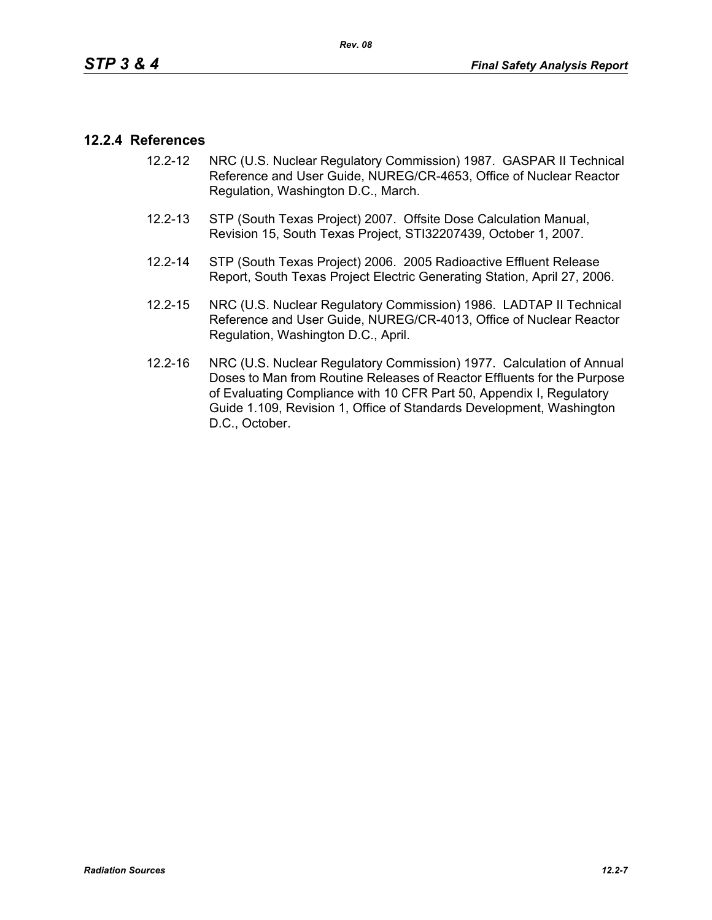### **12.2.4 References**

- 12.2-12 NRC (U.S. Nuclear Regulatory Commission) 1987. GASPAR II Technical Reference and User Guide, NUREG/CR-4653, Office of Nuclear Reactor Regulation, Washington D.C., March.
- 12.2-13 STP (South Texas Project) 2007. Offsite Dose Calculation Manual, Revision 15, South Texas Project, STI32207439, October 1, 2007.
- 12.2-14 STP (South Texas Project) 2006. 2005 Radioactive Effluent Release Report, South Texas Project Electric Generating Station, April 27, 2006.
- 12.2-15 NRC (U.S. Nuclear Regulatory Commission) 1986. LADTAP II Technical Reference and User Guide, NUREG/CR-4013, Office of Nuclear Reactor Regulation, Washington D.C., April.
- 12.2-16 NRC (U.S. Nuclear Regulatory Commission) 1977. Calculation of Annual Doses to Man from Routine Releases of Reactor Effluents for the Purpose of Evaluating Compliance with 10 CFR Part 50, Appendix I, Regulatory Guide 1.109, Revision 1, Office of Standards Development, Washington D.C., October.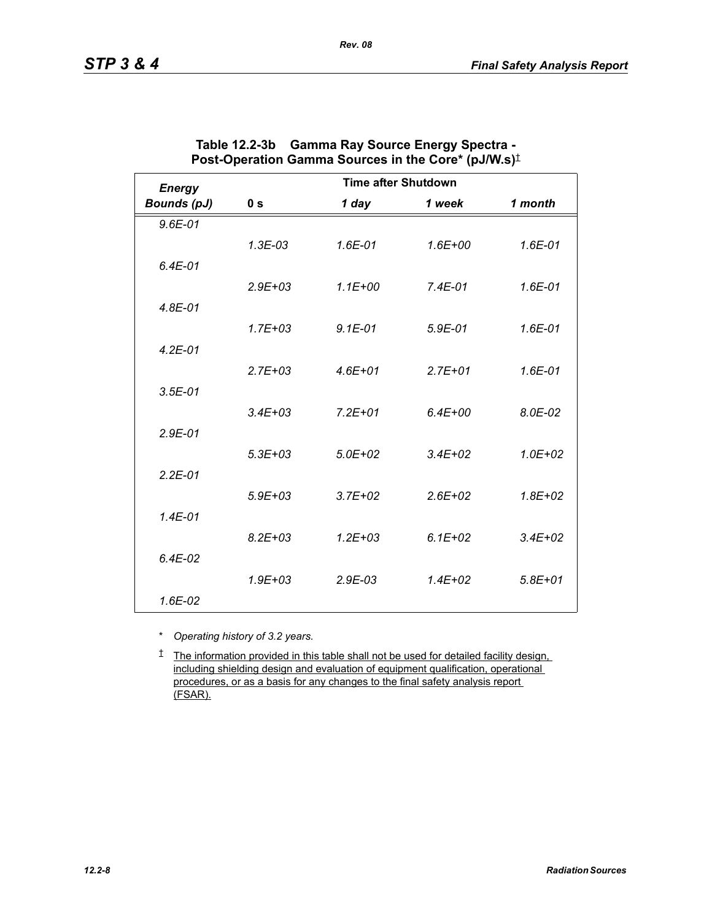| <b>Energy</b>      | <b>Time after Shutdown</b> |              |             |             |
|--------------------|----------------------------|--------------|-------------|-------------|
| <b>Bounds (pJ)</b> | 0 <sub>s</sub>             | 1 day        | 1 week      | 1 month     |
| $9.6E - 01$        |                            |              |             |             |
|                    | $1.3E-03$                  | 1.6E-01      | $1.6E + 00$ | 1.6E-01     |
| $6.4E-01$          |                            |              |             |             |
|                    | $2.9E + 03$                | $1.1E + 00$  | $7.4E-01$   | 1.6E-01     |
| $4.8E - 01$        |                            |              |             |             |
|                    | $1.7E + 03$                | $9.1E - 01$  | $5.9E-01$   | $1.6E - 01$ |
| $4.2E - 01$        |                            |              |             |             |
|                    | $2.7E + 03$                | $4.6E + 01$  | $2.7E + 01$ | 1.6E-01     |
| $3.5E - 01$        |                            |              |             |             |
|                    | $3.4E + 03$                | $7.2E + 01$  | $6.4E + 00$ | 8.0E-02     |
| $2.9E - 01$        |                            |              |             |             |
|                    | $5.3E + 03$                | $5.0E + 02$  | $3.4E + 02$ | $1.0E + 02$ |
| $2.2E - 01$        |                            |              |             |             |
|                    | $5.9E + 03$                | $3.7E + 02$  | $2.6E + 02$ | $1.8E + 02$ |
| $1.4E - 01$        |                            |              |             |             |
|                    | $8.2E + 0.3$               | $1.2E + 0.3$ | $6.1E + 02$ | $3.4E + 02$ |
| $6.4E-02$          |                            |              |             |             |
|                    | $1.9E + 03$                | $2.9E-03$    | $1.4E + 02$ | $5.8E + 01$ |
| 1.6E-02            |                            |              |             |             |

| Table 12.2-3b Gamma Ray Source Energy Spectra -                                |
|--------------------------------------------------------------------------------|
| Post-Operation Gamma Sources in the Core* (pJ/W.s) <sup><math>\pm</math></sup> |

*Rev. 08*

\* *Operating history of 3.2 years.*

† The information provided in this table shall not be used for detailed facility design, including shielding design and evaluation of equipment qualification, operational procedures, or as a basis for any changes to the final safety analysis report (FSAR).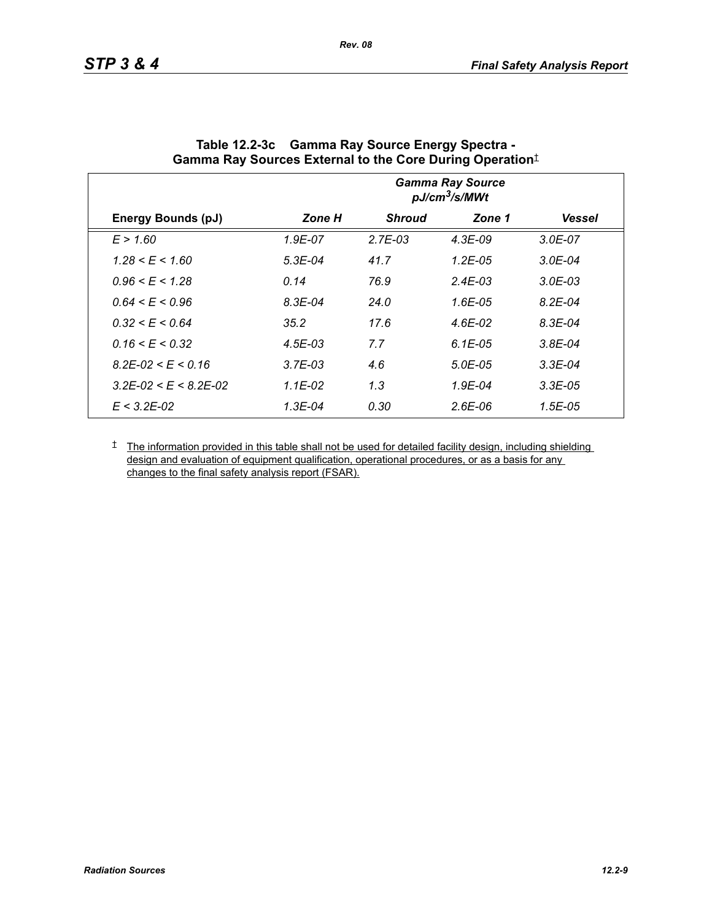|                                 | <b>Gamma Ray Source</b><br>pJ/cm <sup>3</sup> /s/MWt |               |              |               |
|---------------------------------|------------------------------------------------------|---------------|--------------|---------------|
| <b>Energy Bounds (pJ)</b>       | Zone H                                               | <b>Shroud</b> | Zone 1       | <b>Vessel</b> |
| E > 1.60                        | 1.9E-07                                              | $2.7E-03$     | $4.3E-09$    | $3.0E - 07$   |
| $1.28 \le E \le 1.60$           | $5.3E-04$                                            | 41.7          | $1.2E - 0.5$ | $3.0E - 04$   |
| $0.96 \le E \le 1.28$           | 0.14                                                 | 76.9          | $2.4E-03$    | $3.0E-03$     |
| $0.64 \le E \le 0.96$           | $8.3E - 04$                                          | 24.0          | $1.6E - 05$  | $8.2E - 04$   |
| $0.32 \le E \le 0.64$           | 35.2                                                 | 17.6          | 4.6E-02      | $8.3E - 04$   |
| $0.16 \le E \le 0.32$           | $4.5E - 03$                                          | 7.7           | $6.1E-0.5$   | $3.8E - 04$   |
| $8.2E - 02 \le E \le 0.16$      | $3.7E-03$                                            | 4.6           | 5.0E-05      | $3.3E-04$     |
| $3.2E - 02 \le E \le 8.2E - 02$ | $1.1E-02$                                            | 1.3           | $1.9E - 04$  | $3.3E-05$     |
| $E < 3.2E - 0.2$                | 1.3E-04                                              | 0.30          | $2.6E-06$    | $1.5E-05$     |

| Table 12.2-3c Gamma Ray Source Energy Spectra -                  |
|------------------------------------------------------------------|
| Gamma Ray Sources External to the Core During Operation $^\ddag$ |

*Rev. 08*

<sup> $†$ </sup> The information provided in this table shall not be used for detailed facility design, including shielding design and evaluation of equipment qualification, operational procedures, or as a basis for any changes to the final safety analysis report (FSAR).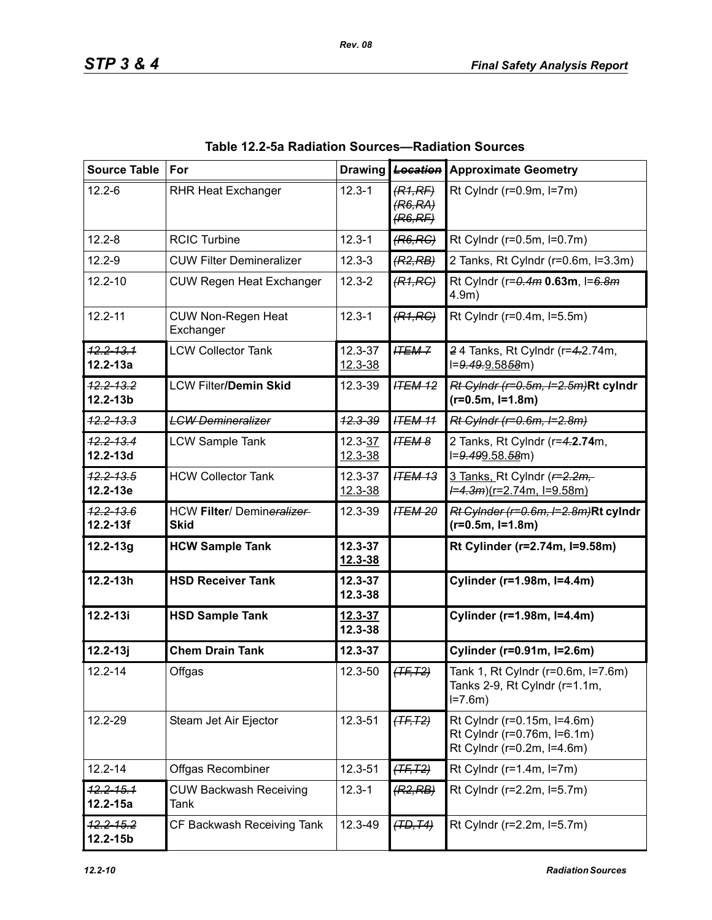| <b>Source Table</b>           | For                                       |                        | Drawing Location               | <b>Approximate Geometry</b>                                                              |
|-------------------------------|-------------------------------------------|------------------------|--------------------------------|------------------------------------------------------------------------------------------|
| $12.2 - 6$                    | <b>RHR Heat Exchanger</b>                 | $12.3 - 1$             | (R1,RF)<br>(R6, RA)<br>(R6,RF) | Rt Cylndr ( $r=0.9m$ , $l=7m$ )                                                          |
| $12.2 - 8$                    | <b>RCIC Turbine</b>                       | $12.3 - 1$             | (R6, RC)                       | Rt Cylndr (r=0.5m, l=0.7m)                                                               |
| $12.2 - 9$                    | <b>CUW Filter Demineralizer</b>           | $12.3 - 3$             | (R2, RB)                       | 2 Tanks, Rt Cylndr (r=0.6m, l=3.3m)                                                      |
| $12.2 - 10$                   | <b>CUW Regen Heat Exchanger</b>           | $12.3 - 2$             | (R1, RC)                       | Rt Cylndr (r=0.4m 0.63m, l=6.8m<br>$4.9m$ )                                              |
| $12.2 - 11$                   | <b>CUW Non-Regen Heat</b><br>Exchanger    | $12.3 - 1$             | (R1, RC)                       | Rt Cylndr (r=0.4m, l=5.5m)                                                               |
| $12.2 - 13.1$<br>$12.2 - 13a$ | <b>LCW Collector Tank</b>                 | 12.3-37<br>$12.3 - 38$ | <b>ITEM-7</b>                  | 24 Tanks, Rt Cylndr (r=4.2.74m,<br>l=9.49.9.5858m)                                       |
| $12.2 - 13.2$<br>$12.2 - 13b$ | <b>LCW Filter/Demin Skid</b>              | 12.3-39                | <b>ITEM 12</b>                 | Rt Cylndr (r=0.5m, I=2.5m)Rt cylndr<br>$(r=0.5m, I=1.8m)$                                |
| $42.2 - 13.3$                 | <b>LCW Demineralizer</b>                  | 12.3-39                | <b>ITEM 11</b>                 | Rt Cylndr (r=0.6m, I=2.8m)                                                               |
| $12.2 - 13.4$<br>$12.2 - 13d$ | <b>LCW Sample Tank</b>                    | 12.3-37<br>12.3-38     | <b>ITEM 8</b>                  | 2 Tanks, Rt Cylndr (r=4.2.74m,<br>l=9.499.58.58m)                                        |
| $12.2 - 13.5$<br>12.2-13e     | <b>HCW Collector Tank</b>                 | 12.3-37<br>12.3-38     | <b>ITEM 13</b>                 | 3 Tanks, Rt Cylndr ( $r=2.2m$ ,<br><del>/=4.3m</del> )(r=2.74m, l=9.58m)                 |
| $12.2 - 13.6$<br>$12.2 - 13f$ | HCW Filter/ Demineralizer-<br><b>Skid</b> | 12.3-39                | <b>ITEM 20</b>                 | $Rt$ Cylnder ( $r=0.6m$ , $l=2.8m$ )Rt cylndr<br>$(r=0.5m, I=1.8m)$                      |
| $12.2 - 13g$                  | <b>HCW Sample Tank</b>                    | $12.3 - 37$<br>12.3-38 |                                | Rt Cylinder (r=2.74m, l=9.58m)                                                           |
| $12.2 - 13h$                  | <b>HSD Receiver Tank</b>                  | 12.3-37<br>12.3-38     |                                | Cylinder (r=1.98m, l=4.4m)                                                               |
| $12.2 - 13i$                  | <b>HSD Sample Tank</b>                    | $12.3 - 37$<br>12.3-38 |                                | Cylinder (r=1.98m, l=4.4m)                                                               |
| $12.2 - 13j$                  | <b>Chem Drain Tank</b>                    | 12.3-37                |                                | Cylinder (r=0.91m, I=2.6m)                                                               |
| $12.2 - 14$                   | Offgas                                    | 12.3-50                | $(TF, T2)$                     | Tank 1, Rt Cylndr (r=0.6m, l=7.6m)<br>Tanks 2-9, Rt Cylndr (r=1.1m,<br>$I = 7.6m$        |
| 12.2-29                       | Steam Jet Air Ejector                     | 12.3-51                | $(TF, T2)$                     | Rt Cylndr (r=0.15m, l=4.6m)<br>Rt Cylndr (r=0.76m, l=6.1m)<br>Rt Cylndr (r=0.2m, l=4.6m) |
| $12.2 - 14$                   | <b>Offgas Recombiner</b>                  | 12.3-51                | $(TF, T2)$                     | Rt Cylndr ( $r=1.4$ m, $l=7$ m)                                                          |
| $12.2 - 15.1$<br>$12.2 - 15a$ | <b>CUW Backwash Receiving</b><br>Tank     | $12.3 - 1$             | (R2, RB)                       | Rt Cylndr (r=2.2m, l=5.7m)                                                               |
| $42.2 - 15.2$<br>$12.2 - 15b$ | CF Backwash Receiving Tank                | 12.3-49                | (TD, T4)                       | Rt Cylndr (r=2.2m, l=5.7m)                                                               |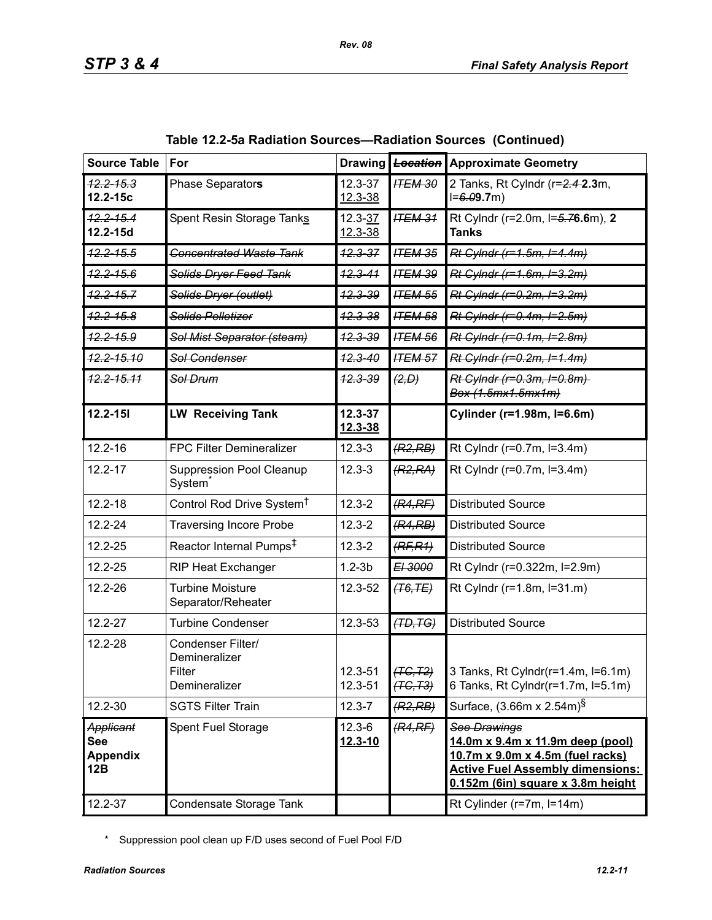| <b>Source Table</b>                               | For                                                           | <b>Drawing</b>            | Location               | <b>Approximate Geometry</b>                                                                                                                                                 |
|---------------------------------------------------|---------------------------------------------------------------|---------------------------|------------------------|-----------------------------------------------------------------------------------------------------------------------------------------------------------------------------|
| <del>12.2-15.3</del><br>12.2-15c                  | Phase Separators                                              | 12.3-37<br>$12.3 - 38$    | <b>ITEM 30</b>         | 2 Tanks, Rt Cylndr (r=2.4-2.3m,<br>$I = 6.09.7m$                                                                                                                            |
| <del>12.2-15.4</del><br>12.2-15d                  | Spent Resin Storage Tanks                                     | $12.3 - 37$<br>12.3-38    | <b>ITEM 31</b>         | Rt Cylndr (r=2.0m, I=5.76.6m), 2<br><b>Tanks</b>                                                                                                                            |
| <del>12.2-15.5</del>                              | <b>Concentrated Waste Tank</b>                                | $12.3 - 37$               | <b>ITEM 35</b>         | Rt Cylndr (r=1.5m, I=4.4m)                                                                                                                                                  |
| <del>12.2-15.6</del>                              | Solids Dryer Feed Tank                                        | $12.3 - 41$               | <b>ITEM 39</b>         | Rt Cylndr (r=1.6m, l=3.2m)                                                                                                                                                  |
| $12.2 - 15.7$                                     | Solids Dryer (outlet)                                         | <del>12.3-39</del>        | <b>ITEM 55</b>         | Rt Cylndr (r=0.2m, I=3.2m)                                                                                                                                                  |
| <del>12.2-15.8</del>                              | Solids Pelletizer                                             | $42.3 - 38$               | <b>ITEM 58</b>         | Rt Cylndr (r=0.4m, I=2.5m)                                                                                                                                                  |
| <del>12.2-15.9</del>                              | Sol Mist Separator (steam)                                    | 12.3-39                   | <b>ITEM 56</b>         | Rt Cylndr (r=0.1m, I=2.8m)                                                                                                                                                  |
| <del>12.2-15.10</del>                             | Sol-Gondenser                                                 | <del>12.3-40</del>        | <b>ITEM 57</b>         | Rt Cylndr (r=0.2m, I=1.4m)                                                                                                                                                  |
| <del>12.2-15.11</del>                             | Sol Drum                                                      | <del>12.3-39</del>        | (2, D)                 | Rt Cylndr (r=0.3m, I=0.8m)<br>Box (1.5mx1.5mx1m)                                                                                                                            |
| $12.2 - 151$                                      | <b>LW Receiving Tank</b>                                      | $12.3 - 37$<br>12.3-38    |                        | Cylinder (r=1.98m, l=6.6m)                                                                                                                                                  |
| $12.2 - 16$                                       | <b>FPC Filter Demineralizer</b>                               | $12.3 - 3$                | (R2, RB)               | Rt Cylndr (r=0.7m, l=3.4m)                                                                                                                                                  |
| 12.2-17                                           | <b>Suppression Pool Cleanup</b><br>System                     | $12.3 - 3$                | (R2, RA)               | Rt Cylndr (r=0.7m, l=3.4m)                                                                                                                                                  |
| $12.2 - 18$                                       | Control Rod Drive System <sup>†</sup>                         | $12.3 - 2$                | (R4,RF)                | <b>Distributed Source</b>                                                                                                                                                   |
| $12.2 - 24$                                       | <b>Traversing Incore Probe</b>                                | $12.3 - 2$                | (R4, RB)               | <b>Distributed Source</b>                                                                                                                                                   |
| 12.2-25                                           | Reactor Internal Pumps <sup>‡</sup>                           | $12.3 - 2$                | (RF, R1)               | <b>Distributed Source</b>                                                                                                                                                   |
| 12.2-25                                           | <b>RIP Heat Exchanger</b>                                     | $1.2-3b$                  | E <sub>1</sub> 3000    | Rt Cylndr (r=0.322m, l=2.9m)                                                                                                                                                |
| 12.2-26                                           | <b>Turbine Moisture</b><br>Separator/Reheater                 | 12.3-52                   | (T6, TE)               | Rt Cylndr (r=1.8m, l=31.m)                                                                                                                                                  |
| 12.2-27                                           | <b>Turbine Condenser</b>                                      | 12.3-53                   | (TD, TG)               | <b>Distributed Source</b>                                                                                                                                                   |
| 12.2-28                                           | Condenser Filter/<br>Demineralizer<br>Filter<br>Demineralizer | 12.3-51<br>12.3-51        | (TG, T2)<br>$(TC, T3)$ | 3 Tanks, Rt Cylndr(r=1.4m, l=6.1m)<br>6 Tanks, Rt Cylndr(r=1.7m, l=5.1m)                                                                                                    |
| 12.2-30                                           | <b>SGTS Filter Train</b>                                      | $12.3 - 7$                | (R2, RB)               | Surface, $(3.66m \times 2.54m)^{\$}$                                                                                                                                        |
| Applicant<br><b>See</b><br><b>Appendix</b><br>12B | Spent Fuel Storage                                            | $12.3 - 6$<br>$12.3 - 10$ | (R4,RF)                | See Drawings<br><u>14.0m x 9.4m x 11.9m deep (pool)</u><br>10.7m x 9.0m x 4.5m (fuel racks)<br><b>Active Fuel Assembly dimensions:</b><br>0.152m (6in) square x 3.8m height |
| 12.2-37                                           | Condensate Storage Tank                                       |                           |                        | Rt Cylinder (r=7m, l=14m)                                                                                                                                                   |

| Table 12.2-5a Radiation Sources—Radiation Sources (Continued) |  |  |
|---------------------------------------------------------------|--|--|
|---------------------------------------------------------------|--|--|

\* Suppression pool clean up F/D uses second of Fuel Pool F/D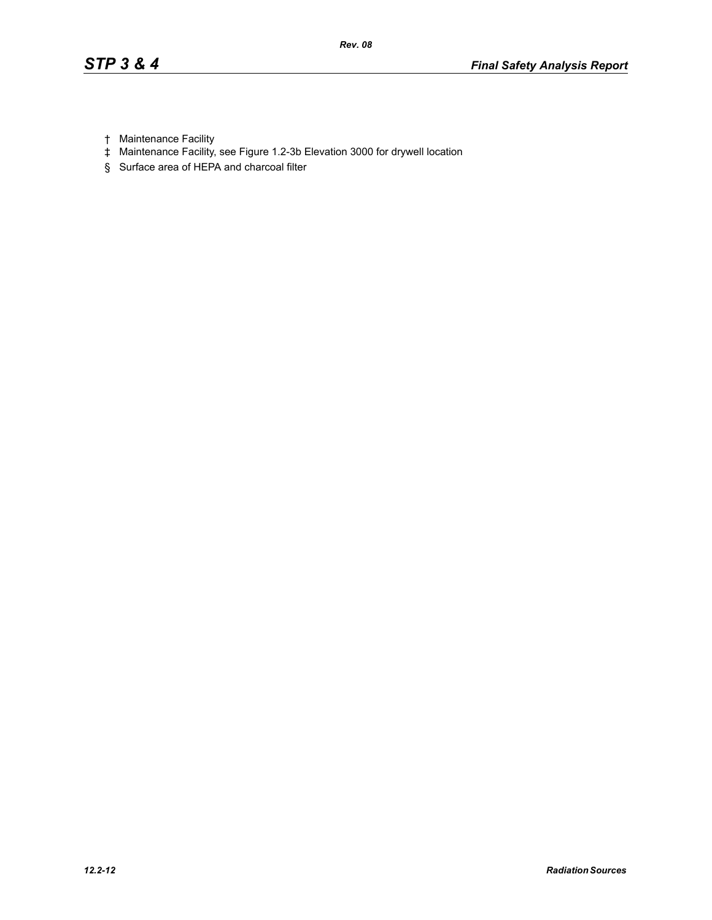- † Maintenance Facility
- ‡ Maintenance Facility, see Figure 1.2-3b Elevation 3000 for drywell location
- § Surface area of HEPA and charcoal filter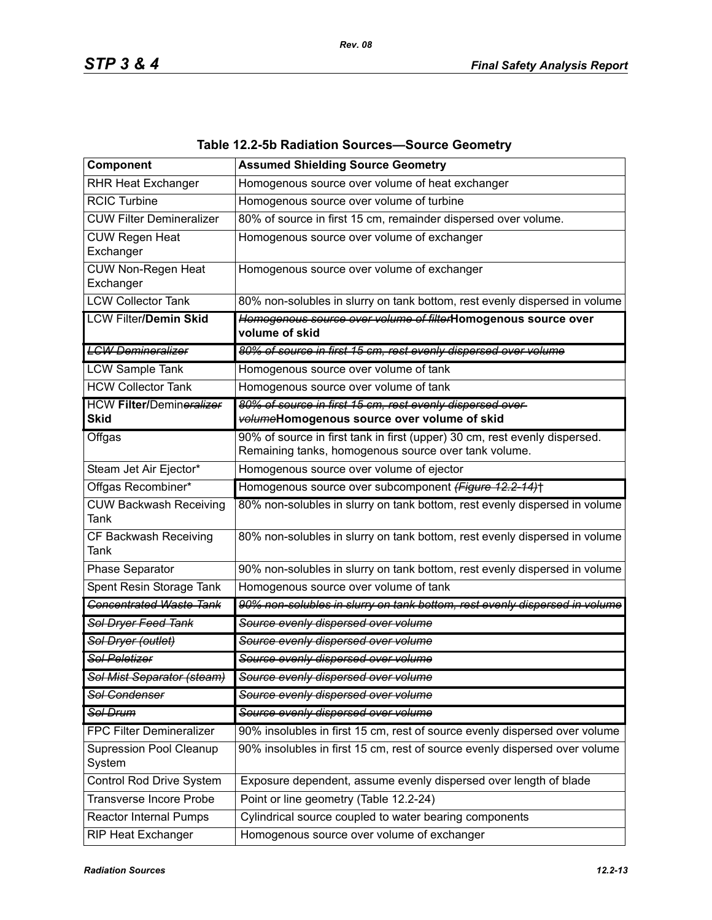| Component                                      | <b>Assumed Shielding Source Geometry</b>                                                                                           |
|------------------------------------------------|------------------------------------------------------------------------------------------------------------------------------------|
| RHR Heat Exchanger                             | Homogenous source over volume of heat exchanger                                                                                    |
| <b>RCIC Turbine</b>                            | Homogenous source over volume of turbine                                                                                           |
| <b>CUW Filter Demineralizer</b>                | 80% of source in first 15 cm, remainder dispersed over volume.                                                                     |
| <b>CUW Regen Heat</b><br>Exchanger             | Homogenous source over volume of exchanger                                                                                         |
| CUW Non-Regen Heat<br>Exchanger                | Homogenous source over volume of exchanger                                                                                         |
| <b>LCW Collector Tank</b>                      | 80% non-solubles in slurry on tank bottom, rest evenly dispersed in volume                                                         |
| <b>LCW Filter/Demin Skid</b>                   | Homogenous source over volume of filterHomogenous source over<br>volume of skid                                                    |
| <b>LCW Demineralizer</b>                       | 80% of source in first 15 cm, rest evenly dispersed over volume                                                                    |
| <b>LCW Sample Tank</b>                         | Homogenous source over volume of tank                                                                                              |
| <b>HCW Collector Tank</b>                      | Homogenous source over volume of tank                                                                                              |
| <b>HCW Filter/Demineralizer</b><br><b>Skid</b> | 80% of source in first 15 cm, rest evenly dispersed over-<br>volumeHomogenous source over volume of skid                           |
| Offgas                                         | 90% of source in first tank in first (upper) 30 cm, rest evenly dispersed.<br>Remaining tanks, homogenous source over tank volume. |
| Steam Jet Air Ejector*                         | Homogenous source over volume of ejector                                                                                           |
| Offgas Recombiner*                             | Homogenous source over subcomponent (Figure 12.2-14)+                                                                              |
| <b>CUW Backwash Receiving</b><br>Tank          | 80% non-solubles in slurry on tank bottom, rest evenly dispersed in volume                                                         |
| CF Backwash Receiving<br><b>Tank</b>           | 80% non-solubles in slurry on tank bottom, rest evenly dispersed in volume                                                         |
| Phase Separator                                | 90% non-solubles in slurry on tank bottom, rest evenly dispersed in volume                                                         |
| Spent Resin Storage Tank                       | Homogenous source over volume of tank                                                                                              |
| <b>Concentrated Waste Tank</b>                 | 90% non-solubles in slurry on tank bottom, rest evenly dispersed in volume                                                         |
| <b>Sol Dryer Feed Tank</b>                     | Source evenly dispersed over volume                                                                                                |
| Sol Dryer (outlet)                             | Source evenly dispersed over volume                                                                                                |
| <b>Sol Peletizer</b>                           | Source evenly dispersed over volume                                                                                                |
| Sol Mist Separator (steam)                     | Source evenly dispersed over volume                                                                                                |
| <b>Sol Condenser</b>                           | Source evenly dispersed over volume                                                                                                |
| Sol Drum                                       | Source evenly dispersed over volume                                                                                                |
| <b>FPC Filter Demineralizer</b>                | 90% insolubles in first 15 cm, rest of source evenly dispersed over volume                                                         |
| Supression Pool Cleanup<br>System              | 90% insolubles in first 15 cm, rest of source evenly dispersed over volume                                                         |
| Control Rod Drive System                       | Exposure dependent, assume evenly dispersed over length of blade                                                                   |
| Transverse Incore Probe                        | Point or line geometry (Table 12.2-24)                                                                                             |
| <b>Reactor Internal Pumps</b>                  | Cylindrical source coupled to water bearing components                                                                             |
| <b>RIP Heat Exchanger</b>                      | Homogenous source over volume of exchanger                                                                                         |

### **Table 12.2-5b Radiation Sources—Source Geometry**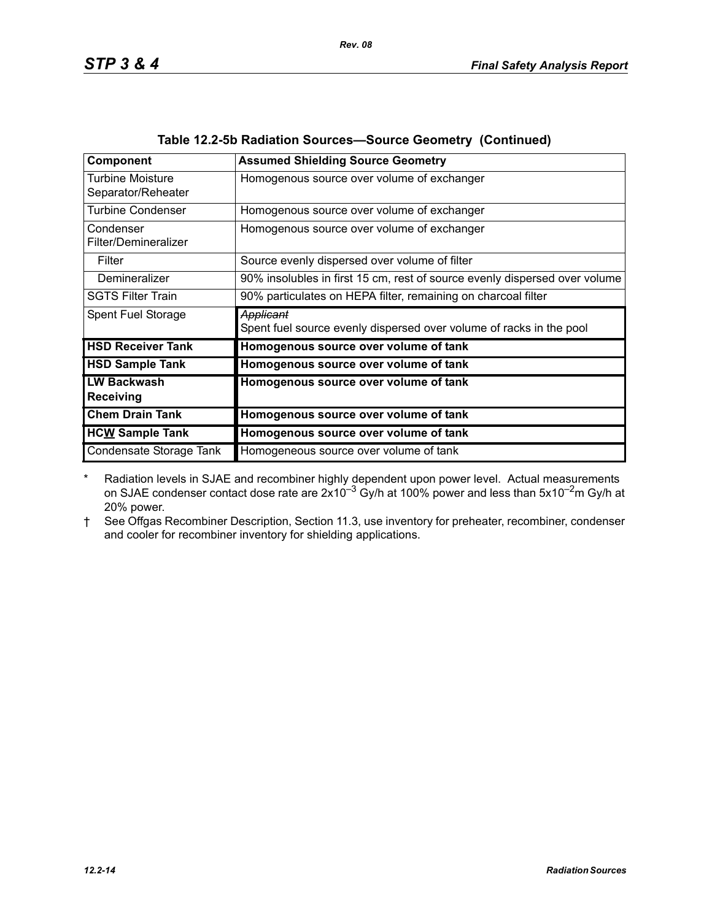| Component                              | <b>Assumed Shielding Source Geometry</b>                                         |
|----------------------------------------|----------------------------------------------------------------------------------|
| Turbine Moisture<br>Separator/Reheater | Homogenous source over volume of exchanger                                       |
| <b>Turbine Condenser</b>               | Homogenous source over volume of exchanger                                       |
| Condenser<br>Filter/Demineralizer      | Homogenous source over volume of exchanger                                       |
| Filter                                 | Source evenly dispersed over volume of filter                                    |
| <b>Demineralizer</b>                   | 90% insolubles in first 15 cm, rest of source evenly dispersed over volume       |
| <b>SGTS Filter Train</b>               | 90% particulates on HEPA filter, remaining on charcoal filter                    |
| Spent Fuel Storage                     | Applicant<br>Spent fuel source evenly dispersed over volume of racks in the pool |
| <b>HSD Receiver Tank</b>               | Homogenous source over volume of tank                                            |
| <b>HSD Sample Tank</b>                 | Homogenous source over volume of tank                                            |
| <b>LW Backwash</b><br><b>Receiving</b> | Homogenous source over volume of tank                                            |
| <b>Chem Drain Tank</b>                 | Homogenous source over volume of tank                                            |
| <b>HCW Sample Tank</b>                 | Homogenous source over volume of tank                                            |
| Condensate Storage Tank                | Homogeneous source over volume of tank                                           |

|  |  | Table 12.2-5b Radiation Sources-Source Geometry (Continued) |  |  |
|--|--|-------------------------------------------------------------|--|--|
|--|--|-------------------------------------------------------------|--|--|

\* Radiation levels in SJAE and recombiner highly dependent upon power level. Actual measurements on SJAE condenser contact dose rate are  $2x10^{-3}$  Gy/h at 100% power and less than 5x10<sup>-2</sup>m Gy/h at 20% power.

† See Offgas Recombiner Description, Section 11.3, use inventory for preheater, recombiner, condenser and cooler for recombiner inventory for shielding applications.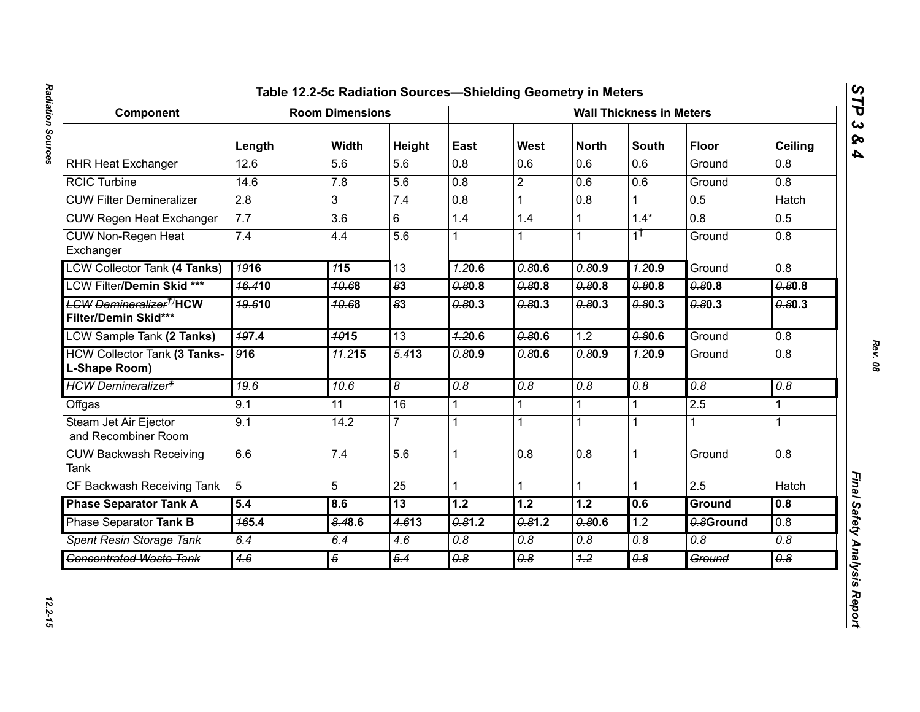## Radiation Sources *Radiation Sources 12.2-15*

# Component Table Racin Component Record of Real Record of Record of Record of Record Component (and the Component Component Record of Record of Record of Record of Record of Record of Record of Record of Record of Record o

*STP 3 & 4*

12.2-15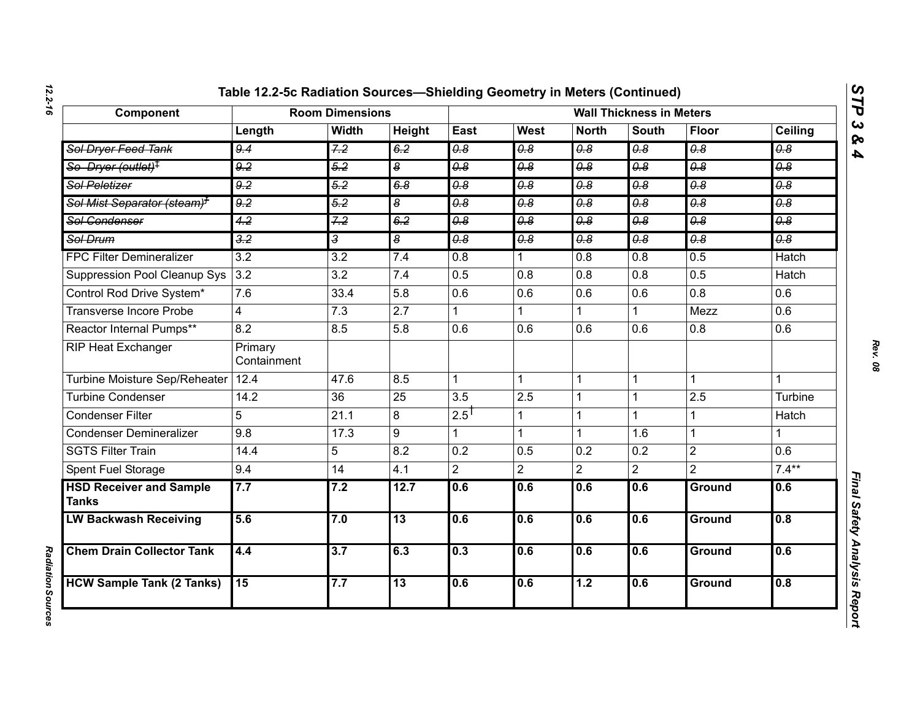| Component                                      | <b>Room Dimensions</b> |                  |                             | <b>Wall Thickness in Meters</b>  |                                  |                                  |                             |                                  |                                  |
|------------------------------------------------|------------------------|------------------|-----------------------------|----------------------------------|----------------------------------|----------------------------------|-----------------------------|----------------------------------|----------------------------------|
|                                                | Length                 | <b>Width</b>     | Height                      | East                             | West                             | <b>North</b>                     | <b>South</b>                | <b>Floor</b>                     | Ceiling                          |
| Sol Dryer Feed Tank                            | 9.4                    | 7.2              | 6.2                         | $\overline{\theta.8}$            | $\overline{\theta \cdot \theta}$ | $\overline{\theta.8}$            | $\overline{\theta.8}$       | $\overline{\theta.8}$            | $\overline{\theta.8}$            |
| So Dryer (outlet) <sup>‡</sup>                 | 9.2                    | 5.2              | $\overline{\boldsymbol{s}}$ | $\overline{\theta \cdot 8}$      | 0.8                              | 0.8                              | 0.8                         | $\overline{\theta.8}$            | 0.8                              |
| <b>Sol Peletizer</b>                           | $\overline{9.2}$       | $\overline{5.2}$ | 6.8                         | $\overline{\theta \cdot \theta}$ | $\overline{\theta \cdot \theta}$ | $\overline{\theta.8}$            | $\overline{\theta \cdot 8}$ | $\overline{\theta \cdot \theta}$ | $\overline{\theta \cdot \theta}$ |
| Sol Mist Separator (steam) <sup>7</sup>        | 9.2                    | 5.2              | $\overline{\boldsymbol{s}}$ | $\overline{\theta.8}$            | $\theta$ .8                      | $\theta$ .8                      | $\overline{\theta.8}$       | $\overline{\theta.8}$            | $\overline{\theta \cdot \theta}$ |
| Sol Condenser                                  | 4.2                    | 7.2              | 6.2                         | $\overline{0.8}$                 | 0.8                              | $\overline{\theta \cdot \theta}$ | $\overline{0.8}$            | $\overline{\theta.8}$            | 0.8                              |
| Sol Drum                                       | $\frac{3.2}{5}$        | 3                | $\overline{\boldsymbol{s}}$ | 0.8                              | $\overline{\theta.8}$            | $\overline{\theta.8}$            | $\overline{\theta.8}$       | $\overline{\theta.8}$            | $\overline{\theta \cdot \theta}$ |
| <b>FPC Filter Demineralizer</b>                | $\overline{3.2}$       | $\overline{3.2}$ | 7.4                         | $\overline{0.8}$                 |                                  | $\overline{0.8}$                 | 0.8                         | 0.5                              | <b>Hatch</b>                     |
| Suppression Pool Cleanup Sys                   | 3.2                    | $\overline{3.2}$ | 7.4                         | 0.5                              | $\overline{0.8}$                 | 0.8                              | 0.8                         | 0.5                              | <b>Hatch</b>                     |
| Control Rod Drive System*                      | 7.6                    | 33.4             | 5.8                         | 0.6                              | 0.6                              | 0.6                              | 0.6                         | 0.8                              | 0.6                              |
| Transverse Incore Probe                        | 4                      | $\overline{7.3}$ | $\overline{2.7}$            |                                  |                                  |                                  |                             | Mezz                             | 0.6                              |
| Reactor Internal Pumps**                       | 8.2                    | 8.5              | 5.8                         | 0.6                              | 0.6                              | 0.6                              | 0.6                         | 0.8                              | 0.6                              |
| RIP Heat Exchanger                             | Primary<br>Containment |                  |                             |                                  |                                  |                                  |                             |                                  |                                  |
| Turbine Moisture Sep/Reheater                  | 12.4                   | 47.6             | 8.5                         |                                  | $\mathbf{1}$                     | $\mathbf{1}$                     | $\mathbf 1$                 |                                  | 1                                |
| <b>Turbine Condenser</b>                       | 14.2                   | $\overline{36}$  | 25                          | 3.5                              | 2.5                              | $\overline{1}$                   |                             | 2.5                              | Turbine                          |
| <b>Condenser Filter</b>                        | 5                      | 21.1             | 8                           | $2.5$ <sup>T</sup>               | 1                                | $\mathbf{1}$                     | 1                           |                                  | Hatch                            |
| <b>Condenser Demineralizer</b>                 | 9.8                    | 17.3             | 9                           |                                  |                                  | $\mathbf{1}$                     | 1.6                         | 1                                | $\mathbf{1}$                     |
| <b>SGTS Filter Train</b>                       | 14.4                   | 5                | 8.2                         | $\overline{0.2}$                 | 0.5                              | 0.2                              | 0.2                         | $\overline{2}$                   | $\overline{0.6}$                 |
| Spent Fuel Storage                             | 9.4                    | 14               | 4.1                         | $\overline{2}$                   | $\overline{2}$                   | $\overline{2}$                   | $\overline{2}$              | $\overline{2}$                   | $7.4***$                         |
| <b>HSD Receiver and Sample</b><br><b>Tanks</b> | 7.7                    | 7.2              | 12.7                        | 0.6                              | 0.6                              | 0.6                              | 0.6                         | Ground                           | 0.6                              |
| <b>LW Backwash Receiving</b>                   | 5.6                    | 7.0              | 13                          | 0.6                              | 0.6                              | 0.6                              | 0.6                         | <b>Ground</b>                    | 0.8                              |
| <b>Chem Drain Collector Tank</b>               | 4.4                    | $\overline{3.7}$ | 6.3                         | 0.3                              | 0.6                              | 0.6                              | 0.6                         | Ground                           | 0.6                              |
| <b>HCW Sample Tank (2 Tanks)</b>               | 15                     | 7.7              | $\overline{13}$             | 0.6                              | 0.6                              | 1.2                              | 0.6                         | <b>Ground</b>                    | 0.8                              |

*STP 3 & 4*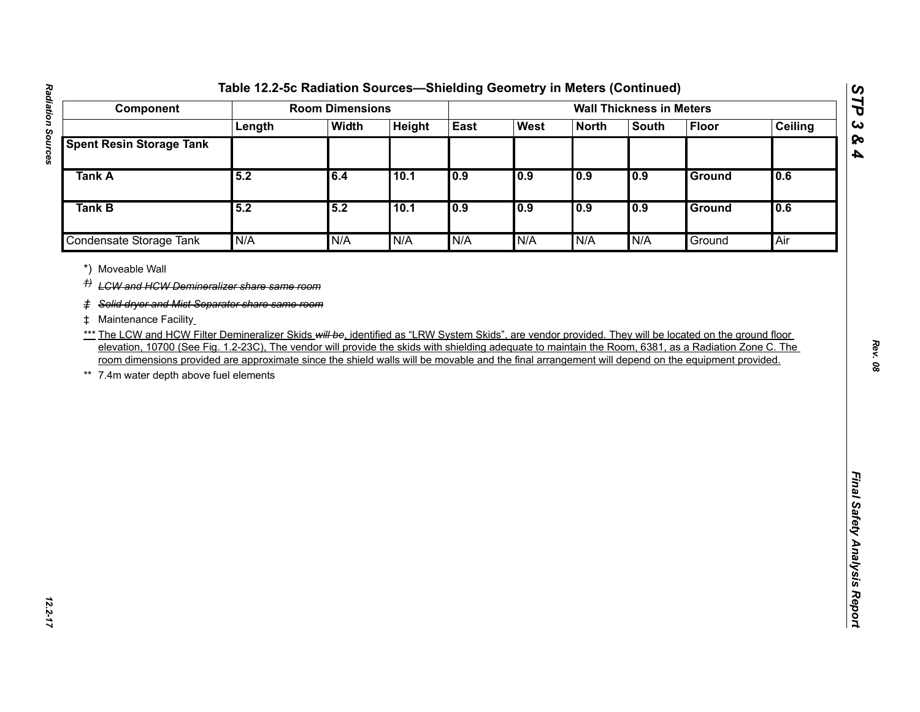| Component                                                                                                                                                                                                                                                                                                                                                                                                                                                                                                                                    |        | <b>Room Dimensions</b> |        |      |      |              | <b>Wall Thickness in Meters</b> |              |                |
|----------------------------------------------------------------------------------------------------------------------------------------------------------------------------------------------------------------------------------------------------------------------------------------------------------------------------------------------------------------------------------------------------------------------------------------------------------------------------------------------------------------------------------------------|--------|------------------------|--------|------|------|--------------|---------------------------------|--------------|----------------|
|                                                                                                                                                                                                                                                                                                                                                                                                                                                                                                                                              | Length | <b>Width</b>           | Height | East | West | <b>North</b> | <b>South</b>                    | <b>Floor</b> | <b>Ceiling</b> |
| <b>Spent Resin Storage Tank</b>                                                                                                                                                                                                                                                                                                                                                                                                                                                                                                              |        |                        |        |      |      |              |                                 |              |                |
| <b>Tank A</b>                                                                                                                                                                                                                                                                                                                                                                                                                                                                                                                                | 5.2    | 6.4                    | 10.1   | 0.9  | 0.9  | 0.9          | 0.9                             | Ground       | 0.6            |
| Tank B                                                                                                                                                                                                                                                                                                                                                                                                                                                                                                                                       | 5.2    | 5.2                    | 10.1   | 0.9  | 0.9  | 0.9          | 0.9                             | Ground       | 0.6            |
| Condensate Storage Tank                                                                                                                                                                                                                                                                                                                                                                                                                                                                                                                      | N/A    | N/A                    | N/A    | N/A  | N/A  | N/A          | N/A                             | Ground       | Air            |
| # Maintenance Facility<br>*** The LCW and HCW Filter Demineralizer Skids will be, identified as "LRW System Skids", are vendor provided. They will be located on the ground floor<br>elevation, 10700 (See Fig. 1.2-23C), The vendor will provide the skids with shielding adequate to maintain the Room, 6381, as a Radiation Zone C. The<br>room dimensions provided are approximate since the shield walls will be movable and the final arrangement will depend on the equipment provided.<br>7.4m water depth above fuel elements<br>** |        |                        |        |      |      |              |                                 |              |                |

*STP 3 & 4*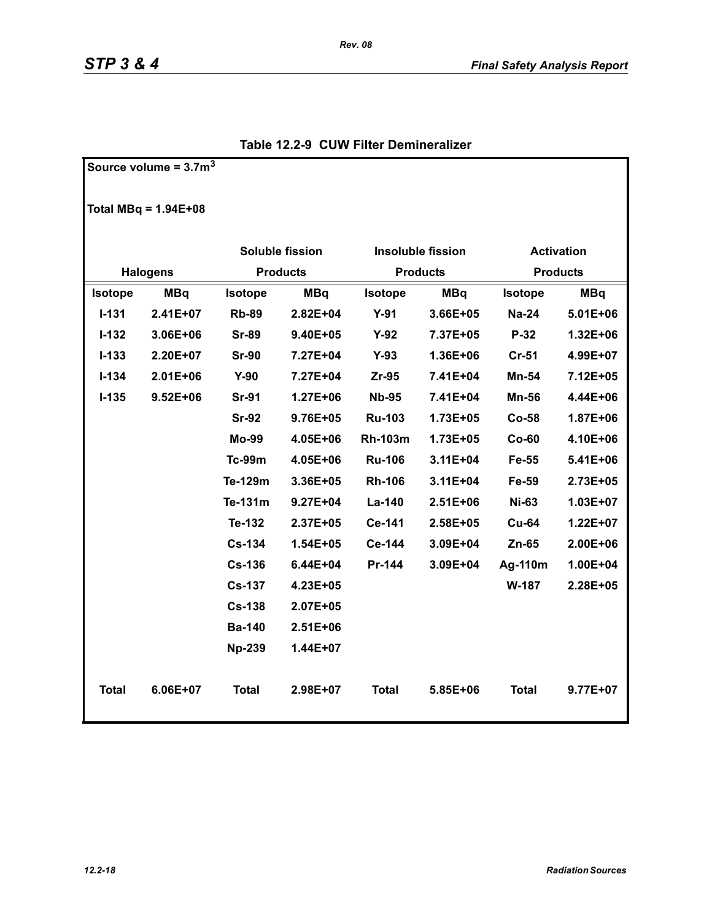**Source volume = 3.7m<sup>3</sup>**

|                | Total MBq = $1.94E+08$ |                              |                 |                |                          |                   |              |  |
|----------------|------------------------|------------------------------|-----------------|----------------|--------------------------|-------------------|--------------|--|
|                |                        | <b>Soluble fission</b>       |                 |                | <b>Insoluble fission</b> | <b>Activation</b> |              |  |
|                | <b>Halogens</b>        |                              | <b>Products</b> |                | <b>Products</b>          | <b>Products</b>   |              |  |
| <b>Isotope</b> | <b>MBq</b>             | <b>MBq</b><br><b>Isotope</b> |                 | <b>Isotope</b> | <b>MBq</b>               | <b>Isotope</b>    | <b>MBq</b>   |  |
| $I - 131$      | $2.41E+07$             | <b>Rb-89</b>                 | $2.82E + 04$    | $Y-91$         | 3.66E+05                 | $Na-24$           | $5.01E + 06$ |  |
| $I - 132$      | 3.06E+06               | <b>Sr-89</b>                 | 9.40E+05        | $Y-92$         | 7.37E+05                 | $P-32$            | 1.32E+06     |  |
| $I - 133$      | 2.20E+07               | <b>Sr-90</b>                 | 7.27E+04        | $Y-93$         | 1.36E+06                 | $Cr-51$           | 4.99E+07     |  |
| $I - 134$      | $2.01E + 06$           | $Y-90$                       | 7.27E+04        | Zr-95          | 7.41E+04                 | <b>Mn-54</b>      | 7.12E+05     |  |
| $I - 135$      | $9.52E + 06$           | <b>Sr-91</b>                 | 1.27E+06        | <b>Nb-95</b>   | 7.41E+04                 | <b>Mn-56</b>      | 4.44E+06     |  |
|                |                        | <b>Sr-92</b>                 | 9.76E+05        | <b>Ru-103</b>  | 1.73E+05                 | Co-58             | 1.87E+06     |  |
|                |                        | Mo-99                        | 4.05E+06        | <b>Rh-103m</b> | 1.73E+05                 | $Co-60$           | 4.10E+06     |  |
|                |                        | <b>Tc-99m</b>                | 4.05E+06        | <b>Ru-106</b>  | 3.11E+04                 | Fe-55             | 5.41E+06     |  |
|                |                        | Te-129m                      | 3.36E+05        | <b>Rh-106</b>  | $3.11E + 04$             | Fe-59             | 2.73E+05     |  |
|                |                        | Te-131m                      | $9.27E + 04$    | $La-140$       | $2.51E + 06$             | <b>Ni-63</b>      | $1.03E + 07$ |  |
|                |                        | Te-132                       | 2.37E+05        | Ce-141         | 2.58E+05                 | <b>Cu-64</b>      | $1.22E+07$   |  |
|                |                        | <b>Cs-134</b>                | $1.54E + 05$    | Ce-144         | 3.09E+04                 | $Zn-65$           | 2.00E+06     |  |
|                |                        | <b>Cs-136</b>                | 6.44E+04        | Pr-144         | 3.09E+04                 | Ag-110m           | 1.00E+04     |  |
|                |                        | <b>Cs-137</b>                | 4.23E+05        |                |                          | W-187             | 2.28E+05     |  |
|                |                        | <b>Cs-138</b>                | 2.07E+05        |                |                          |                   |              |  |
|                |                        | <b>Ba-140</b>                | $2.51E + 06$    |                |                          |                   |              |  |
|                |                        | <b>Np-239</b>                | 1.44E+07        |                |                          |                   |              |  |
| <b>Total</b>   | 6.06E+07               | <b>Total</b>                 | 2.98E+07        | <b>Total</b>   | 5.85E+06                 | <b>Total</b>      | 9.77E+07     |  |

### **Table 12.2-9 CUW Filter Demineralizer**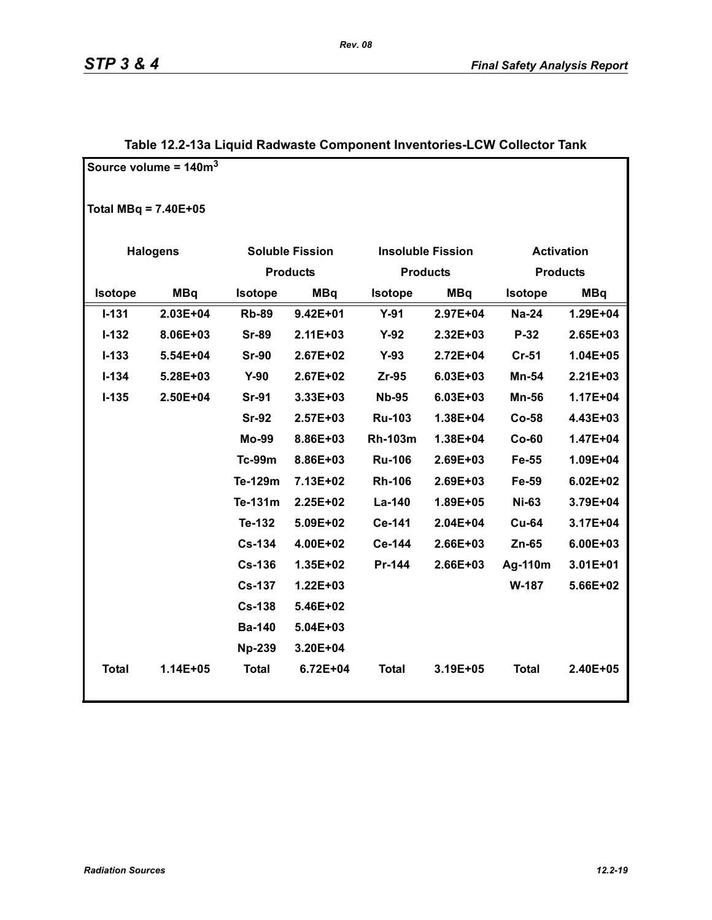|                        | Source volume = $140m3$ |                 |                        |                 |                          |                   |                 |
|------------------------|-------------------------|-----------------|------------------------|-----------------|--------------------------|-------------------|-----------------|
| Total MBq = $7.40E+05$ |                         |                 |                        |                 |                          |                   |                 |
|                        | <b>Halogens</b>         |                 | <b>Soluble Fission</b> |                 | <b>Insoluble Fission</b> | <b>Activation</b> |                 |
|                        |                         | <b>Products</b> |                        | <b>Products</b> |                          |                   | <b>Products</b> |
| Isotope                | <b>MBq</b>              | <b>Isotope</b>  | <b>MBq</b>             | Isotope         | <b>MBq</b>               | <b>Isotope</b>    | <b>MBq</b>      |
| $I - 131$              | $2.03E + 04$            | <b>Rb-89</b>    | $9.42E + 01$           | $Y-91$          | 2.97E+04                 | <b>Na-24</b>      | 1.29E+04        |
| $I-132$                | 8.06E+03                | <b>Sr-89</b>    | $2.11E + 03$           | $Y-92$          | $2.32E + 03$             | $P-32$            | 2.65E+03        |
| $I - 133$              | 5.54E+04                | <b>Sr-90</b>    | 2.67E+02               | $Y-93$          | 2.72E+04                 | $Cr-51$           | $1.04E + 05$    |
| $I - 134$              | 5.28E+03                | $Y-90$          | 2.67E+02               | Zr-95           | 6.03E+03                 | Mn-54             | $2.21E + 03$    |
| $I-135$                | 2.50E+04                | <b>Sr-91</b>    | 3.33E+03               | <b>Nb-95</b>    | 6.03E+03                 | <b>Mn-56</b>      | 1.17E+04        |
|                        |                         | <b>Sr-92</b>    | 2.57E+03               | <b>Ru-103</b>   | 1.38E+04                 | Co-58             | 4.43E+03        |
|                        |                         | <b>Mo-99</b>    | 8.86E+03               | <b>Rh-103m</b>  | 1.38E+04                 | $Co-60$           | 1.47E+04        |
|                        |                         | <b>Tc-99m</b>   | 8.86E+03               | <b>Ru-106</b>   | 2.69E+03                 | Fe-55             | 1.09E+04        |
|                        |                         | Te-129m         | 7.13E+02               | <b>Rh-106</b>   | 2.69E+03                 | Fe-59             | $6.02E + 02$    |
|                        |                         | Te-131m         | 2.25E+02               | La-140          | 1.89E+05                 | <b>Ni-63</b>      | 3.79E+04        |
|                        |                         | Te-132          | 5.09E+02               | Ce-141          | 2.04E+04                 | <b>Cu-64</b>      | 3.17E+04        |
|                        |                         | <b>Cs-134</b>   | 4.00E+02               | Ce-144          | 2.66E+03                 | Zn-65             | 6.00E+03        |
|                        |                         | <b>Cs-136</b>   | 1.35E+02               | Pr-144          | 2.66E+03                 | Ag-110m           | $3.01E + 01$    |
|                        |                         | <b>Cs-137</b>   | $1.22E + 03$           |                 |                          | W-187             | 5.66E+02        |
|                        |                         | <b>Cs-138</b>   | 5.46E+02               |                 |                          |                   |                 |
|                        |                         | <b>Ba-140</b>   | 5.04E+03               |                 |                          |                   |                 |
|                        |                         | <b>Np-239</b>   | 3.20E+04               |                 |                          |                   |                 |
| <b>Total</b>           | 1.14E+05                | <b>Total</b>    | $6.72E + 04$           | <b>Total</b>    | 3.19E+05                 | <b>Total</b>      | 2.40E+05        |

### **Table 12.2-13a Liquid Radwaste Component Inventories-LCW Collector Tank**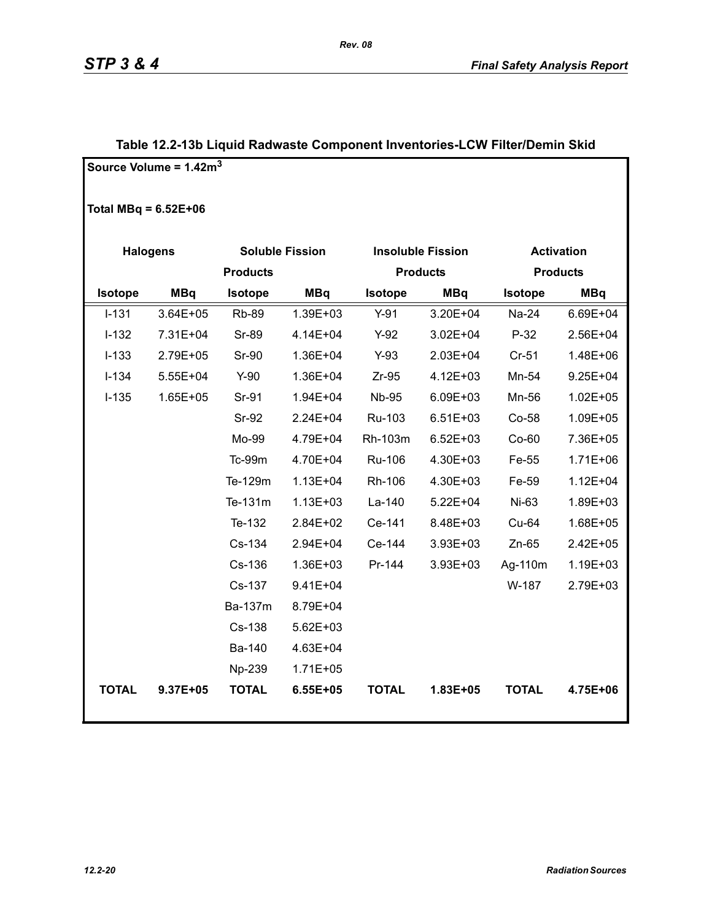|                        | Source Volume = 1.42m <sup>3</sup> |                 |                        |              |                          |                 |                   |
|------------------------|------------------------------------|-----------------|------------------------|--------------|--------------------------|-----------------|-------------------|
| Total MBq = $6.52E+06$ |                                    |                 |                        |              |                          |                 |                   |
| <b>Halogens</b>        |                                    |                 | <b>Soluble Fission</b> |              | <b>Insoluble Fission</b> |                 | <b>Activation</b> |
|                        |                                    | <b>Products</b> |                        |              | <b>Products</b>          | <b>Products</b> |                   |
| <b>Isotope</b>         | <b>MBq</b>                         | <b>Isotope</b>  | <b>MBq</b>             | Isotope      | <b>MBq</b>               | <b>Isotope</b>  | <b>MBq</b>        |
| $I-131$                | 3.64E+05                           | <b>Rb-89</b>    | 1.39E+03               | $Y-91$       | 3.20E+04                 | Na-24           | 6.69E+04          |
| $I-132$                | 7.31E+04                           | <b>Sr-89</b>    | 4.14E+04               | $Y-92$       | $3.02E + 04$             | $P-32$          | 2.56E+04          |
| $I-133$                | 2.79E+05                           | <b>Sr-90</b>    | 1.36E+04               | $Y-93$       | 2.03E+04                 | $Cr-51$         | 1.48E+06          |
| $I-134$                | 5.55E+04                           | $Y-90$          | 1.36E+04               | $Zr-95$      | 4.12E+03                 | Mn-54           | $9.25E + 04$      |
| $I-135$                | 1.65E+05                           | Sr-91           | 1.94E+04               | <b>Nb-95</b> | 6.09E+03                 | Mn-56           | $1.02E + 05$      |
|                        |                                    | Sr-92           | 2.24E+04               | Ru-103       | $6.51E + 03$             | Co-58           | 1.09E+05          |
|                        |                                    | Mo-99           | 4.79E+04               | Rh-103m      | $6.52E + 03$             | $Co-60$         | 7.36E+05          |
|                        |                                    | Tc-99m          | 4.70E+04               | Ru-106       | 4.30E+03                 | Fe-55           | 1.71E+06          |
|                        |                                    | Te-129m         | $1.13E + 04$           | Rh-106       | 4.30E+03                 | Fe-59           | $1.12E + 04$      |
|                        |                                    | Te-131m         | $1.13E + 03$           | La-140       | $5.22E + 04$             | Ni-63           | 1.89E+03          |
|                        |                                    | Te-132          | 2.84E+02               | Ce-141       | 8.48E+03                 | Cu-64           | 1.68E+05          |
|                        |                                    | Cs-134          | 2.94E+04               | Ce-144       | 3.93E+03                 | $Zn-65$         | 2.42E+05          |
|                        |                                    | Cs-136          | 1.36E+03               | Pr-144       | 3.93E+03                 | Ag-110m         | 1.19E+03          |
|                        |                                    | Cs-137          | 9.41E+04               |              |                          | W-187           | 2.79E+03          |
|                        |                                    | Ba-137m         | 8.79E+04               |              |                          |                 |                   |
|                        |                                    | Cs-138          | $5.62E + 03$           |              |                          |                 |                   |
|                        |                                    | Ba-140          | 4.63E+04               |              |                          |                 |                   |
|                        |                                    | Np-239          | $1.71E + 05$           |              |                          |                 |                   |
| <b>TOTAL</b>           | 9.37E+05                           | <b>TOTAL</b>    | $6.55E + 05$           | <b>TOTAL</b> | 1.83E+05                 | <b>TOTAL</b>    | 4.75E+06          |

### **Table 12.2-13b Liquid Radwaste Component Inventories-LCW Filter/Demin Skid**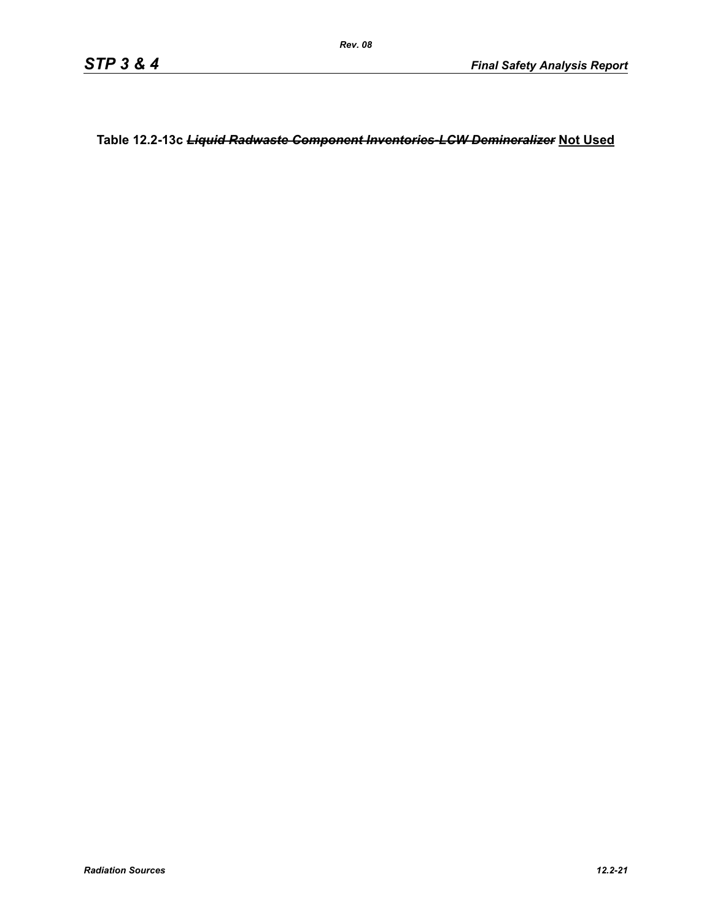**Table 12.2-13c** *Liquid Radwaste Component Inventories-LCW Demineralizer* **Not Used**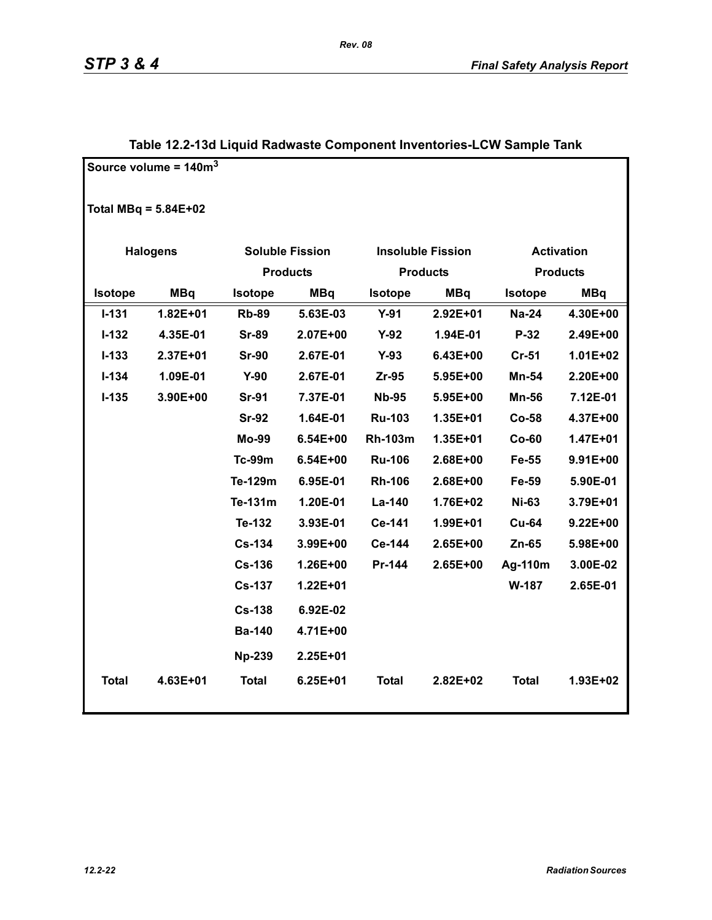|              | Source volume = $140m3$ |                        |                 |                |                          |                |                   |
|--------------|-------------------------|------------------------|-----------------|----------------|--------------------------|----------------|-------------------|
|              | Total MBq = $5.84E+02$  |                        |                 |                |                          |                |                   |
|              | <b>Halogens</b>         | <b>Soluble Fission</b> |                 |                | <b>Insoluble Fission</b> |                | <b>Activation</b> |
|              |                         |                        | <b>Products</b> |                | <b>Products</b>          |                | <b>Products</b>   |
| Isotope      | <b>MBq</b>              | <b>Isotope</b>         | <b>MBq</b>      | <b>Isotope</b> | <b>MBq</b>               | <b>Isotope</b> | <b>MBq</b>        |
| $I - 131$    | 1.82E+01                | <b>Rb-89</b>           | 5.63E-03        | $Y-91$         | $2.92E + 01$             | <b>Na-24</b>   | 4.30E+00          |
| $I-132$      | 4.35E-01                | <b>Sr-89</b>           | 2.07E+00        | $Y-92$         | 1.94E-01                 | P-32           | 2.49E+00          |
| $I - 133$    | 2.37E+01                | <b>Sr-90</b>           | 2.67E-01        | $Y-93$         | 6.43E+00                 | $Cr-51$        | $1.01E + 02$      |
| $I - 134$    | 1.09E-01                | $Y-90$                 | 2.67E-01        | Zr-95          | 5.95E+00                 | Mn-54          | 2.20E+00          |
| $I-135$      | 3.90E+00                | <b>Sr-91</b>           | 7.37E-01        | <b>Nb-95</b>   | 5.95E+00                 | <b>Mn-56</b>   | 7.12E-01          |
|              |                         | <b>Sr-92</b>           | 1.64E-01        | <b>Ru-103</b>  | 1.35E+01                 | <b>Co-58</b>   | 4.37E+00          |
|              |                         | <b>Mo-99</b>           | 6.54E+00        | <b>Rh-103m</b> | 1.35E+01                 | $Co-60$        | 1.47E+01          |
|              |                         | <b>Tc-99m</b>          | 6.54E+00        | <b>Ru-106</b>  | 2.68E+00                 | Fe-55          | 9.91E+00          |
|              |                         | Te-129m                | 6.95E-01        | <b>Rh-106</b>  | 2.68E+00                 | Fe-59          | 5.90E-01          |
|              |                         | Te-131m                | 1.20E-01        | La-140         | 1.76E+02                 | <b>Ni-63</b>   | 3.79E+01          |
|              |                         | Te-132                 | 3.93E-01        | Ce-141         | 1.99E+01                 | <b>Cu-64</b>   | $9.22E + 00$      |
|              |                         | <b>Cs-134</b>          | 3.99E+00        | Ce-144         | 2.65E+00                 | $Zn-65$        | 5.98E+00          |
|              |                         | <b>Cs-136</b>          | 1.26E+00        | Pr-144         | 2.65E+00                 | Ag-110m        | 3.00E-02          |
|              |                         | <b>Cs-137</b>          | $1.22E + 01$    |                |                          | W-187          | 2.65E-01          |
|              |                         | <b>Cs-138</b>          | 6.92E-02        |                |                          |                |                   |
|              |                         | <b>Ba-140</b>          | 4.71E+00        |                |                          |                |                   |
|              |                         | <b>Np-239</b>          | 2.25E+01        |                |                          |                |                   |
| <b>Total</b> | 4.63E+01                | <b>Total</b>           | $6.25E + 01$    | <b>Total</b>   | 2.82E+02                 | <b>Total</b>   | 1.93E+02          |

### **Table 12.2-13d Liquid Radwaste Component Inventories-LCW Sample Tank**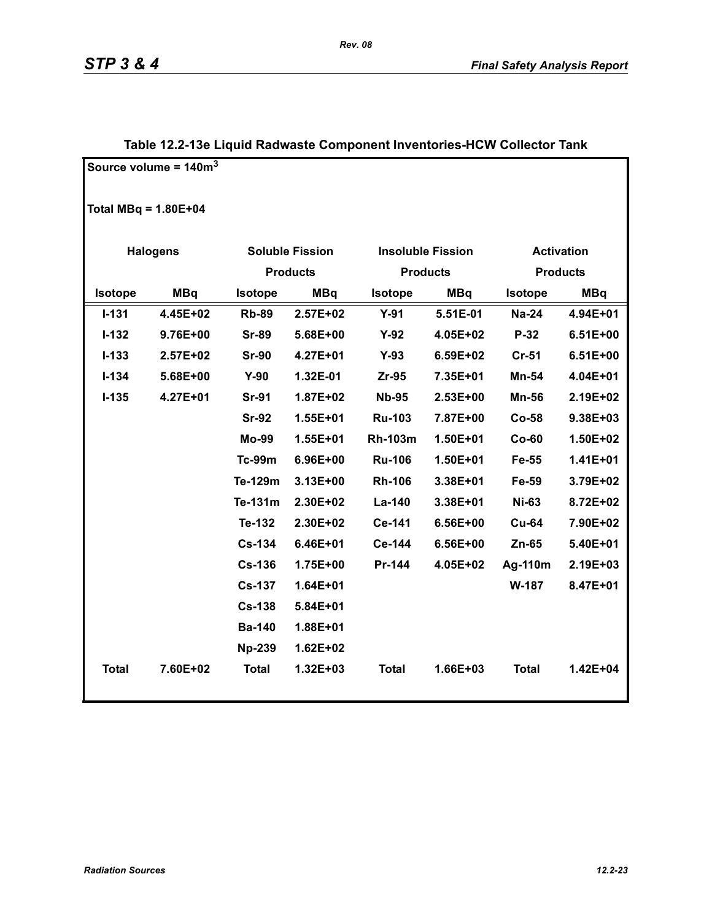|                          | Source volume = $140m3$ |                       |                        |                |                          |                   |                 |
|--------------------------|-------------------------|-----------------------|------------------------|----------------|--------------------------|-------------------|-----------------|
| Total $MBq = 1.80E + 04$ |                         |                       |                        |                |                          |                   |                 |
|                          | <b>Halogens</b>         |                       | <b>Soluble Fission</b> |                | <b>Insoluble Fission</b> | <b>Activation</b> |                 |
|                          |                         |                       | <b>Products</b>        |                | <b>Products</b>          |                   | <b>Products</b> |
| Isotope                  | <b>MBq</b>              | <b>MBq</b><br>Isotope |                        | Isotope        | <b>MBq</b>               | <b>Isotope</b>    | <b>MBq</b>      |
| $I - 131$                | 4.45E+02                | <b>Rb-89</b>          | 2.57E+02               | $Y-91$         | 5.51E-01                 | <b>Na-24</b>      | 4.94E+01        |
| $I-132$                  | 9.76E+00                | <b>Sr-89</b>          | 5.68E+00               | $Y-92$         | 4.05E+02                 | $P-32$            | $6.51E+00$      |
| $I - 133$                | 2.57E+02                | <b>Sr-90</b>          | 4.27E+01               | $Y-93$         | 6.59E+02                 | $Cr-51$           | $6.51E+00$      |
| $I - 134$                | 5.68E+00                | $Y-90$                | 1.32E-01               | $Zr-95$        | 7.35E+01                 | Mn-54             | 4.04E+01        |
| $I-135$                  | 4.27E+01                | <b>Sr-91</b>          | 1.87E+02               | <b>Nb-95</b>   | 2.53E+00                 | <b>Mn-56</b>      | 2.19E+02        |
|                          |                         | <b>Sr-92</b>          | 1.55E+01               | <b>Ru-103</b>  | 7.87E+00                 | Co-58             | 9.38E+03        |
|                          |                         | Mo-99                 | 1.55E+01               | <b>Rh-103m</b> | 1.50E+01                 | $Co-60$           | 1.50E+02        |
|                          |                         | <b>Tc-99m</b>         | 6.96E+00               | <b>Ru-106</b>  | 1.50E+01                 | Fe-55             | 1.41E+01        |
|                          |                         | Te-129m               | 3.13E+00               | <b>Rh-106</b>  | 3.38E+01                 | Fe-59             | 3.79E+02        |
|                          |                         | Te-131m               | 2.30E+02               | La-140         | 3.38E+01                 | <b>Ni-63</b>      | 8.72E+02        |
|                          |                         | Te-132                | 2.30E+02               | Ce-141         | 6.56E+00                 | <b>Cu-64</b>      | 7.90E+02        |
|                          |                         | <b>Cs-134</b>         | 6.46E+01               | Ce-144         | 6.56E+00                 | Zn-65             | 5.40E+01        |
|                          |                         | <b>Cs-136</b>         | 1.75E+00               | Pr-144         | 4.05E+02                 | Ag-110m           | 2.19E+03        |
|                          |                         | <b>Cs-137</b>         | 1.64E+01               |                |                          | W-187             | 8.47E+01        |
|                          |                         | <b>Cs-138</b>         | 5.84E+01               |                |                          |                   |                 |
|                          |                         | <b>Ba-140</b>         | 1.88E+01               |                |                          |                   |                 |
|                          |                         | <b>Np-239</b>         | $1.62E + 02$           |                |                          |                   |                 |
| <b>Total</b>             | 7.60E+02                | <b>Total</b>          | $1.32E + 03$           | <b>Total</b>   | 1.66E+03                 | <b>Total</b>      | 1.42E+04        |

### **Table 12.2-13e Liquid Radwaste Component Inventories-HCW Collector Tank**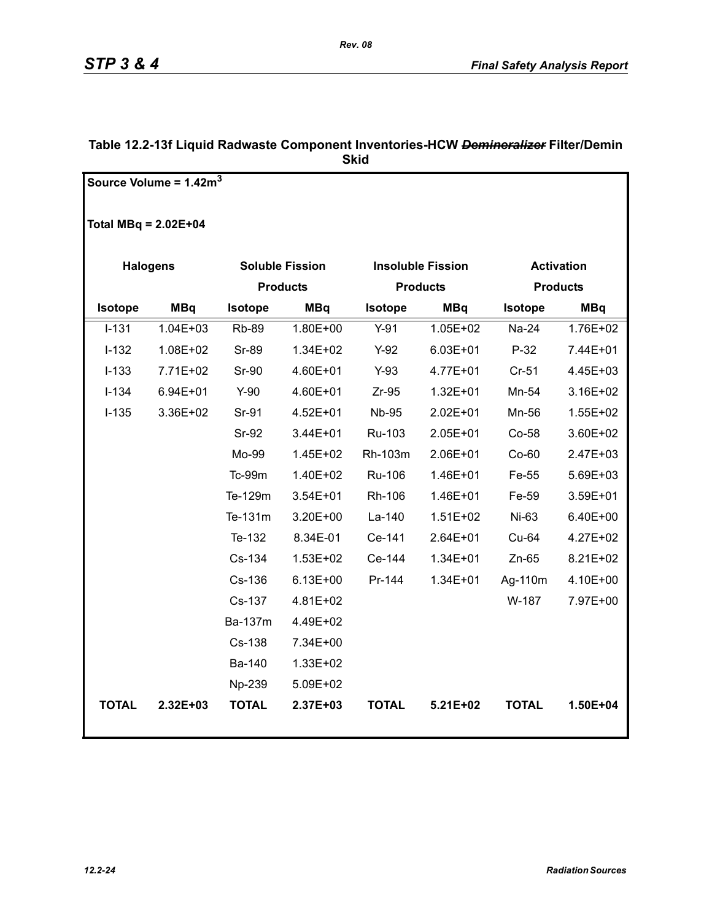|                        | Source Volume = $1.42m3$ |                        |              |                |                          |                   |                 |
|------------------------|--------------------------|------------------------|--------------|----------------|--------------------------|-------------------|-----------------|
|                        |                          |                        |              |                |                          |                   |                 |
| Total MBq = $2.02E+04$ |                          |                        |              |                |                          |                   |                 |
|                        |                          |                        |              |                |                          |                   |                 |
|                        | <b>Halogens</b>          | <b>Soluble Fission</b> |              |                | <b>Insoluble Fission</b> | <b>Activation</b> |                 |
|                        | <b>Products</b>          |                        |              |                | <b>Products</b>          |                   | <b>Products</b> |
| <b>Isotope</b>         | <b>MBq</b>               | <b>Isotope</b>         | <b>MBq</b>   | <b>Isotope</b> | <b>MBq</b>               | <b>Isotope</b>    | <b>MBq</b>      |
| $I-131$                | $1.04E + 03$             | <b>Rb-89</b>           | 1.80E+00     | $Y-91$         | 1.05E+02                 | Na-24             | 1.76E+02        |
| $I-132$                | 1.08E+02                 | <b>Sr-89</b>           | 1.34E+02     | $Y-92$         | $6.03E + 01$             | $P-32$            | 7.44E+01        |
| $I-133$                | 7.71E+02                 | <b>Sr-90</b>           | 4.60E+01     | $Y-93$         | 4.77E+01                 | $Cr-51$           | 4.45E+03        |
| $I-134$                | 6.94E+01                 | $Y-90$                 | 4.60E+01     | $Zr-95$        | $1.32E + 01$             | Mn-54             | 3.16E+02        |
| $I-135$                | 3.36E+02                 | Sr-91                  | 4.52E+01     | <b>Nb-95</b>   | 2.02E+01                 | Mn-56             | $1.55E + 02$    |
|                        |                          | <b>Sr-92</b>           | 3.44E+01     | Ru-103         | 2.05E+01                 | Co-58             | 3.60E+02        |
|                        |                          | Mo-99                  | 1.45E+02     | Rh-103m        | 2.06E+01                 | $Co-60$           | 2.47E+03        |
|                        |                          | Tc-99m                 | 1.40E+02     | Ru-106         | 1.46E+01                 | Fe-55             | 5.69E+03        |
|                        |                          | Te-129m                | 3.54E+01     | Rh-106         | 1.46E+01                 | Fe-59             | 3.59E+01        |
|                        |                          | Te-131m                | 3.20E+00     | La-140         | $1.51E + 02$             | Ni-63             | 6.40E+00        |
|                        |                          | Te-132                 | 8.34E-01     | Ce-141         | 2.64E+01                 | Cu-64             | 4.27E+02        |
|                        |                          | Cs-134                 | 1.53E+02     | Ce-144         | $1.34E + 01$             | $Zn-65$           | 8.21E+02        |
|                        |                          | Cs-136                 | $6.13E + 00$ | Pr-144         | 1.34E+01                 | Ag-110m           | 4.10E+00        |
|                        |                          | Cs-137                 | 4.81E+02     |                |                          | W-187             | 7.97E+00        |
|                        |                          | Ba-137m                | 4.49E+02     |                |                          |                   |                 |
|                        |                          | Cs-138                 | 7.34E+00     |                |                          |                   |                 |
|                        |                          | Ba-140                 | 1.33E+02     |                |                          |                   |                 |
|                        |                          | Np-239                 | 5.09E+02     |                |                          |                   |                 |
| <b>TOTAL</b>           | 2.32E+03                 | <b>TOTAL</b>           | 2.37E+03     | <b>TOTAL</b>   | 5.21E+02                 | <b>TOTAL</b>      | 1.50E+04        |
|                        |                          |                        |              |                |                          |                   |                 |

### **Table 12.2-13f Liquid Radwaste Component Inventories-HCW** *Demineralizer* **Filter/Demin Skid**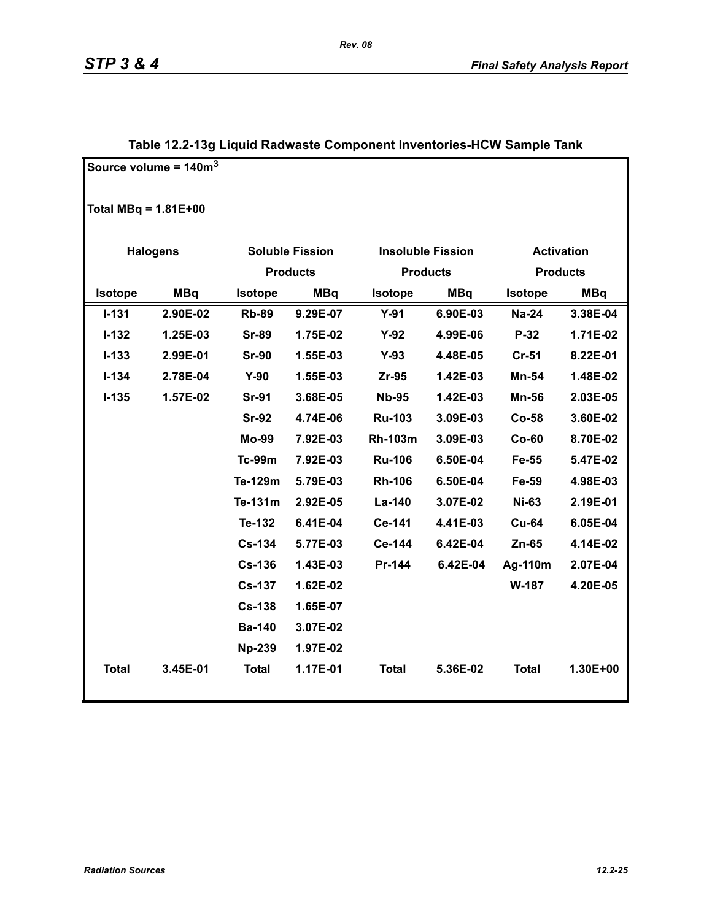|                        | Source volume = $140m3$ |                 |                        |                          |            |                 |            |
|------------------------|-------------------------|-----------------|------------------------|--------------------------|------------|-----------------|------------|
|                        |                         |                 |                        |                          |            |                 |            |
| Total $MBq = 1.81E+00$ |                         |                 |                        |                          |            |                 |            |
|                        | <b>Activation</b>       |                 |                        |                          |            |                 |            |
|                        | <b>Halogens</b>         |                 | <b>Soluble Fission</b> | <b>Insoluble Fission</b> |            |                 |            |
|                        |                         | <b>Products</b> |                        | <b>Products</b>          |            | <b>Products</b> |            |
| Isotope                | <b>MBq</b>              | <b>Isotope</b>  | <b>MBq</b>             | <b>Isotope</b>           | <b>MBq</b> | <b>Isotope</b>  | <b>MBq</b> |
| $I - 131$              | 2.90E-02                | <b>Rb-89</b>    | 9.29E-07               | $Y-91$                   | 6.90E-03   | <b>Na-24</b>    | 3.38E-04   |
| $I - 132$              | 1.25E-03                | <b>Sr-89</b>    | 1.75E-02               | $Y-92$                   | 4.99E-06   | P-32            | 1.71E-02   |
| $I-133$                | 2.99E-01                | <b>Sr-90</b>    | 1.55E-03               | $Y-93$                   | 4.48E-05   | $Cr-51$         | 8.22E-01   |
| $I - 134$              | 2.78E-04                | $Y-90$          | 1.55E-03               | $Zr-95$                  | 1.42E-03   | Mn-54           | 1.48E-02   |
| $I-135$                | 1.57E-02                | <b>Sr-91</b>    | 3.68E-05               | <b>Nb-95</b>             | 1.42E-03   | <b>Mn-56</b>    | 2.03E-05   |
|                        |                         | <b>Sr-92</b>    | 4.74E-06               | <b>Ru-103</b>            | 3.09E-03   | <b>Co-58</b>    | 3.60E-02   |
|                        |                         | <b>Mo-99</b>    | 7.92E-03               | <b>Rh-103m</b>           | 3.09E-03   | $Co-60$         | 8.70E-02   |
|                        |                         | Tc-99m          | 7.92E-03               | <b>Ru-106</b>            | 6.50E-04   | Fe-55           | 5.47E-02   |
|                        |                         | Te-129m         | 5.79E-03               | <b>Rh-106</b>            | 6.50E-04   | Fe-59           | 4.98E-03   |
|                        |                         | Te-131m         | 2.92E-05               | La-140                   | 3.07E-02   | <b>Ni-63</b>    | 2.19E-01   |
|                        |                         | Te-132          | 6.41E-04               | Ce-141                   | 4.41E-03   | <b>Cu-64</b>    | 6.05E-04   |
|                        |                         | <b>Cs-134</b>   | 5.77E-03               | Ce-144                   | 6.42E-04   | $Zn-65$         | 4.14E-02   |
|                        |                         | <b>Cs-136</b>   | 1.43E-03               | Pr-144                   | 6.42E-04   | Ag-110m         | 2.07E-04   |
|                        |                         | <b>Cs-137</b>   | 1.62E-02               |                          |            | <b>W-187</b>    | 4.20E-05   |
|                        |                         | <b>Cs-138</b>   | 1.65E-07               |                          |            |                 |            |
|                        |                         | <b>Ba-140</b>   | 3.07E-02               |                          |            |                 |            |
|                        |                         | <b>Np-239</b>   | 1.97E-02               |                          |            |                 |            |
| <b>Total</b>           | 3.45E-01                | <b>Total</b>    | 1.17E-01               | <b>Total</b>             | 5.36E-02   | <b>Total</b>    | 1.30E+00   |
|                        |                         |                 |                        |                          |            |                 |            |

### **Table 12.2-13g Liquid Radwaste Component Inventories-HCW Sample Tank**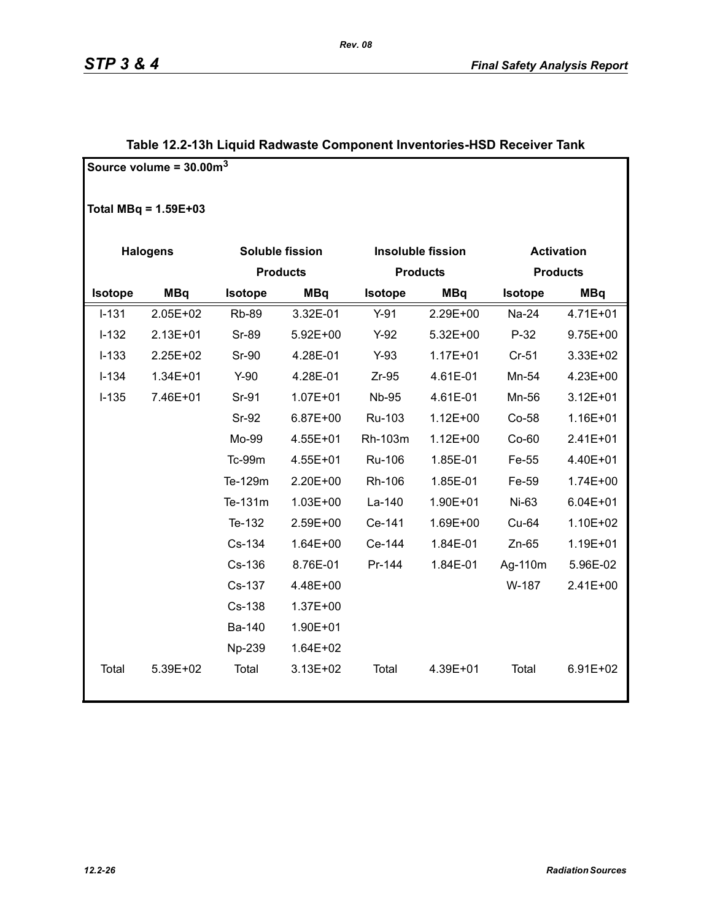|                 | Source volume = $30.00m3$ |              |                 |              |                          |                   |                 |  |
|-----------------|---------------------------|--------------|-----------------|--------------|--------------------------|-------------------|-----------------|--|
|                 | Total MBq = $1.59E+03$    |              |                 |              |                          |                   |                 |  |
| <b>Halogens</b> |                           |              | Soluble fission |              | <b>Insoluble fission</b> | <b>Activation</b> |                 |  |
|                 |                           |              | <b>Products</b> |              | <b>Products</b>          |                   | <b>Products</b> |  |
| Isotope         | <b>MBq</b>                | Isotope      | <b>MBq</b>      |              | <b>MBq</b>               | Isotope           | <b>MBq</b>      |  |
| $I - 131$       | 2.05E+02                  | <b>Rb-89</b> | 3.32E-01        | $Y-91$       | 2.29E+00                 | Na-24             | 4.71E+01        |  |
| $I-132$         | 2.13E+01                  | Sr-89        | 5.92E+00        | $Y-92$       | 5.32E+00                 | $P-32$            | $9.75E + 00$    |  |
| $I-133$         | 2.25E+02                  | <b>Sr-90</b> | 4.28E-01        | $Y-93$       | $1.17E + 01$             | $Cr-51$           | 3.33E+02        |  |
| $I-134$         | 1.34E+01                  | $Y-90$       | 4.28E-01        | $Zr-95$      | 4.61E-01                 | Mn-54             | 4.23E+00        |  |
| $I-135$         | 7.46E+01                  | Sr-91        | $1.07E + 01$    | <b>Nb-95</b> | 4.61E-01                 | Mn-56             | $3.12E + 01$    |  |
|                 |                           | Sr-92        | 6.87E+00        | Ru-103       | $1.12E + 00$             | Co-58             | 1.16E+01        |  |
|                 |                           | Mo-99        | 4.55E+01        | Rh-103m      | $1.12E + 00$             | $Co-60$           | 2.41E+01        |  |
|                 |                           | Tc-99m       | 4.55E+01        | Ru-106       | 1.85E-01                 | Fe-55             | 4.40E+01        |  |
|                 |                           | Te-129m      | 2.20E+00        | Rh-106       | 1.85E-01                 | Fe-59             | $1.74E + 00$    |  |
|                 |                           | Te-131m      | $1.03E + 00$    | La-140       | 1.90E+01                 | Ni-63             | $6.04E + 01$    |  |
|                 |                           | Te-132       | 2.59E+00        | Ce-141       | 1.69E+00                 | Cu-64             | 1.10E+02        |  |
|                 |                           | Cs-134       | 1.64E+00        | Ce-144       | 1.84E-01                 | $Zn-65$           | 1.19E+01        |  |
|                 |                           | Cs-136       | 8.76E-01        | Pr-144       | 1.84E-01                 | Ag-110m           | 5.96E-02        |  |
|                 |                           | Cs-137       | 4.48E+00        |              |                          | W-187             | 2.41E+00        |  |
|                 |                           | Cs-138       | 1.37E+00        |              |                          |                   |                 |  |
|                 |                           | Ba-140       | 1.90E+01        |              |                          |                   |                 |  |
|                 |                           | Np-239       | 1.64E+02        |              |                          |                   |                 |  |
| Total           | 5.39E+02                  | Total        | 3.13E+02        | Total        | 4.39E+01                 | Total             | 6.91E+02        |  |

### **Table 12.2-13h Liquid Radwaste Component Inventories-HSD Receiver Tank**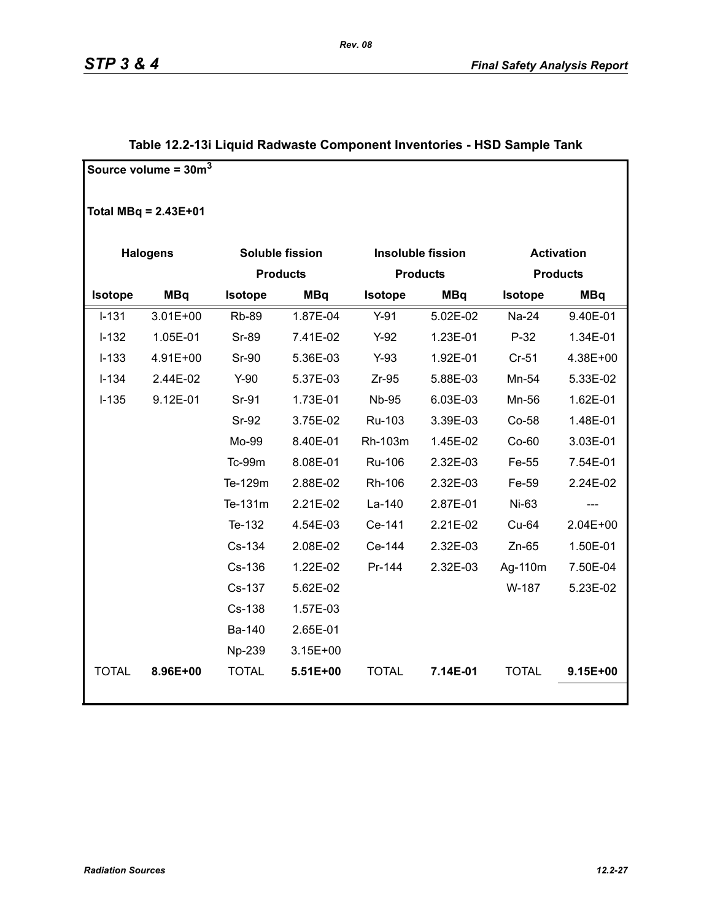|                | Source volume = $30m^3$ |               |                 |                |                          |                   |                 |
|----------------|-------------------------|---------------|-----------------|----------------|--------------------------|-------------------|-----------------|
|                | Total $MBq = 2.43E+01$  |               |                 |                |                          |                   |                 |
|                | <b>Halogens</b>         |               | Soluble fission |                | <b>Insoluble fission</b> | <b>Activation</b> |                 |
|                |                         |               | <b>Products</b> |                | <b>Products</b>          |                   | <b>Products</b> |
| <b>Isotope</b> | <b>MBq</b>              | Isotope       | <b>MBq</b>      | <b>Isotope</b> | <b>MBq</b>               | <b>Isotope</b>    | <b>MBq</b>      |
| $I-131$        | $3.01E + 00$            | <b>Rb-89</b>  | 1.87E-04        | $Y-91$         | 5.02E-02                 | Na-24             | 9.40E-01        |
| $I-132$        | 1.05E-01                | Sr-89         | 7.41E-02        | $Y-92$         | 1.23E-01                 | $P-32$            | 1.34E-01        |
| $I-133$        | 4.91E+00                | <b>Sr-90</b>  | 5.36E-03        | $Y-93$         | 1.92E-01                 | $Cr-51$           | 4.38E+00        |
| $I-134$        | 2.44E-02                | $Y-90$        | 5.37E-03        | $Zr-95$        | 5.88E-03                 | Mn-54             | 5.33E-02        |
| $I-135$        | 9.12E-01                | Sr-91         | 1.73E-01        | <b>Nb-95</b>   | 6.03E-03                 | Mn-56             | 1.62E-01        |
|                |                         | <b>Sr-92</b>  | 3.75E-02        | Ru-103         | 3.39E-03                 | Co-58             | 1.48E-01        |
|                |                         | Mo-99         | 8.40E-01        | Rh-103m        | 1.45E-02                 | $Co-60$           | 3.03E-01        |
|                |                         | <b>Tc-99m</b> | 8.08E-01        | Ru-106         | 2.32E-03                 | Fe-55             | 7.54E-01        |
|                |                         | Te-129m       | 2.88E-02        | Rh-106         | 2.32E-03                 | Fe-59             | 2.24E-02        |
|                |                         | Te-131m       | 2.21E-02        | La-140         | 2.87E-01                 | Ni-63             |                 |
|                |                         | Te-132        | 4.54E-03        | Ce-141         | 2.21E-02                 | Cu-64             | 2.04E+00        |
|                |                         | Cs-134        | 2.08E-02        | Ce-144         | 2.32E-03                 | $Zn-65$           | 1.50E-01        |
|                |                         | Cs-136        | 1.22E-02        | Pr-144         | 2.32E-03                 | Ag-110m           | 7.50E-04        |
|                |                         | Cs-137        | 5.62E-02        |                |                          | W-187             | 5.23E-02        |
|                |                         | Cs-138        | 1.57E-03        |                |                          |                   |                 |
|                |                         | Ba-140        | 2.65E-01        |                |                          |                   |                 |
|                |                         | Np-239        | $3.15E + 00$    |                |                          |                   |                 |
| <b>TOTAL</b>   | 8.96E+00                | <b>TOTAL</b>  | 5.51E+00        | <b>TOTAL</b>   | 7.14E-01                 | <b>TOTAL</b>      | $9.15E + 00$    |
|                |                         |               |                 |                |                          |                   |                 |

### **Table 12.2-13i Liquid Radwaste Component Inventories - HSD Sample Tank**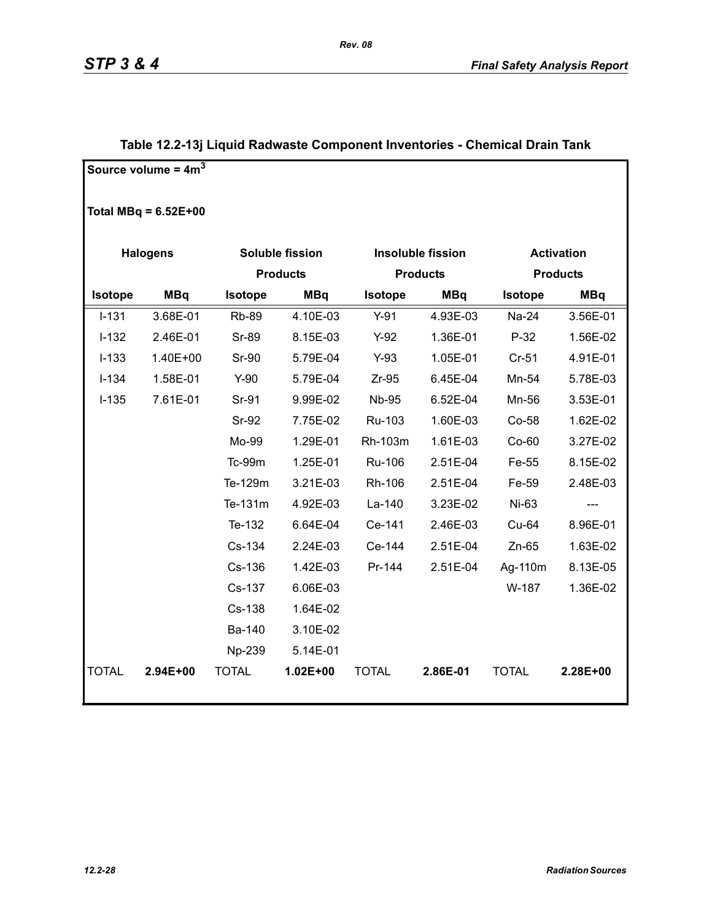|                | Source volume = $4m3$  |              |                        |                |                          |              |                   |
|----------------|------------------------|--------------|------------------------|----------------|--------------------------|--------------|-------------------|
|                | Total MBq = $6.52E+00$ |              |                        |                |                          |              |                   |
|                | <b>Halogens</b>        |              | <b>Soluble fission</b> |                | <b>Insoluble fission</b> |              | <b>Activation</b> |
|                |                        |              | <b>Products</b>        |                | <b>Products</b>          |              | <b>Products</b>   |
| <b>Isotope</b> | <b>MBq</b>             | Isotope      | <b>MBq</b>             | <b>Isotope</b> | <b>MBq</b>               | Isotope      | <b>MBq</b>        |
| $I - 131$      | 3.68E-01               | <b>Rb-89</b> | 4.10E-03               | $Y-91$         | 4.93E-03                 | Na-24        | 3.56E-01          |
| $I-132$        | 2.46E-01               | <b>Sr-89</b> | 8.15E-03               | $Y-92$         | 1.36E-01                 | $P-32$       | 1.56E-02          |
| $I-133$        | 1.40E+00               | <b>Sr-90</b> | 5.79E-04               | $Y-93$         | 1.05E-01                 | $Cr-51$      | 4.91E-01          |
| $I-134$        | 1.58E-01               | $Y-90$       | 5.79E-04               | $Zr-95$        | 6.45E-04                 | Mn-54        | 5.78E-03          |
| $I-135$        | 7.61E-01               | Sr-91        | 9.99E-02               | <b>Nb-95</b>   | 6.52E-04                 | Mn-56        | 3.53E-01          |
|                |                        | Sr-92        | 7.75E-02               | Ru-103         | 1.60E-03                 | Co-58        | 1.62E-02          |
|                |                        | Mo-99        | 1.29E-01               | Rh-103m        | 1.61E-03                 | $Co-60$      | 3.27E-02          |
|                |                        | Tc-99m       | 1.25E-01               | <b>Ru-106</b>  | 2.51E-04                 | Fe-55        | 8.15E-02          |
|                |                        | Te-129m      | 3.21E-03               | Rh-106         | 2.51E-04                 | Fe-59        | 2.48E-03          |
|                |                        | Te-131m      | 4.92E-03               | La-140         | 3.23E-02                 | Ni-63        |                   |
|                |                        | Te-132       | 6.64E-04               | Ce-141         | 2.46E-03                 | Cu-64        | 8.96E-01          |
|                |                        | Cs-134       | 2.24E-03               | Ce-144         | 2.51E-04                 | $Zn-65$      | 1.63E-02          |
|                |                        | Cs-136       | 1.42E-03               | Pr-144         | 2.51E-04                 | Ag-110m      | 8.13E-05          |
|                |                        | Cs-137       | 6.06E-03               |                |                          | W-187        | 1.36E-02          |
|                |                        | Cs-138       | 1.64E-02               |                |                          |              |                   |
|                |                        | Ba-140       | 3.10E-02               |                |                          |              |                   |
|                |                        | Np-239       | 5.14E-01               |                |                          |              |                   |
| <b>TOTAL</b>   | 2.94E+00               | <b>TOTAL</b> | $1.02E + 00$           | <b>TOTAL</b>   | 2.86E-01                 | <b>TOTAL</b> | 2.28E+00          |
|                |                        |              |                        |                |                          |              |                   |

### **Table 12.2-13j Liquid Radwaste Component Inventories - Chemical Drain Tank**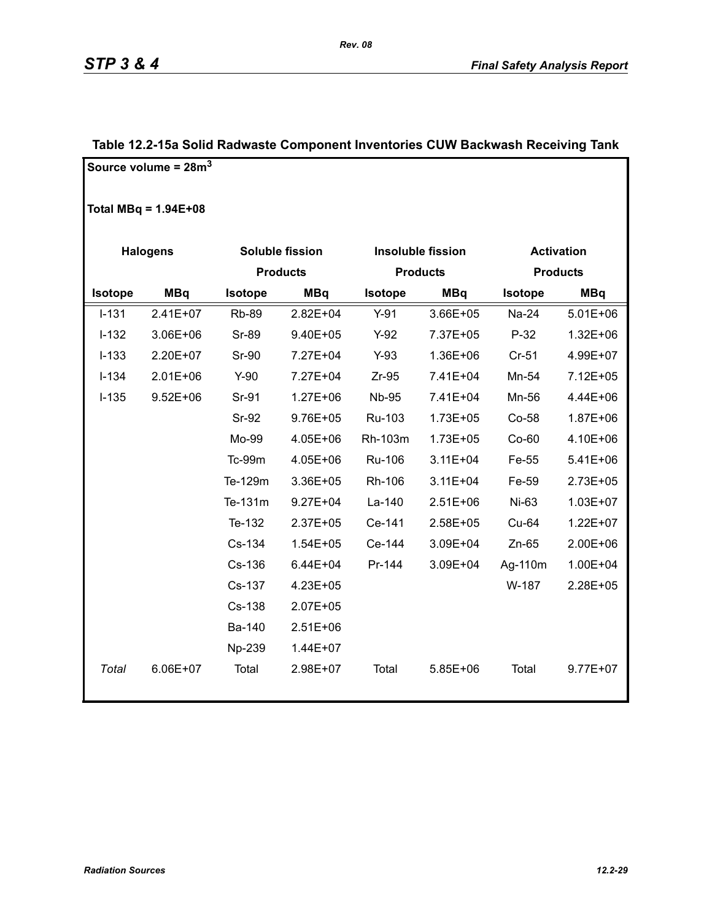|                | Source volume = $28m3$ |                |                 |                |                          |                |                   |
|----------------|------------------------|----------------|-----------------|----------------|--------------------------|----------------|-------------------|
|                | Total MBq = $1.94E+08$ |                |                 |                |                          |                |                   |
|                | <b>Halogens</b>        |                | Soluble fission |                | <b>Insoluble fission</b> |                | <b>Activation</b> |
|                |                        |                | <b>Products</b> |                | <b>Products</b>          |                | <b>Products</b>   |
| <b>Isotope</b> | <b>MBq</b>             | <b>Isotope</b> | <b>MBq</b>      | <b>Isotope</b> | <b>MBq</b>               | <b>Isotope</b> | <b>MBq</b>        |
| $I - 131$      | 2.41E+07               | <b>Rb-89</b>   | $2.82E + 04$    | $Y-91$         | 3.66E+05                 | Na-24          | $5.01E + 06$      |
| $I-132$        | 3.06E+06               | Sr-89          | 9.40E+05        | $Y-92$         | 7.37E+05                 | P-32           | $1.32E + 06$      |
| $I-133$        | 2.20E+07               | <b>Sr-90</b>   | 7.27E+04        | $Y-93$         | 1.36E+06                 | $Cr-51$        | 4.99E+07          |
| $I-134$        | $2.01E + 06$           | $Y-90$         | 7.27E+04        | $Zr-95$        | 7.41E+04                 | Mn-54          | 7.12E+05          |
| $I-135$        | $9.52E + 06$           | Sr-91          | $1.27E + 06$    | <b>Nb-95</b>   | 7.41E+04                 | Mn-56          | 4.44E+06          |
|                |                        | Sr-92          | 9.76E+05        | Ru-103         | $1.73E + 05$             | Co-58          | 1.87E+06          |
|                |                        | Mo-99          | 4.05E+06        | Rh-103m        | $1.73E + 05$             | Co-60          | 4.10E+06          |
|                |                        | Tc-99m         | 4.05E+06        | Ru-106         | $3.11E + 04$             | Fe-55          | 5.41E+06          |
|                |                        | Te-129m        | 3.36E+05        | Rh-106         | $3.11E + 04$             | Fe-59          | 2.73E+05          |
|                |                        | Te-131m        | $9.27E + 04$    | La-140         | $2.51E + 06$             | Ni-63          | 1.03E+07          |
|                |                        | Te-132         | $2.37E + 05$    | Ce-141         | 2.58E+05                 | Cu-64          | 1.22E+07          |
|                |                        | Cs-134         | $1.54E + 05$    | Ce-144         | 3.09E+04                 | $Zn-65$        | 2.00E+06          |
|                |                        | Cs-136         | $6.44E + 04$    | Pr-144         | 3.09E+04                 | Ag-110m        | 1.00E+04          |
|                |                        | Cs-137         | 4.23E+05        |                |                          | W-187          | 2.28E+05          |
|                |                        | Cs-138         | 2.07E+05        |                |                          |                |                   |
|                |                        | Ba-140         | $2.51E+06$      |                |                          |                |                   |
|                |                        | Np-239         | 1.44E+07        |                |                          |                |                   |
| Total          | 6.06E+07               | Total          | 2.98E+07        | Total          | 5.85E+06                 | Total          | $9.77E + 07$      |

### **Table 12.2-15a Solid Radwaste Component Inventories CUW Backwash Receiving Tank**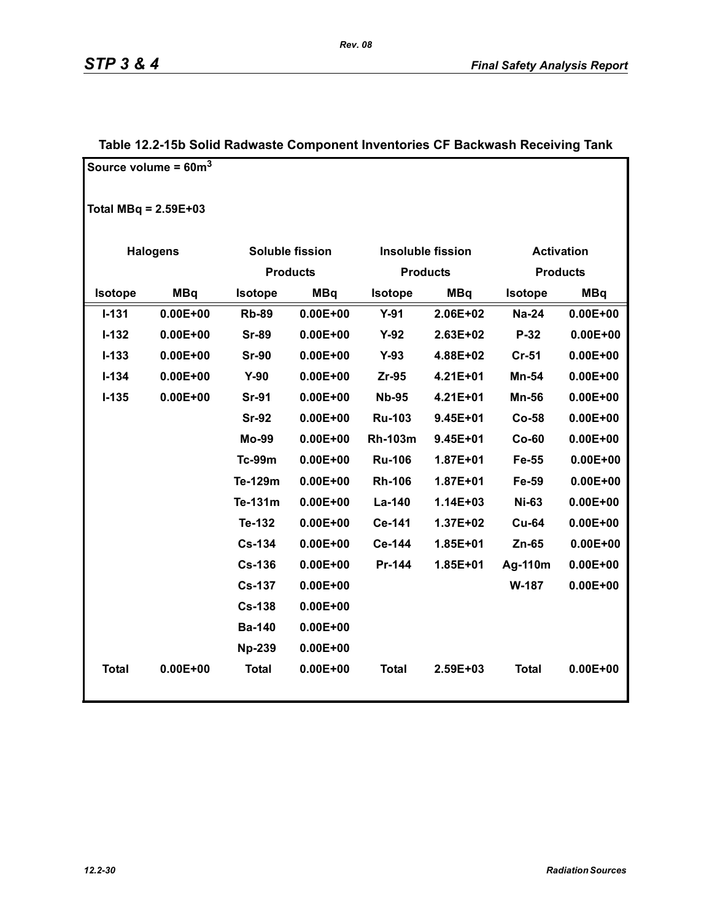|                        | Source volume = $60m^3$ |                 |                 |                |                          |                   |                 |
|------------------------|-------------------------|-----------------|-----------------|----------------|--------------------------|-------------------|-----------------|
| Total MBq = $2.59E+03$ |                         |                 |                 |                |                          |                   |                 |
|                        | <b>Halogens</b>         |                 | Soluble fission |                | <b>Insoluble fission</b> | <b>Activation</b> |                 |
|                        |                         | <b>Products</b> |                 |                | <b>Products</b>          |                   | <b>Products</b> |
| Isotope                | <b>MBq</b>              | Isotope         | <b>MBq</b>      | Isotope        | <b>MBq</b>               | <b>Isotope</b>    | <b>MBq</b>      |
| $I-131$                | $0.00E + 00$            | <b>Rb-89</b>    | $0.00E + 00$    | $Y-91$         | 2.06E+02                 | <b>Na-24</b>      | $0.00E + 00$    |
| $I-132$                | $0.00E + 00$            | <b>Sr-89</b>    | $0.00E + 00$    | $Y-92$         | 2.63E+02                 | $P-32$            | $0.00E + 00$    |
| $I-133$                | $0.00E + 00$            | <b>Sr-90</b>    | $0.00E + 00$    | $Y-93$         | 4.88E+02                 | $Cr-51$           | $0.00E + 00$    |
| $I-134$                | $0.00E + 00$            | $Y-90$          | $0.00E + 00$    | $Zr-95$        | 4.21E+01                 | Mn-54             | $0.00E + 00$    |
| $I-135$                | $0.00E + 00$            | <b>Sr-91</b>    | $0.00E + 00$    | <b>Nb-95</b>   | 4.21E+01                 | <b>Mn-56</b>      | $0.00E + 00$    |
|                        |                         | <b>Sr-92</b>    | $0.00E + 00$    | <b>Ru-103</b>  | 9.45E+01                 | <b>Co-58</b>      | $0.00E + 00$    |
|                        |                         | <b>Mo-99</b>    | $0.00E + 00$    | <b>Rh-103m</b> | 9.45E+01                 | $Co-60$           | $0.00E + 00$    |
|                        |                         | <b>Tc-99m</b>   | $0.00E + 00$    | <b>Ru-106</b>  | 1.87E+01                 | Fe-55             | $0.00E + 00$    |
|                        |                         | Te-129m         | $0.00E + 00$    | <b>Rh-106</b>  | 1.87E+01                 | Fe-59             | $0.00E + 00$    |
|                        |                         | Te-131m         | $0.00E + 00$    | La-140         | 1.14E+03                 | <b>Ni-63</b>      | $0.00E + 00$    |
|                        |                         | Te-132          | $0.00E + 00$    | Ce-141         | 1.37E+02                 | <b>Cu-64</b>      | $0.00E + 00$    |
|                        |                         | <b>Cs-134</b>   | $0.00E + 00$    | Ce-144         | 1.85E+01                 | $Zn-65$           | $0.00E + 00$    |
|                        |                         | <b>Cs-136</b>   | $0.00E + 00$    | Pr-144         | 1.85E+01                 | Ag-110m           | $0.00E + 00$    |
|                        |                         | <b>Cs-137</b>   | $0.00E + 00$    |                |                          | W-187             | $0.00E + 00$    |
|                        |                         | <b>Cs-138</b>   | $0.00E + 00$    |                |                          |                   |                 |
|                        |                         | <b>Ba-140</b>   | $0.00E + 00$    |                |                          |                   |                 |
|                        |                         | <b>Np-239</b>   | $0.00E + 00$    |                |                          |                   |                 |
| <b>Total</b>           | $0.00E + 00$            | <b>Total</b>    | $0.00E + 00$    | <b>Total</b>   | 2.59E+03                 | <b>Total</b>      | $0.00E + 00$    |

### **Table 12.2-15b Solid Radwaste Component Inventories CF Backwash Receiving Tank**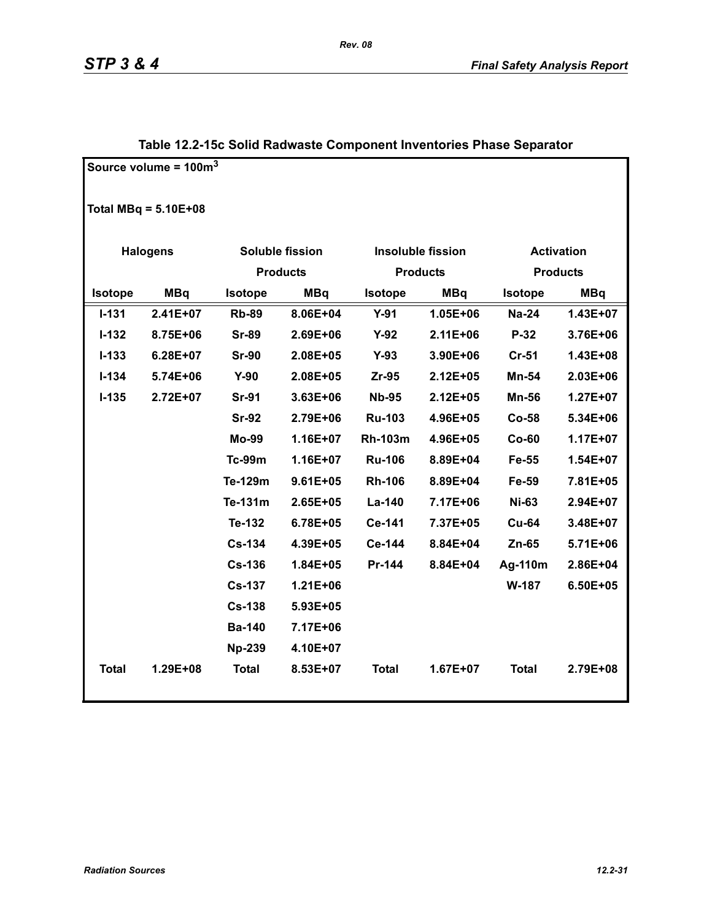|                | Source volume = $100m3$ |               |                 |                |                          |                   |                 |
|----------------|-------------------------|---------------|-----------------|----------------|--------------------------|-------------------|-----------------|
|                | Total MBq = $5.10E+08$  |               |                 |                |                          |                   |                 |
|                | <b>Halogens</b>         |               | Soluble fission |                | <b>Insoluble fission</b> | <b>Activation</b> |                 |
|                |                         |               | <b>Products</b> |                | <b>Products</b>          |                   | <b>Products</b> |
| <b>Isotope</b> | <b>MBq</b>              | Isotope       | <b>MBq</b>      | <b>Isotope</b> | <b>MBq</b>               | Isotope           | <b>MBq</b>      |
| $I-131$        | 2.41E+07                | <b>Rb-89</b>  | 8.06E+04        | $Y-91$         | 1.05E+06                 | <b>Na-24</b>      | 1.43E+07        |
| $I - 132$      | 8.75E+06                | <b>Sr-89</b>  | 2.69E+06        | $Y-92$         | 2.11E+06                 | P-32              | 3.76E+06        |
| $I-133$        | 6.28E+07                | <b>Sr-90</b>  | 2.08E+05        | $Y-93$         | 3.90E+06                 | $Cr-51$           | 1.43E+08        |
| $I - 134$      | 5.74E+06                | $Y-90$        | 2.08E+05        | $Zr-95$        | 2.12E+05                 | Mn-54             | 2.03E+06        |
| $I - 135$      | 2.72E+07                | <b>Sr-91</b>  | $3.63E + 06$    | <b>Nb-95</b>   | 2.12E+05                 | <b>Mn-56</b>      | $1.27E+07$      |
|                |                         | <b>Sr-92</b>  | 2.79E+06        | <b>Ru-103</b>  | 4.96E+05                 | Co-58             | 5.34E+06        |
|                |                         | <b>Mo-99</b>  | $1.16E + 07$    | <b>Rh-103m</b> | 4.96E+05                 | $Co-60$           | $1.17E + 07$    |
|                |                         | <b>Tc-99m</b> | 1.16E+07        | <b>Ru-106</b>  | 8.89E+04                 | Fe-55             | $1.54E+07$      |
|                |                         | Te-129m       | $9.61E + 05$    | <b>Rh-106</b>  | 8.89E+04                 | Fe-59             | 7.81E+05        |
|                |                         | Te-131m       | 2.65E+05        | La-140         | 7.17E+06                 | <b>Ni-63</b>      | 2.94E+07        |
|                |                         | Te-132        | 6.78E+05        | Ce-141         | 7.37E+05                 | <b>Cu-64</b>      | 3.48E+07        |
|                |                         | <b>Cs-134</b> | 4.39E+05        | Ce-144         | 8.84E+04                 | $Zn-65$           | 5.71E+06        |
|                |                         | <b>Cs-136</b> | $1.84E + 05$    | Pr-144         | 8.84E+04                 | Ag-110m           | 2.86E+04        |
|                |                         | <b>Cs-137</b> | $1.21E + 06$    |                |                          | W-187             | 6.50E+05        |
|                |                         | <b>Cs-138</b> | 5.93E+05        |                |                          |                   |                 |
|                |                         | <b>Ba-140</b> | 7.17E+06        |                |                          |                   |                 |
|                |                         | <b>Np-239</b> | 4.10E+07        |                |                          |                   |                 |
| <b>Total</b>   | 1.29E+08                | <b>Total</b>  | 8.53E+07        | <b>Total</b>   | $1.67E + 07$             | <b>Total</b>      | 2.79E+08        |

### **Table 12.2-15c Solid Radwaste Component Inventories Phase Separator**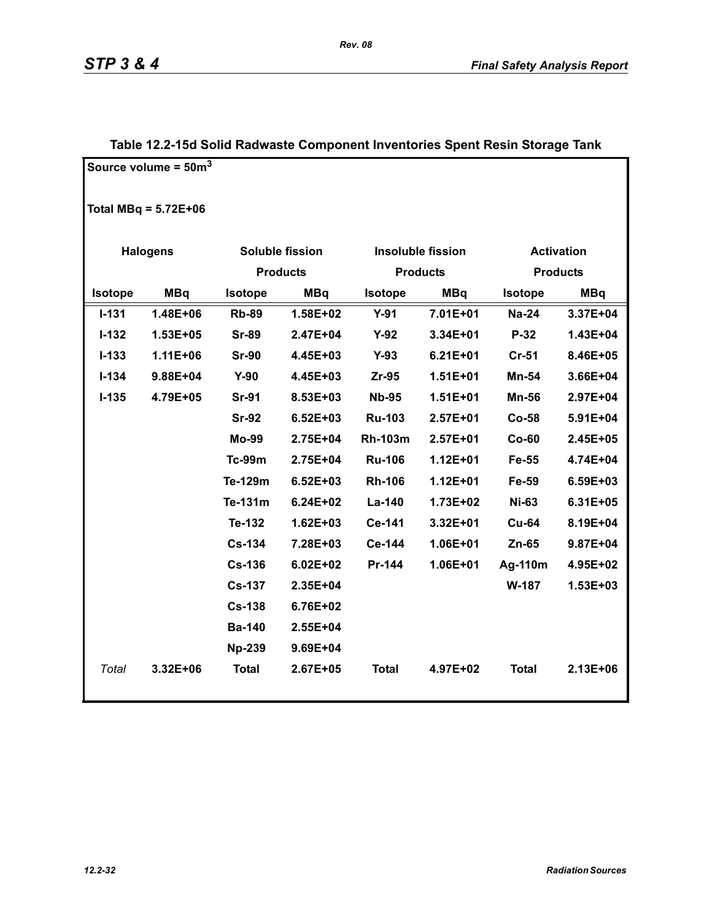|                | Source volume = $50m^3$ |                |                 |                |                          |                   |                 |
|----------------|-------------------------|----------------|-----------------|----------------|--------------------------|-------------------|-----------------|
|                | Total MBq = $5.72E+06$  |                |                 |                |                          |                   |                 |
|                | <b>Halogens</b>         |                | Soluble fission |                | <b>Insoluble fission</b> | <b>Activation</b> |                 |
|                |                         |                | <b>Products</b> |                | <b>Products</b>          |                   | <b>Products</b> |
| <b>Isotope</b> | <b>MBq</b>              | <b>Isotope</b> | <b>MBq</b>      | <b>Isotope</b> | <b>MBq</b>               | <b>Isotope</b>    | <b>MBq</b>      |
| $I - 131$      | 1.48E+06                | <b>Rb-89</b>   | 1.58E+02        | $Y-91$         | 7.01E+01                 | <b>Na-24</b>      | 3.37E+04        |
| $I-132$        | 1.53E+05                | <b>Sr-89</b>   | 2.47E+04        | $Y-92$         | 3.34E+01                 | P-32              | 1.43E+04        |
| $I-133$        | $1.11E + 06$            | <b>Sr-90</b>   | 4.45E+03        | $Y-93$         | $6.21E + 01$             | Cr-51             | 8.46E+05        |
| $I - 134$      | 9.88E+04                | $Y-90$         | 4.45E+03        | $Zr-95$        | $1.51E + 01$             | Mn-54             | 3.66E+04        |
| $I-135$        | 4.79E+05                | <b>Sr-91</b>   | 8.53E+03        | <b>Nb-95</b>   | $1.51E + 01$             | <b>Mn-56</b>      | 2.97E+04        |
|                |                         | <b>Sr-92</b>   | $6.52E + 03$    | <b>Ru-103</b>  | $2.57E+01$               | Co-58             | 5.91E+04        |
|                |                         | <b>Mo-99</b>   | 2.75E+04        | <b>Rh-103m</b> | $2.57E+01$               | $Co-60$           | 2.45E+05        |
|                |                         | <b>Tc-99m</b>  | 2.75E+04        | <b>Ru-106</b>  | $1.12E + 01$             | Fe-55             | 4.74E+04        |
|                |                         | Te-129m        | $6.52E + 03$    | <b>Rh-106</b>  | $1.12E + 01$             | Fe-59             | 6.59E+03        |
|                |                         | Te-131m        | $6.24E + 02$    | La-140         | 1.73E+02                 | <b>Ni-63</b>      | 6.31E+05        |
|                |                         | Te-132         | $1.62E + 03$    | Ce-141         | 3.32E+01                 | <b>Cu-64</b>      | 8.19E+04        |
|                |                         | <b>Cs-134</b>  | 7.28E+03        | Ce-144         | 1.06E+01                 | $Zn-65$           | 9.87E+04        |
|                |                         | <b>Cs-136</b>  | $6.02E + 02$    | Pr-144         | 1.06E+01                 | Ag-110m           | 4.95E+02        |
|                |                         | <b>Cs-137</b>  | 2.35E+04        |                |                          | W-187             | $1.53E + 03$    |
|                |                         | <b>Cs-138</b>  | 6.76E+02        |                |                          |                   |                 |
|                |                         | <b>Ba-140</b>  | 2.55E+04        |                |                          |                   |                 |
|                |                         | <b>Np-239</b>  | 9.69E+04        |                |                          |                   |                 |
| Total          | 3.32E+06                | <b>Total</b>   | 2.67E+05        | <b>Total</b>   | 4.97E+02                 | <b>Total</b>      | 2.13E+06        |

### **Table 12.2-15d Solid Radwaste Component Inventories Spent Resin Storage Tank**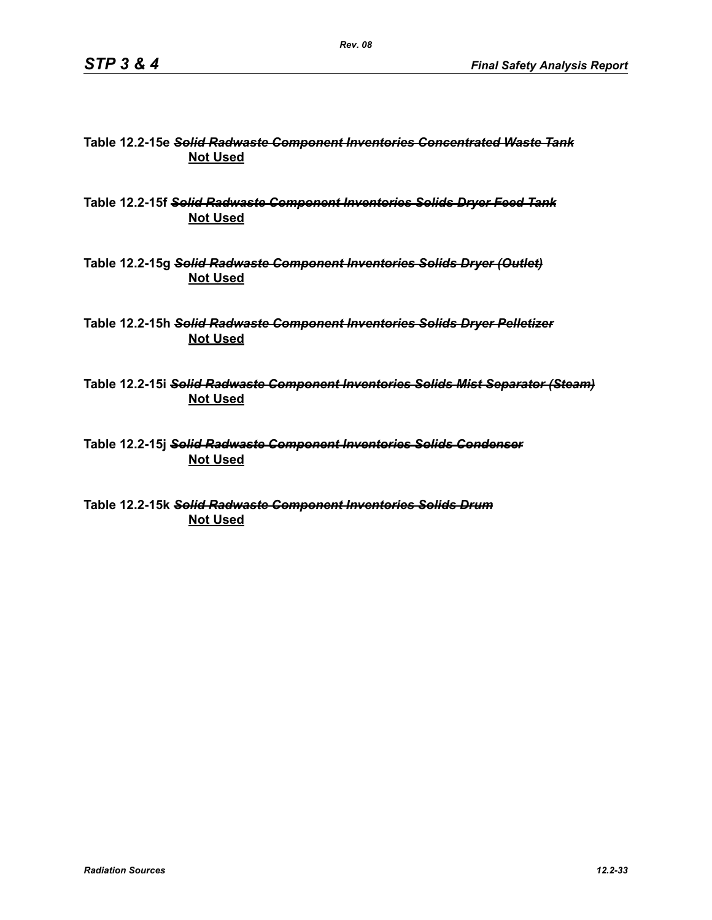### **Table 12.2-15e** *Solid Radwaste Component Inventories Concentrated Waste Tank* **Not Used**

**Table 12.2-15f** *Solid Radwaste Component Inventories Solids Dryer Feed Tank* **Not Used**

**Table 12.2-15g** *Solid Radwaste Component Inventories Solids Dryer (Outlet)* **Not Used**

**Table 12.2-15h** *Solid Radwaste Component Inventories Solids Dryer Pelletizer* **Not Used**

**Table 12.2-15i** *Solid Radwaste Component Inventories Solids Mist Separator (Steam)* **Not Used**

**Table 12.2-15j** *Solid Radwaste Component Inventories Solids Condenser* **Not Used**

**Table 12.2-15k** *Solid Radwaste Component Inventories Solids Drum* **Not Used**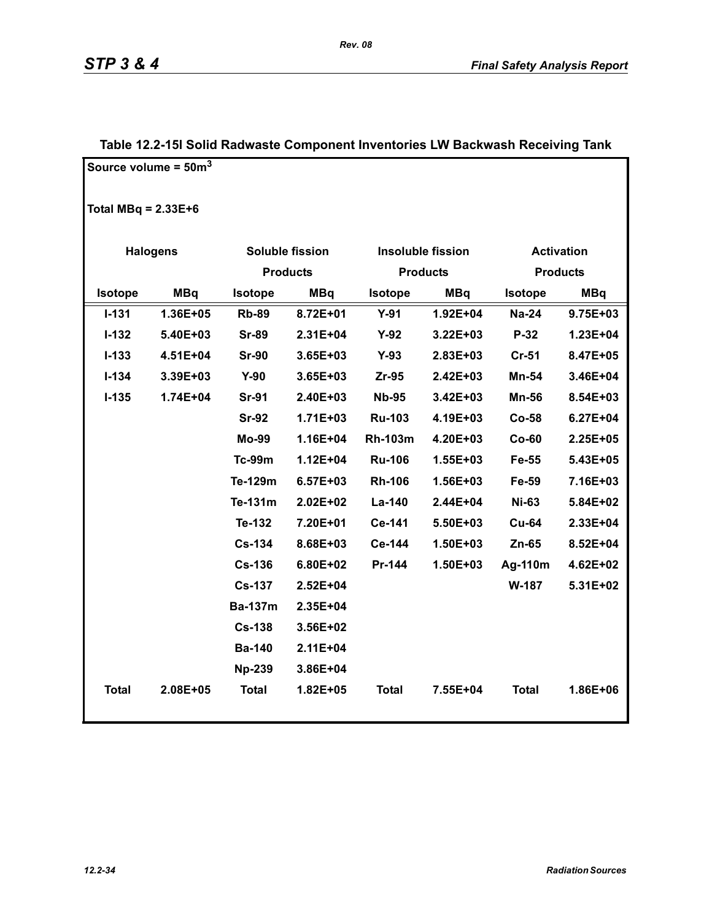| Source volume = $50m3$ |                 |                 |                 |                |                          |                |                   |
|------------------------|-----------------|-----------------|-----------------|----------------|--------------------------|----------------|-------------------|
| Total MBq = $2.33E+6$  |                 |                 |                 |                |                          |                |                   |
|                        | <b>Halogens</b> |                 | Soluble fission |                | <b>Insoluble fission</b> |                | <b>Activation</b> |
|                        |                 | <b>Products</b> |                 |                | <b>Products</b>          |                | <b>Products</b>   |
| Isotope                | <b>MBq</b>      | <b>Isotope</b>  | <b>MBq</b>      | <b>Isotope</b> | <b>MBq</b>               | <b>Isotope</b> | <b>MBq</b>        |
| $I - 131$              | 1.36E+05        | <b>Rb-89</b>    | 8.72E+01        | $Y-91$         | 1.92E+04                 | <b>Na-24</b>   | 9.75E+03          |
| $I-132$                | 5.40E+03        | <b>Sr-89</b>    | 2.31E+04        | $Y-92$         | 3.22E+03                 | $P-32$         | 1.23E+04          |
| $I - 133$              | 4.51E+04        | <b>Sr-90</b>    | $3.65E + 03$    | $Y-93$         | 2.83E+03                 | $Cr-51$        | 8.47E+05          |
| $I - 134$              | 3.39E+03        | $Y-90$          | $3.65E + 03$    | $Zr-95$        | 2.42E+03                 | <b>Mn-54</b>   | 3.46E+04          |
| $I-135$                | 1.74E+04        | <b>Sr-91</b>    | 2.40E+03        | <b>Nb-95</b>   | 3.42E+03                 | <b>Mn-56</b>   | 8.54E+03          |
|                        |                 | <b>Sr-92</b>    | $1.71E + 03$    | <b>Ru-103</b>  | 4.19E+03                 | $Co-58$        | $6.27E + 04$      |
|                        |                 | Mo-99           | 1.16E+04        | <b>Rh-103m</b> | 4.20E+03                 | $Co-60$        | 2.25E+05          |
|                        |                 | <b>Tc-99m</b>   | $1.12E + 04$    | <b>Ru-106</b>  | 1.55E+03                 | Fe-55          | 5.43E+05          |
|                        |                 | Te-129m         | $6.57E + 03$    | <b>Rh-106</b>  | 1.56E+03                 | Fe-59          | 7.16E+03          |
|                        |                 | Te-131m         | $2.02E + 02$    | La-140         | 2.44E+04                 | <b>Ni-63</b>   | 5.84E+02          |
|                        |                 | Te-132          | 7.20E+01        | Ce-141         | 5.50E+03                 | <b>Cu-64</b>   | 2.33E+04          |
|                        |                 | <b>Cs-134</b>   | 8.68E+03        | Ce-144         | 1.50E+03                 | $Zn-65$        | 8.52E+04          |
|                        |                 | <b>Cs-136</b>   | 6.80E+02        | Pr-144         | 1.50E+03                 | Ag-110m        | 4.62E+02          |
|                        |                 | <b>Cs-137</b>   | 2.52E+04        |                |                          | W-187          | 5.31E+02          |
|                        |                 | <b>Ba-137m</b>  | 2.35E+04        |                |                          |                |                   |
|                        |                 | <b>Cs-138</b>   | 3.56E+02        |                |                          |                |                   |
|                        |                 | <b>Ba-140</b>   | 2.11E+04        |                |                          |                |                   |
|                        |                 | <b>Np-239</b>   | 3.86E+04        |                |                          |                |                   |
| <b>Total</b>           | 2.08E+05        | <b>Total</b>    | 1.82E+05        | <b>Total</b>   | 7.55E+04                 | <b>Total</b>   | 1.86E+06          |

### **Table 12.2-15l Solid Radwaste Component Inventories LW Backwash Receiving Tank**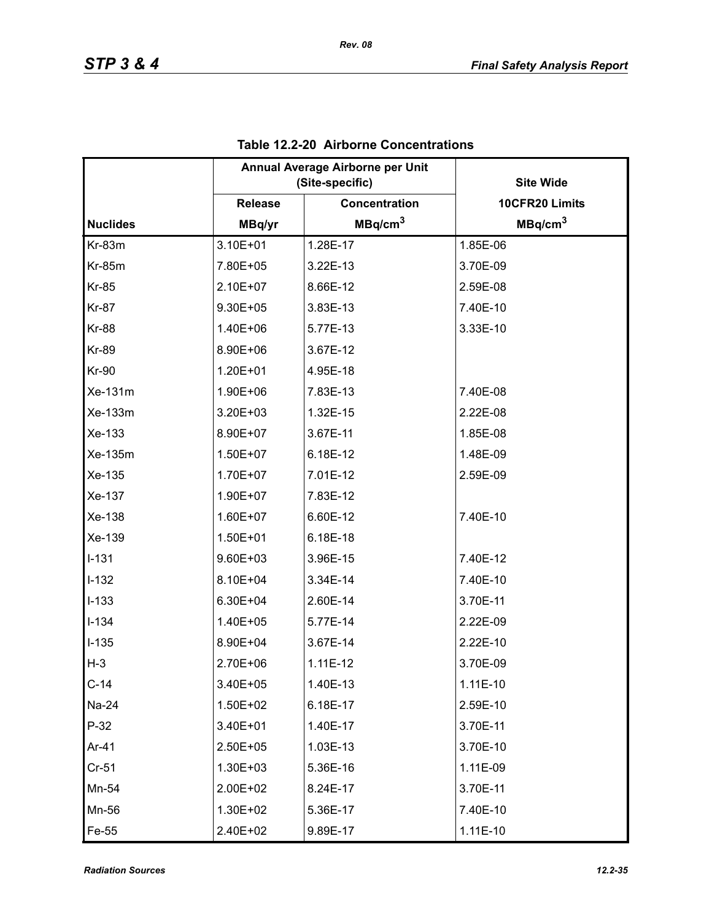|                 | Annual Average Airborne per Unit<br>(Site-specific) |                      | <b>Site Wide</b>    |
|-----------------|-----------------------------------------------------|----------------------|---------------------|
|                 | <b>Release</b>                                      | <b>Concentration</b> | 10CFR20 Limits      |
| <b>Nuclides</b> | MBq/yr                                              | MBq/cm <sup>3</sup>  | MBq/cm <sup>3</sup> |
| Kr-83m          | 3.10E+01                                            | 1.28E-17             | 1.85E-06            |
| <b>Kr-85m</b>   | 7.80E+05                                            | 3.22E-13             | 3.70E-09            |
| <b>Kr-85</b>    | 2.10E+07                                            | 8.66E-12             | 2.59E-08            |
| <b>Kr-87</b>    | 9.30E+05                                            | 3.83E-13             | 7.40E-10            |
| <b>Kr-88</b>    | 1.40E+06                                            | 5.77E-13             | 3.33E-10            |
| <b>Kr-89</b>    | 8.90E+06                                            | 3.67E-12             |                     |
| <b>Kr-90</b>    | 1.20E+01                                            | 4.95E-18             |                     |
| Xe-131m         | 1.90E+06                                            | 7.83E-13             | 7.40E-08            |
| Xe-133m         | 3.20E+03                                            | 1.32E-15             | 2.22E-08            |
| Xe-133          | 8.90E+07                                            | 3.67E-11             | 1.85E-08            |
| Xe-135m         | 1.50E+07                                            | 6.18E-12             | 1.48E-09            |
| Xe-135          | 1.70E+07                                            | 7.01E-12             | 2.59E-09            |
| Xe-137          | 1.90E+07                                            | 7.83E-12             |                     |
| Xe-138          | 1.60E+07                                            | 6.60E-12             | 7.40E-10            |
| Xe-139          | 1.50E+01                                            | 6.18E-18             |                     |
| $I-131$         | 9.60E+03                                            | 3.96E-15             | 7.40E-12            |
| $I-132$         | 8.10E+04                                            | 3.34E-14             | 7.40E-10            |
| $I-133$         | 6.30E+04                                            | 2.60E-14             | 3.70E-11            |
| $I - 134$       | 1.40E+05                                            | 5.77E-14             | 2.22E-09            |
| $I - 135$       | 8.90E+04                                            | 3.67E-14             | 2.22E-10            |
| $H-3$           | 2.70E+06                                            | $1.11E-12$           | 3.70E-09            |
| $C-14$          | 3.40E+05                                            | 1.40E-13             | $1.11E-10$          |
| Na-24           | 1.50E+02                                            | 6.18E-17             | 2.59E-10            |
| $P-32$          | 3.40E+01                                            | 1.40E-17             | 3.70E-11            |
| Ar-41           | 2.50E+05                                            | 1.03E-13             | 3.70E-10            |
| $Cr-51$         | 1.30E+03                                            | 5.36E-16             | 1.11E-09            |
| Mn-54           | 2.00E+02                                            | 8.24E-17             | 3.70E-11            |
| Mn-56           | 1.30E+02                                            | 5.36E-17             | 7.40E-10            |
| Fe-55           | 2.40E+02                                            | 9.89E-17             | $1.11E-10$          |

### **Table 12.2-20 Airborne Concentrations**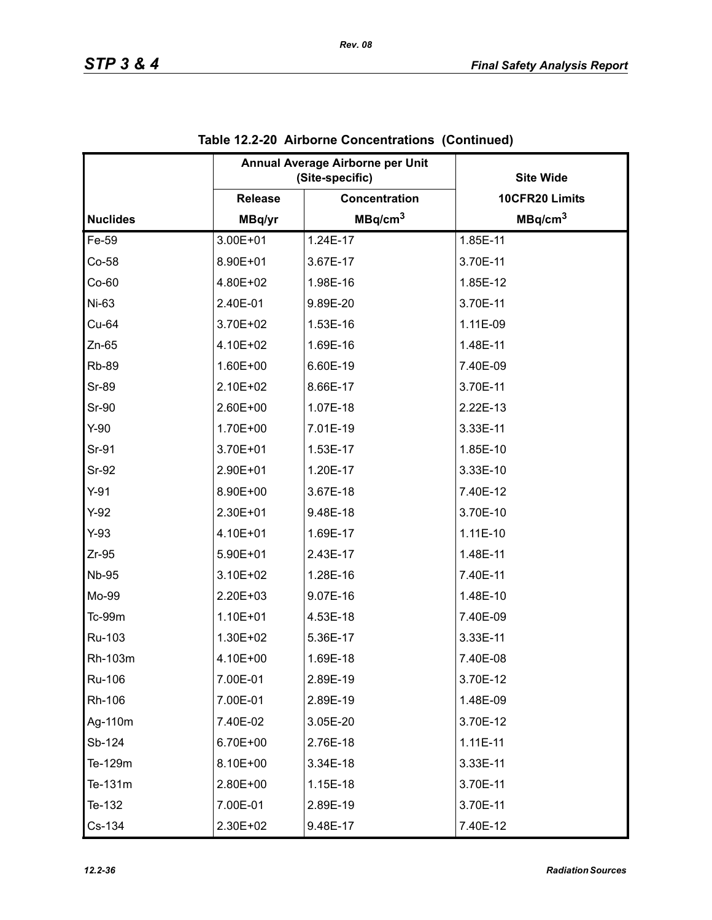|                 |                | Annual Average Airborne per Unit<br>(Site-specific) | <b>Site Wide</b>    |
|-----------------|----------------|-----------------------------------------------------|---------------------|
|                 | <b>Release</b> | Concentration                                       | 10CFR20 Limits      |
| <b>Nuclides</b> | MBq/yr         | MBq/cm <sup>3</sup>                                 | MBq/cm <sup>3</sup> |
| Fe-59           | 3.00E+01       | 1.24E-17                                            | 1.85E-11            |
| $Co-58$         | 8.90E+01       | 3.67E-17                                            | 3.70E-11            |
| $Co-60$         | 4.80E+02       | 1.98E-16                                            | 1.85E-12            |
| Ni-63           | 2.40E-01       | 9.89E-20                                            | 3.70E-11            |
| Cu-64           | 3.70E+02       | 1.53E-16                                            | 1.11E-09            |
| $Zn-65$         | 4.10E+02       | 1.69E-16                                            | 1.48E-11            |
| <b>Rb-89</b>    | 1.60E+00       | 6.60E-19                                            | 7.40E-09            |
| <b>Sr-89</b>    | 2.10E+02       | 8.66E-17                                            | 3.70E-11            |
| <b>Sr-90</b>    | 2.60E+00       | 1.07E-18                                            | 2.22E-13            |
| $Y-90$          | 1.70E+00       | 7.01E-19                                            | 3.33E-11            |
| Sr-91           | 3.70E+01       | 1.53E-17                                            | 1.85E-10            |
| <b>Sr-92</b>    | 2.90E+01       | 1.20E-17                                            | 3.33E-10            |
| $Y-91$          | 8.90E+00       | 3.67E-18                                            | 7.40E-12            |
| $Y-92$          | 2.30E+01       | 9.48E-18                                            | 3.70E-10            |
| $Y-93$          | 4.10E+01       | 1.69E-17                                            | 1.11E-10            |
| $Zr-95$         | 5.90E+01       | 2.43E-17                                            | 1.48E-11            |
| <b>Nb-95</b>    | 3.10E+02       | 1.28E-16                                            | 7.40E-11            |
| Mo-99           | 2.20E+03       | 9.07E-16                                            | 1.48E-10            |
| $Tc-99m$        | 1.10E+01       | 4.53E-18                                            | 7.40E-09            |
| Ru-103          | 1.30E+02       | 5.36E-17                                            | 3.33E-11            |
| Rh-103m         | 4.10E+00       | 1.69E-18                                            | 7.40E-08            |
| Ru-106          | 7.00E-01       | 2.89E-19                                            | 3.70E-12            |
| Rh-106          | 7.00E-01       | 2.89E-19                                            | 1.48E-09            |
| Ag-110m         | 7.40E-02       | 3.05E-20                                            | 3.70E-12            |
| Sb-124          | 6.70E+00       | 2.76E-18                                            | $1.11E-11$          |
| Te-129m         | 8.10E+00       | 3.34E-18                                            | 3.33E-11            |
| Te-131m         | 2.80E+00       | 1.15E-18                                            | 3.70E-11            |
| Te-132          | 7.00E-01       | 2.89E-19                                            | 3.70E-11            |
| Cs-134          | 2.30E+02       | 9.48E-17                                            | 7.40E-12            |

| Table 12.2-20 Airborne Concentrations (Continued) |  |
|---------------------------------------------------|--|
|                                                   |  |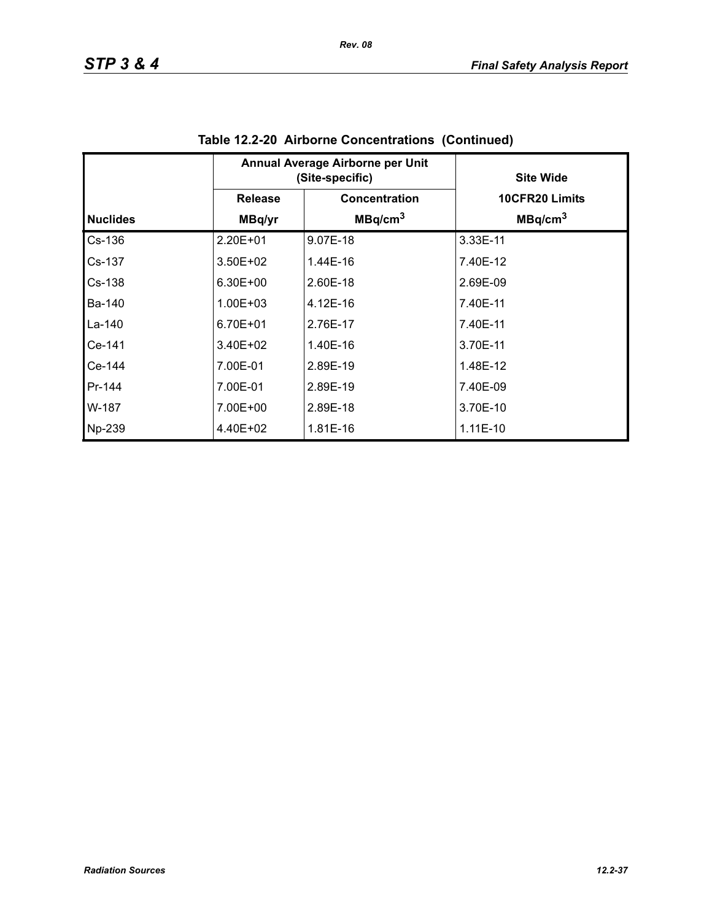|                 | Annual Average Airborne per Unit<br>(Site-specific) |                     | <b>Site Wide</b>    |
|-----------------|-----------------------------------------------------|---------------------|---------------------|
|                 | <b>Release</b>                                      | Concentration       | 10CFR20 Limits      |
| <b>Nuclides</b> | MBq/yr                                              | MBq/cm <sup>3</sup> | MBq/cm <sup>3</sup> |
| $Cs-136$        | 2.20E+01                                            | 9.07E-18            | 3.33E-11            |
| Cs-137          | $3.50E + 02$                                        | 1.44E-16            | 7.40E-12            |
| $Cs-138$        | $6.30E + 00$                                        | 2.60E-18            | 2.69E-09            |
| Ba-140          | $1.00E + 03$                                        | 4.12E-16            | 7.40E-11            |
| La-140          | 6.70E+01                                            | 2.76E-17            | 7.40E-11            |
| Ce-141          | $3.40E + 02$                                        | 1.40E-16            | 3.70E-11            |
| Ce-144          | 7.00E-01                                            | 2.89E-19            | 1.48E-12            |
| Pr-144          | 7.00E-01                                            | 2.89E-19            | 7.40E-09            |
| W-187           | 7.00E+00                                            | 2.89E-18            | 3.70E-10            |
| Np-239          | 4.40E+02                                            | 1.81E-16            | $1.11E-10$          |

| Table 12.2-20 Airborne Concentrations (Continued) |  |
|---------------------------------------------------|--|
|                                                   |  |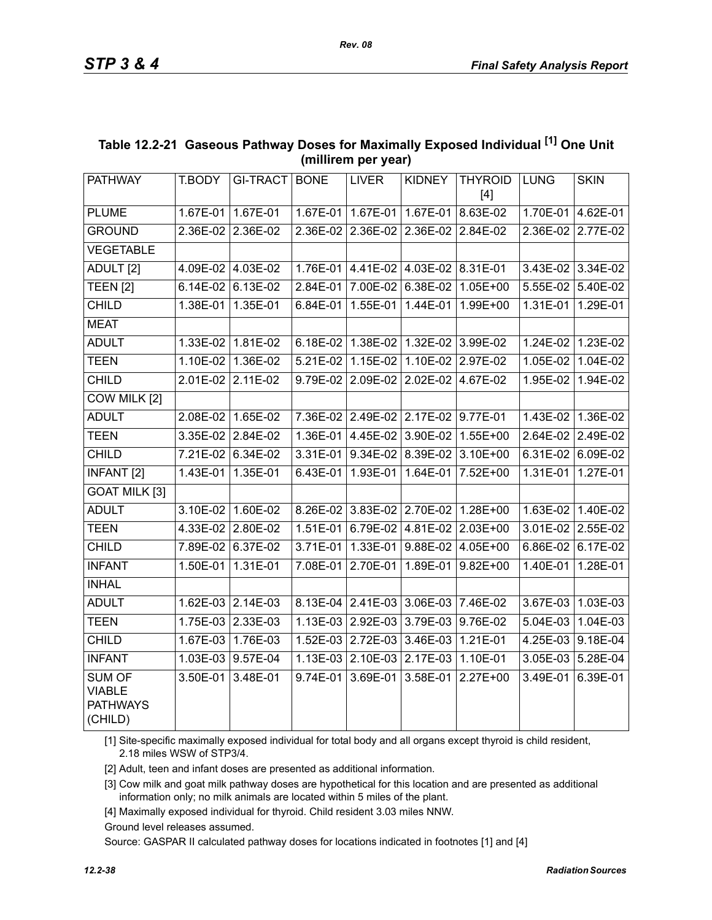| <b>PATHWAY</b>                                               | T.BODY            | <b>GI-TRACT</b>   | <b>BONE</b> | <b>LIVER</b>                        | <b>KIDNEY</b>       | <b>THYROID</b><br>$[4]$                   | <b>LUNG</b>       | <b>SKIN</b>       |
|--------------------------------------------------------------|-------------------|-------------------|-------------|-------------------------------------|---------------------|-------------------------------------------|-------------------|-------------------|
| <b>PLUME</b>                                                 | $1.67E-01$        | 1.67E-01          |             | 1.67E-01 1.67E-01                   | $1.67E-01$          | 8.63E-02                                  |                   | 1.70E-01 4.62E-01 |
| <b>GROUND</b>                                                | 2.36E-02 2.36E-02 |                   |             | 2.36E-02 2.36E-02 2.36E-02 2.84E-02 |                     |                                           | 2.36E-02 2.77E-02 |                   |
| <b>VEGETABLE</b>                                             |                   |                   |             |                                     |                     |                                           |                   |                   |
| ADULT <sub>[2]</sub>                                         | 4.09E-02 4.03E-02 |                   |             | 1.76E-01 4.41E-02 4.03E-02 8.31E-01 |                     |                                           | 3.43E-02 3.34E-02 |                   |
| TEEN <sub>[2]</sub>                                          | 6.14E-02          | $6.13E-02$        | 2.84E-01    | 7.00E-02                            | 6.38E-02            | $1.05E+00$                                | 5.55E-02          | 5.40E-02          |
| <b>CHILD</b>                                                 | 1.38E-01          | 1.35E-01          | $6.84E-01$  | 1.55E-01                            | 1.44E-01            | 1.99E+00                                  | 1.31E-01          | 1.29E-01          |
| <b>MEAT</b>                                                  |                   |                   |             |                                     |                     |                                           |                   |                   |
| <b>ADULT</b>                                                 | 1.33E-02          | 1.81E-02          |             | $6.18E-02$ 1.38E-02                 | $1.32E-02$ 3.99E-02 |                                           | $1.24E-02$        | 1.23E-02          |
| <b>TEEN</b>                                                  | 1.10E-02          | 1.36E-02          | 5.21E-02    | 1.15E-02                            | 1.10E-02            | 2.97E-02                                  | 1.05E-02          | 1.04E-02          |
| <b>CHILD</b>                                                 | 2.01E-02          | 2.11E-02          | 9.79E-02    | 2.09E-02                            | 2.02E-02            | 4.67E-02                                  | 1.95E-02          | 1.94E-02          |
| COW MILK [2]                                                 |                   |                   |             |                                     |                     |                                           |                   |                   |
| <b>ADULT</b>                                                 |                   | 2.08E-02 1.65E-02 |             | 7.36E-02 2.49E-02 2.17E-02 9.77E-01 |                     |                                           | 1.43E-02          | 1.36E-02          |
| <b>TEEN</b>                                                  |                   | 3.35E-02 2.84E-02 |             | 1.36E-01 4.45E-02                   | 3.90E-02            | 1.55E+00                                  |                   | 2.64E-02 2.49E-02 |
| <b>CHILD</b>                                                 |                   | 7.21E-02 6.34E-02 | 3.31E-01    | 9.34E-02                            | 8.39E-02            | 3.10E+00                                  | 6.31E-02          | 6.09E-02          |
| <b>INFANT [2]</b>                                            |                   | 1.43E-01 1.35E-01 | 6.43E-01    | 1.93E-01                            |                     | 1.64E-01 7.52E+00                         | 1.31E-01          | 1.27E-01          |
| <b>GOAT MILK [3]</b>                                         |                   |                   |             |                                     |                     |                                           |                   |                   |
| <b>ADULT</b>                                                 |                   | 3.10E-02 1.60E-02 |             |                                     |                     | 8.26E-02 3.83E-02 2.70E-02 1.28E+00       |                   | 1.63E-02 1.40E-02 |
| <b>TEEN</b>                                                  | 4.33E-02 2.80E-02 |                   | 1.51E-01    | 6.79E-02                            | 4.81E-02            | 2.03E+00                                  |                   | 3.01E-02 2.55E-02 |
| <b>CHILD</b>                                                 |                   | 7.89E-02 6.37E-02 |             |                                     |                     | 3.71E-01   1.33E-01   9.88E-02   4.05E+00 |                   | 6.86E-02 6.17E-02 |
| <b>INFANT</b>                                                | 1.50E-01          | 1.31E-01          | 7.08E-01    | 2.70E-01                            | 1.89E-01            | $9.82E + 00$                              | 1.40E-01          | 1.28E-01          |
| <b>INHAL</b>                                                 |                   |                   |             |                                     |                     |                                           |                   |                   |
| <b>ADULT</b>                                                 |                   | 1.62E-03 2.14E-03 |             | 8.13E-04 2.41E-03                   | 3.06E-03 7.46E-02   |                                           | 3.67E-03          | 1.03E-03          |
| <b>TEEN</b>                                                  | $1.75E-03$        | 2.33E-03          | $1.13E-03$  | 2.92E-03                            | 3.79E-03            | $9.76E-02$                                | 5.04E-03          | $1.04E-03$        |
| <b>CHILD</b>                                                 | 1.67E-03          | 1.76E-03          | $1.52E-03$  | 2.72E-03                            | 3.46E-03            | 1.21E-01                                  | 4.25E-03          | 9.18E-04          |
| <b>INFANT</b>                                                |                   | 1.03E-03 9.57E-04 | $1.13E-03$  | 2.10E-03                            | 2.17E-03            | 1.10E-01                                  | 3.05E-03          | 5.28E-04          |
| <b>SUM OF</b><br><b>VIABLE</b><br><b>PATHWAYS</b><br>(CHILD) | 3.50E-01          | $3.48E-01$        | $9.74E-01$  | 3.69E-01                            | 3.58E-01            | $2.27E+00$                                | 3.49E-01          | 6.39E-01          |

### **Table 12.2-21 Gaseous Pathway Doses for Maximally Exposed Individual [1] One Unit (millirem per year)**

[1] Site-specific maximally exposed individual for total body and all organs except thyroid is child resident, 2.18 miles WSW of STP3/4.

[2] Adult, teen and infant doses are presented as additional information.

[3] Cow milk and goat milk pathway doses are hypothetical for this location and are presented as additional information only; no milk animals are located within 5 miles of the plant.

[4] Maximally exposed individual for thyroid. Child resident 3.03 miles NNW.

Ground level releases assumed.

Source: GASPAR II calculated pathway doses for locations indicated in footnotes [1] and [4]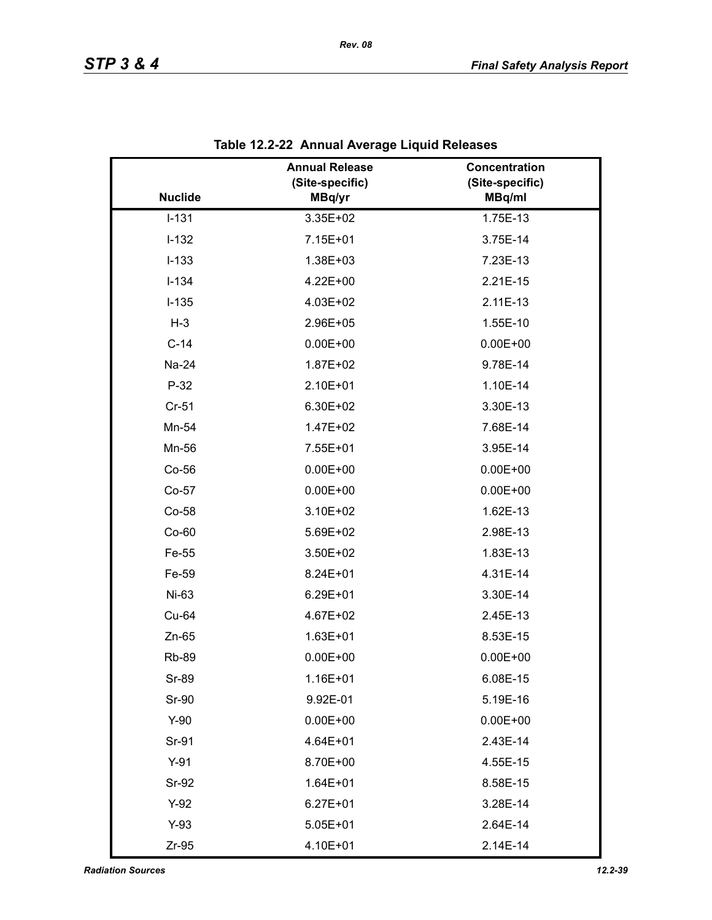|                | <b>Annual Release</b><br>(Site-specific) | Concentration<br>(Site-specific) |
|----------------|------------------------------------------|----------------------------------|
| <b>Nuclide</b> | MBq/yr                                   | MBq/ml                           |
| $I-131$        | 3.35E+02                                 | 1.75E-13                         |
| $I-132$        | 7.15E+01                                 | 3.75E-14                         |
| $I-133$        | 1.38E+03                                 | 7.23E-13                         |
| $I-134$        | $4.22E + 00$                             | 2.21E-15                         |
| $I-135$        | 4.03E+02                                 | 2.11E-13                         |
| $H-3$          | 2.96E+05                                 | 1.55E-10                         |
| $C-14$         | $0.00E + 00$                             | $0.00E + 00$                     |
| Na-24          | 1.87E+02                                 | 9.78E-14                         |
| $P-32$         | 2.10E+01                                 | 1.10E-14                         |
| Cr-51          | 6.30E+02                                 | 3.30E-13                         |
| Mn-54          | 1.47E+02                                 | 7.68E-14                         |
| Mn-56          | 7.55E+01                                 | 3.95E-14                         |
| $Co-56$        | $0.00E + 00$                             | $0.00E + 00$                     |
| $Co-57$        | $0.00E + 00$                             | $0.00E + 00$                     |
| Co-58          | 3.10E+02                                 | 1.62E-13                         |
| $Co-60$        | 5.69E+02                                 | 2.98E-13                         |
| Fe-55          | 3.50E+02                                 | 1.83E-13                         |
| Fe-59          | 8.24E+01                                 | 4.31E-14                         |
| Ni-63          | 6.29E+01                                 | 3.30E-14                         |
| Cu-64          | 4.67E+02                                 | 2.45E-13                         |
| $Zn-65$        | 1.63E+01                                 | 8.53E-15                         |
| <b>Rb-89</b>   | $0.00E + 00$                             | $0.00E + 00$                     |
| Sr-89          | 1.16E+01                                 | 6.08E-15                         |
| Sr-90          | 9.92E-01                                 | 5.19E-16                         |
| $Y-90$         | $0.00E + 00$                             | $0.00E + 00$                     |
| Sr-91          | 4.64E+01                                 | 2.43E-14                         |
| $Y-91$         | 8.70E+00                                 | 4.55E-15                         |
| Sr-92          | $1.64E + 01$                             | 8.58E-15                         |
| $Y-92$         | $6.27E + 01$                             | 3.28E-14                         |
| $Y-93$         | $5.05E + 01$                             | 2.64E-14                         |
| $Zr-95$        | 4.10E+01                                 | 2.14E-14                         |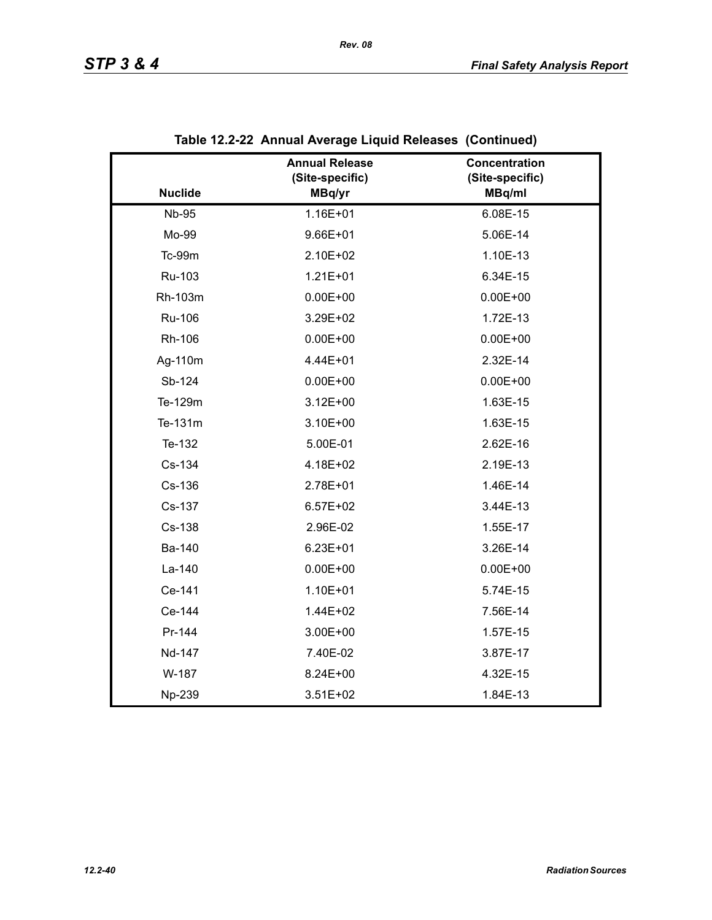|                | <b>Annual Release</b><br>(Site-specific) | Concentration<br>(Site-specific) |
|----------------|------------------------------------------|----------------------------------|
| <b>Nuclide</b> | MBq/yr                                   | MBq/ml                           |
| <b>Nb-95</b>   | 1.16E+01                                 | 6.08E-15                         |
| Mo-99          | $9.66E + 01$                             | 5.06E-14                         |
| Tc-99m         | 2.10E+02                                 | 1.10E-13                         |
| Ru-103         | $1.21E + 01$                             | 6.34E-15                         |
| Rh-103m        | $0.00E + 00$                             | $0.00E + 00$                     |
| Ru-106         | 3.29E+02                                 | 1.72E-13                         |
| Rh-106         | $0.00E + 00$                             | $0.00E + 00$                     |
| Ag-110m        | 4.44E+01                                 | 2.32E-14                         |
| Sb-124         | $0.00E + 00$                             | $0.00E + 00$                     |
| Te-129m        | $3.12E + 00$                             | 1.63E-15                         |
| Te-131m        | 3.10E+00                                 | 1.63E-15                         |
| Te-132         | 5.00E-01                                 | 2.62E-16                         |
| Cs-134         | 4.18E+02                                 | 2.19E-13                         |
| Cs-136         | 2.78E+01                                 | 1.46E-14                         |
| Cs-137         | $6.57E + 02$                             | 3.44E-13                         |
| Cs-138         | 2.96E-02                                 | 1.55E-17                         |
| Ba-140         | $6.23E + 01$                             | 3.26E-14                         |
| La-140         | $0.00E + 00$                             | $0.00E + 00$                     |
| Ce-141         | 1.10E+01                                 | 5.74E-15                         |
| Ce-144         | 1.44E+02                                 | 7.56E-14                         |
| Pr-144         | 3.00E+00                                 | 1.57E-15                         |
| Nd-147         | 7.40E-02                                 | 3.87E-17                         |
| W-187          | 8.24E+00                                 | 4.32E-15                         |
| Np-239         | $3.51E + 02$                             | 1.84E-13                         |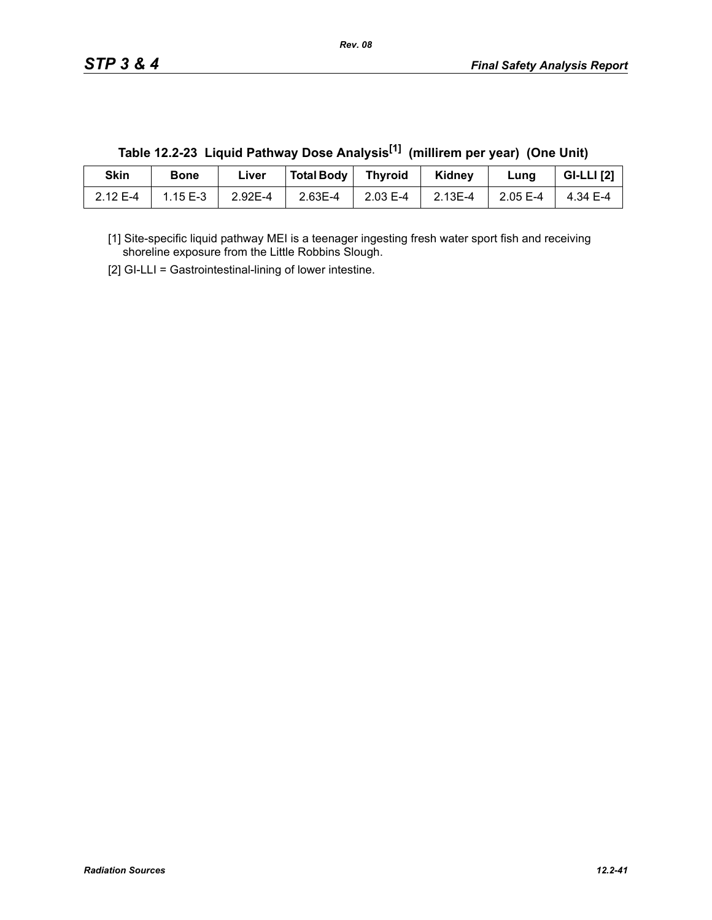| Skin     | <b>Bone</b> | ∟iver   | Total Body   Thyroid |                  | Kidney          | Lung     | <b>GI-LLI</b> [2] |
|----------|-------------|---------|----------------------|------------------|-----------------|----------|-------------------|
| 2.12 E-4 | $1.15E-3$   | 2.92E-4 | 2.63E-4              | $\vert$ 2.03 E-4 | $\vert$ 2.13E-4 | 2.05 E-4 | $\vert$ 4.34 E-4  |

**Table 12.2-23 Liquid Pathway Dose Analysis[1] (millirem per year) (One Unit)**

[1] Site-specific liquid pathway MEI is a teenager ingesting fresh water sport fish and receiving shoreline exposure from the Little Robbins Slough.

[2] GI-LLI = Gastrointestinal-lining of lower intestine.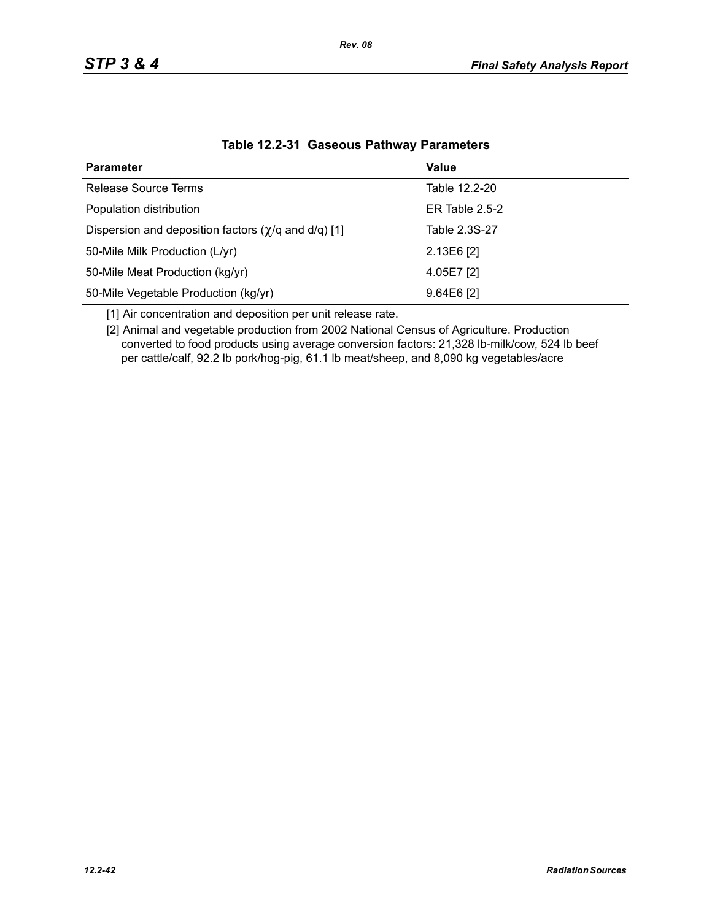| <b>Parameter</b>                                                  | Value            |
|-------------------------------------------------------------------|------------------|
| Release Source Terms                                              | Table 12.2-20    |
| Population distribution                                           | ER Table $2.5-2$ |
| Dispersion and deposition factors $(\chi/q \text{ and } d/q)$ [1] | Table 2.3S-27    |
| 50-Mile Milk Production (L/yr)                                    | 2.13E6 [2]       |
| 50-Mile Meat Production (kg/yr)                                   | 4.05E7 [2]       |
| 50-Mile Vegetable Production (kg/yr)                              | $9.64E6$ [2]     |

### **Table 12.2-31 Gaseous Pathway Parameters**

[1] Air concentration and deposition per unit release rate.

[2] Animal and vegetable production from 2002 National Census of Agriculture. Production converted to food products using average conversion factors: 21,328 lb-milk/cow, 524 lb beef per cattle/calf, 92.2 lb pork/hog-pig, 61.1 lb meat/sheep, and 8,090 kg vegetables/acre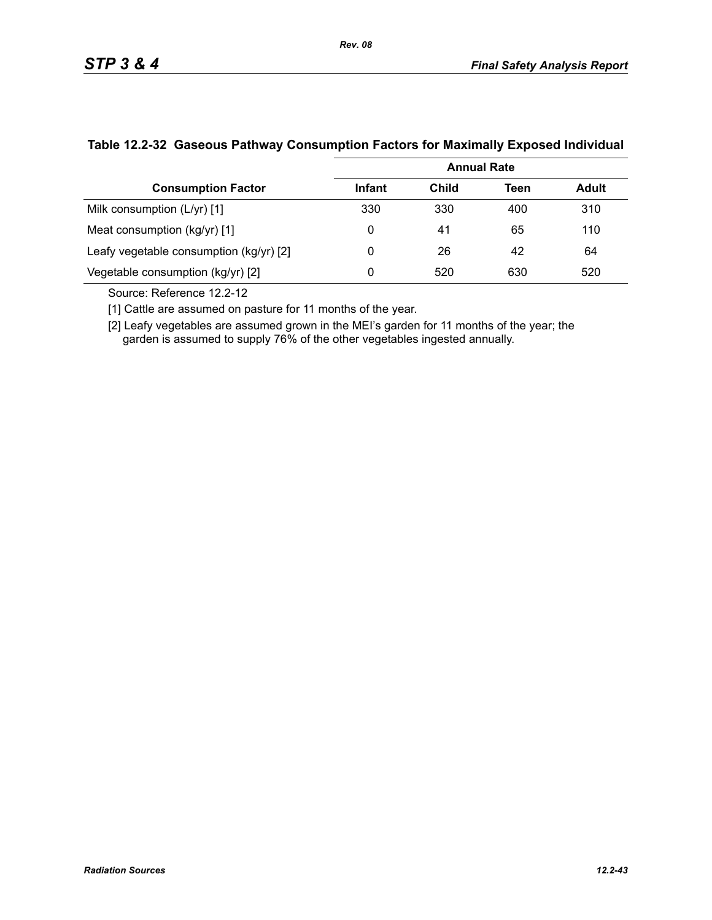|                                         | <b>Annual Rate</b> |       |      |              |  |  |
|-----------------------------------------|--------------------|-------|------|--------------|--|--|
| <b>Consumption Factor</b>               | Infant             | Child | Teen | <b>Adult</b> |  |  |
| Milk consumption (L/yr) [1]             | 330                | 330   | 400  | 310          |  |  |
| Meat consumption (kg/yr) [1]            | 0                  | 41    | 65   | 110          |  |  |
| Leafy vegetable consumption (kg/yr) [2] | 0                  | 26    | 42   | 64           |  |  |
| Vegetable consumption (kg/yr) [2]       | 0                  | 520   | 630  | 520          |  |  |

### **Table 12.2-32 Gaseous Pathway Consumption Factors for Maximally Exposed Individual**

Source: Reference 12.2-12

[1] Cattle are assumed on pasture for 11 months of the year.

[2] Leafy vegetables are assumed grown in the MEI's garden for 11 months of the year; the garden is assumed to supply 76% of the other vegetables ingested annually.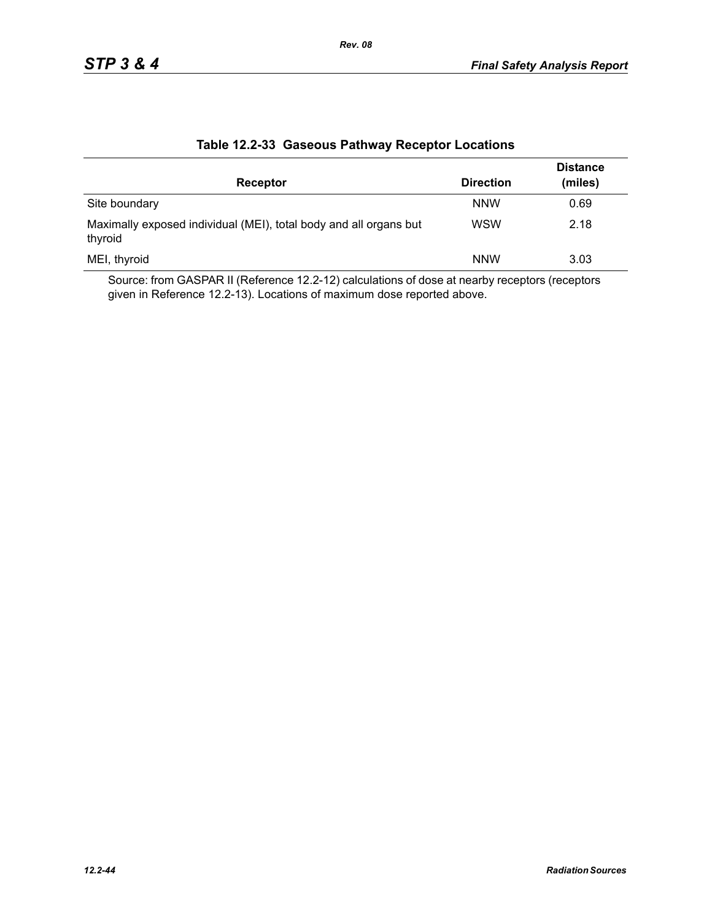| Receptor                                                                     | <b>Direction</b> | <b>Distance</b><br>(miles) |
|------------------------------------------------------------------------------|------------------|----------------------------|
| Site boundary                                                                | <b>NNW</b>       | 0.69                       |
| Maximally exposed individual (MEI), total body and all organs but<br>thyroid | <b>WSW</b>       | 2.18                       |
| MEI, thyroid                                                                 | <b>NNW</b>       | 3.03                       |

### **Table 12.2-33 Gaseous Pathway Receptor Locations**

Source: from GASPAR II (Reference 12.2-12) calculations of dose at nearby receptors (receptors given in Reference 12.2-13). Locations of maximum dose reported above.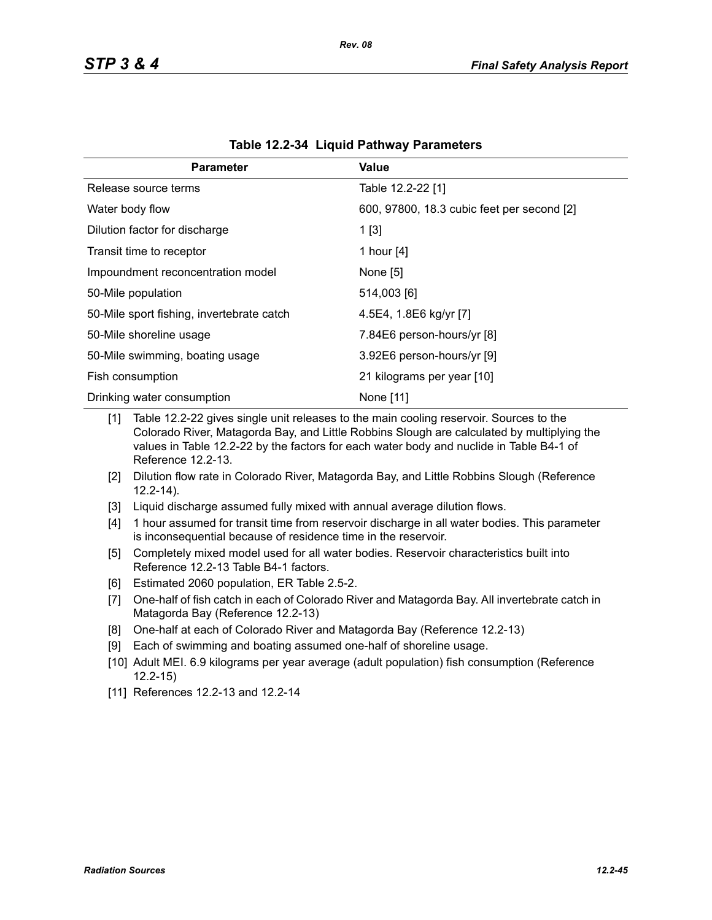| <b>Parameter</b>                          | Value                                      |
|-------------------------------------------|--------------------------------------------|
| Release source terms                      | Table 12.2-22 [1]                          |
| Water body flow                           | 600, 97800, 18.3 cubic feet per second [2] |
| Dilution factor for discharge             | 1[3]                                       |
| Transit time to receptor                  | 1 hour [4]                                 |
| Impoundment reconcentration model         | None [5]                                   |
| 50-Mile population                        | 514,003 [6]                                |
| 50-Mile sport fishing, invertebrate catch | 4.5E4, 1.8E6 kg/yr [7]                     |
| 50-Mile shoreline usage                   | 7.84E6 person-hours/yr [8]                 |
| 50-Mile swimming, boating usage           | 3.92E6 person-hours/yr [9]                 |
| Fish consumption                          | 21 kilograms per year [10]                 |
| Drinking water consumption                | None [11]                                  |

|  | Table 12.2-34 Liquid Pathway Parameters |  |
|--|-----------------------------------------|--|
|--|-----------------------------------------|--|

[1] Table 12.2-22 gives single unit releases to the main cooling reservoir. Sources to the Colorado River, Matagorda Bay, and Little Robbins Slough are calculated by multiplying the values in Table 12.2-22 by the factors for each water body and nuclide in Table B4-1 of Reference 12.2-13.

- [2] Dilution flow rate in Colorado River, Matagorda Bay, and Little Robbins Slough (Reference 12.2-14).
- [3] Liquid discharge assumed fully mixed with annual average dilution flows.
- [4] 1 hour assumed for transit time from reservoir discharge in all water bodies. This parameter is inconsequential because of residence time in the reservoir.
- [5] Completely mixed model used for all water bodies. Reservoir characteristics built into Reference 12.2-13 Table B4-1 factors.
- [6] Estimated 2060 population, ER Table 2.5-2.
- [7] One-half of fish catch in each of Colorado River and Matagorda Bay. All invertebrate catch in Matagorda Bay (Reference 12.2-13)
- [8] One-half at each of Colorado River and Matagorda Bay (Reference 12.2-13)
- [9] Each of swimming and boating assumed one-half of shoreline usage.
- [10] Adult MEI. 6.9 kilograms per year average (adult population) fish consumption (Reference 12.2-15)
- [11] References 12.2-13 and 12.2-14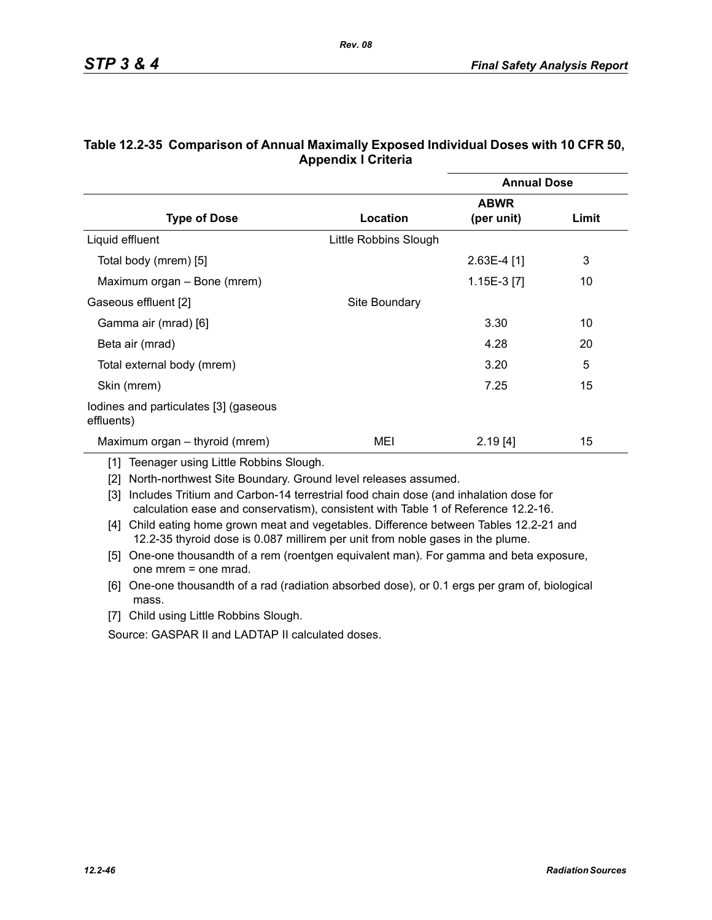|                                                     |                       | <b>Annual Dose</b> |       |
|-----------------------------------------------------|-----------------------|--------------------|-------|
|                                                     |                       | <b>ABWR</b>        |       |
| <b>Type of Dose</b>                                 | Location              | (per unit)         | Limit |
| Liquid effluent                                     | Little Robbins Slough |                    |       |
| Total body (mrem) [5]                               |                       | $2.63E-4$ [1]      | 3     |
| Maximum organ – Bone (mrem)                         |                       | 1.15E-3 [7]        | 10    |
| Gaseous effluent [2]                                | Site Boundary         |                    |       |
| Gamma air (mrad) [6]                                |                       | 3.30               | 10    |
| Beta air (mrad)                                     |                       | 4.28               | 20    |
| Total external body (mrem)                          |                       | 3.20               | 5     |
| Skin (mrem)                                         |                       | 7.25               | 15    |
| lodines and particulates [3] (gaseous<br>effluents) |                       |                    |       |
| Maximum organ – thyroid (mrem)                      | MEI                   | 2.19[4]            | 15    |

### **Table 12.2-35 Comparison of Annual Maximally Exposed Individual Doses with 10 CFR 50, Appendix I Criteria**

*Rev. 08*

[1] Teenager using Little Robbins Slough.

[2] North-northwest Site Boundary. Ground level releases assumed.

[3] Includes Tritium and Carbon-14 terrestrial food chain dose (and inhalation dose for calculation ease and conservatism), consistent with Table 1 of Reference 12.2-16.

- [4] Child eating home grown meat and vegetables. Difference between Tables 12.2-21 and 12.2-35 thyroid dose is 0.087 millirem per unit from noble gases in the plume.
- [5] One-one thousandth of a rem (roentgen equivalent man). For gamma and beta exposure, one mrem = one mrad.
- [6] One-one thousandth of a rad (radiation absorbed dose), or 0.1 ergs per gram of, biological mass.
- [7] Child using Little Robbins Slough.

Source: GASPAR II and LADTAP II calculated doses.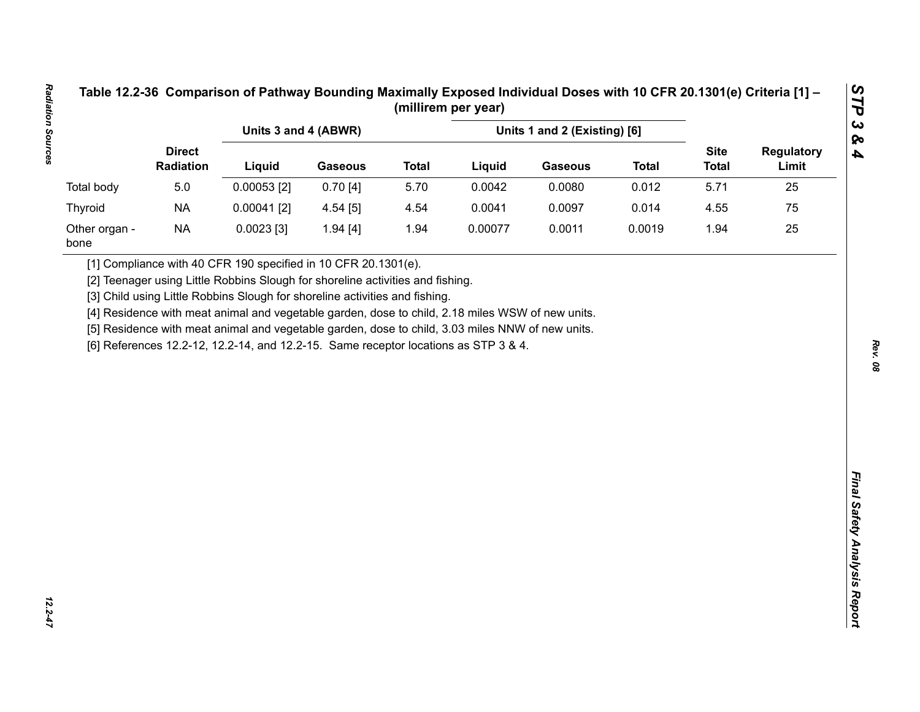|                       |                            | Units 3 and 4 (ABWR)<br>Units 1 and 2 (Existing) [6]                                                                                                                                    |                |              |         |                |              |                             |                            |
|-----------------------|----------------------------|-----------------------------------------------------------------------------------------------------------------------------------------------------------------------------------------|----------------|--------------|---------|----------------|--------------|-----------------------------|----------------------------|
|                       | <b>Direct</b><br>Radiation | Liquid                                                                                                                                                                                  | <b>Gaseous</b> | <b>Total</b> | Liquid  | <b>Gaseous</b> | <b>Total</b> | <b>Site</b><br><b>Total</b> | <b>Regulatory</b><br>Limit |
| Total body            | 5.0                        | $0.00053$ [2]                                                                                                                                                                           | 0.70[4]        | 5.70         | 0.0042  | 0.0080         | 0.012        | 5.71                        | 25                         |
| Thyroid               | <b>NA</b>                  | $0.00041$ [2]                                                                                                                                                                           | 4.54 [5]       | 4.54         | 0.0041  | 0.0097         | 0.014        | 4.55                        | 75                         |
| Other organ -<br>bone | <b>NA</b>                  | $0.0023$ [3]                                                                                                                                                                            | 1.94[4]        | 1.94         | 0.00077 | 0.0011         | 0.0019       | 1.94                        | 25                         |
|                       |                            | [5] Residence with meat animal and vegetable garden, dose to child, 3.03 miles NNW of new units.<br>[6] References 12.2-12, 12.2-14, and 12.2-15. Same receptor locations as STP 3 & 4. |                |              |         |                |              |                             |                            |

 $12.2 - 47$